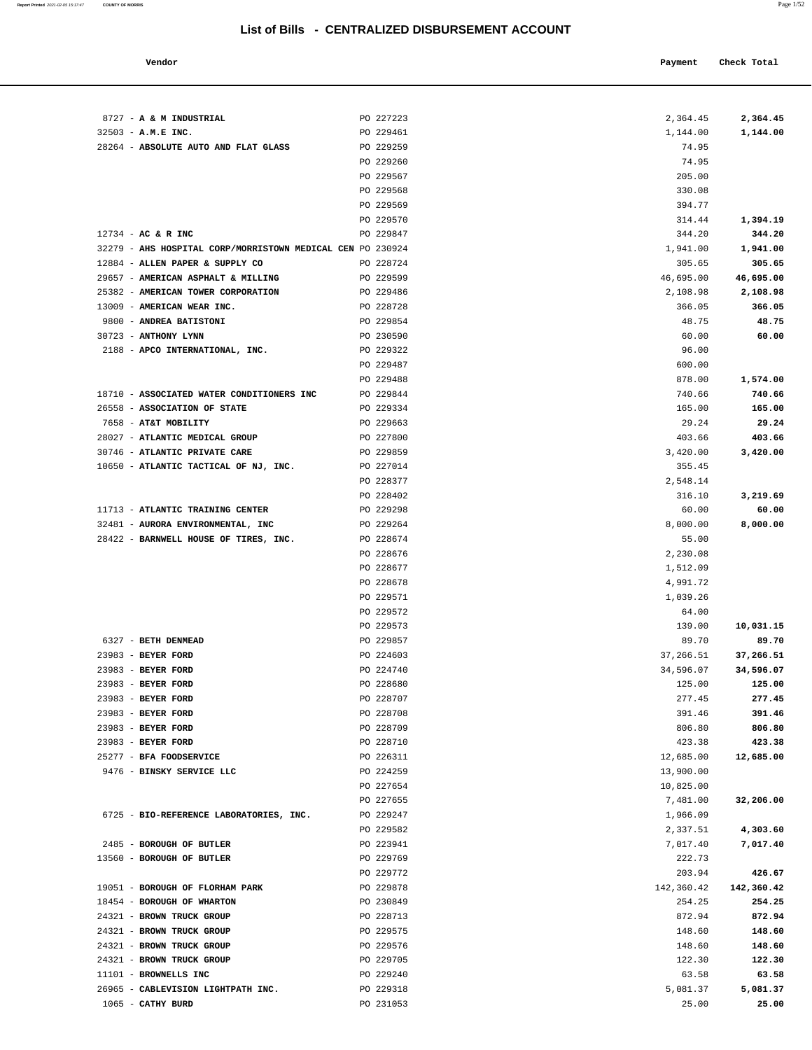| Vendor |  | Payment Check Total |
|--------|--|---------------------|
|--------|--|---------------------|

| 8727 - A & M INDUSTRIAL                                    | PO 227223              | 2,364.45          | 2,364.45          |
|------------------------------------------------------------|------------------------|-------------------|-------------------|
| 32503 - A.M.E INC.                                         | PO 229461              | 1,144.00          | 1,144.00          |
| 28264 - ABSOLUTE AUTO AND FLAT GLASS                       | PO 229259              | 74.95             |                   |
|                                                            | PO 229260              | 74.95             |                   |
|                                                            | PO 229567              | 205.00            |                   |
|                                                            | PO 229568              | 330.08            |                   |
|                                                            | PO 229569              | 394.77            |                   |
|                                                            | PO 229570              | 314.44            | 1,394.19          |
| $12734$ - AC & R INC                                       | PO 229847              | 344.20            | 344.20            |
| 32279 - AHS HOSPITAL CORP/MORRISTOWN MEDICAL CEN PO 230924 |                        | 1,941.00          | 1,941.00          |
| 12884 - ALLEN PAPER & SUPPLY CO                            | PO 228724              | 305.65            | 305.65            |
| 29657 - AMERICAN ASPHALT & MILLING                         | PO 229599              | 46,695.00         | 46,695.00         |
| 25382 - AMERICAN TOWER CORPORATION                         | PO 229486              | 2,108.98          | 2,108.98          |
| 13009 - AMERICAN WEAR INC.                                 | PO 228728              | 366.05            | 366.05            |
| 9800 - ANDREA BATISTONI                                    | PO 229854              | 48.75             | 48.75             |
| 30723 - ANTHONY LYNN                                       | PO 230590              | 60.00             | 60.00             |
| 2188 - APCO INTERNATIONAL, INC.                            | PO 229322              | 96.00             |                   |
|                                                            | PO 229487              | 600.00            |                   |
|                                                            | PO 229488              | 878.00            | 1,574.00          |
| 18710 - ASSOCIATED WATER CONDITIONERS INC                  | PO 229844              | 740.66            | 740.66            |
| 26558 - ASSOCIATION OF STATE                               | PO 229334              | 165.00            | 165.00            |
| 7658 - AT&T MOBILITY                                       | PO 229663              | 29.24             | 29.24             |
| 28027 - ATLANTIC MEDICAL GROUP                             | PO 227800              | 403.66            | 403.66            |
| 30746 - ATLANTIC PRIVATE CARE                              | PO 229859              | 3,420.00          | 3,420.00          |
| 10650 - ATLANTIC TACTICAL OF NJ, INC.                      | PO 227014              | 355.45            |                   |
|                                                            | PO 228377              | 2,548.14          |                   |
|                                                            | PO 228402              | 316.10            | 3,219.69          |
| 11713 - ATLANTIC TRAINING CENTER                           | PO 229298              | 60.00             | 60.00             |
| 32481 - AURORA ENVIRONMENTAL, INC                          | PO 229264              | 8,000.00          | 8,000.00          |
| 28422 - BARNWELL HOUSE OF TIRES, INC.                      | PO 228674              | 55.00             |                   |
|                                                            | PO 228676              | 2,230.08          |                   |
|                                                            | PO 228677              | 1,512.09          |                   |
|                                                            | PO 228678              | 4,991.72          |                   |
|                                                            | PO 229571              | 1,039.26          |                   |
|                                                            | PO 229572              | 64.00             |                   |
|                                                            | PO 229573              | 139.00            | 10,031.15         |
| 6327 - BETH DENMEAD                                        | PO 229857              | 89.70             | 89.70             |
| 23983 - BEYER FORD                                         | PO 224603              | 37,266.51         | 37,266.51         |
| 23983 - BEYER FORD                                         | PO 224740              | 34,596.07         | 34,596.07         |
| 23983 - BEYER FORD                                         | PO 228680              | 125.00            | 125.00            |
| 23983 - BEYER FORD                                         | PO 228707              | 277.45            | 277.45            |
| 23983 - BEYER FORD                                         | PO 228708              | 391.46            | 391.46            |
| 23983 - BEYER FORD                                         | PO 228709              | 806.80            | 806.80            |
| 23983 - BEYER FORD                                         | PO 228710              | 423.38            | 423.38            |
| 25277 - BFA FOODSERVICE                                    | PO 226311              | 12,685.00         | 12,685.00         |
| 9476 - BINSKY SERVICE LLC                                  | PO 224259              | 13,900.00         |                   |
|                                                            | PO 227654              | 10,825.00         |                   |
|                                                            | PO 227655              | 7,481.00          | 32,206.00         |
| 6725 - BIO-REFERENCE LABORATORIES, INC.                    | PO 229247              | 1,966.09          |                   |
|                                                            | PO 229582              | 2,337.51          | 4,303.60          |
| 2485 - BOROUGH OF BUTLER                                   | PO 223941              | 7,017.40          | 7,017.40          |
| 13560 - BOROUGH OF BUTLER                                  | PO 229769              | 222.73            |                   |
|                                                            | PO 229772              | 203.94            | 426.67            |
| 19051 - BOROUGH OF FLORHAM PARK                            | PO 229878              | 142,360.42        | 142,360.42        |
| 18454 - BOROUGH OF WHARTON                                 | PO 230849              | 254.25            | 254.25            |
| 24321 - BROWN TRUCK GROUP                                  | PO 228713              | 872.94            | 872.94            |
| 24321 - BROWN TRUCK GROUP                                  | PO 229575              | 148.60            | 148.60            |
| 24321 - BROWN TRUCK GROUP                                  | PO 229576              | 148.60            | 148.60            |
| 24321 - BROWN TRUCK GROUP                                  | PO 229705              | 122.30            | 122.30            |
| 11101 - BROWNELLS INC                                      | PO 229240              | 63.58             | 63.58             |
| 26965 - CABLEVISION LIGHTPATH INC.<br>1065 - CATHY BURD    | PO 229318<br>PO 231053 | 5,081.37<br>25.00 | 5,081.37<br>25.00 |
|                                                            |                        |                   |                   |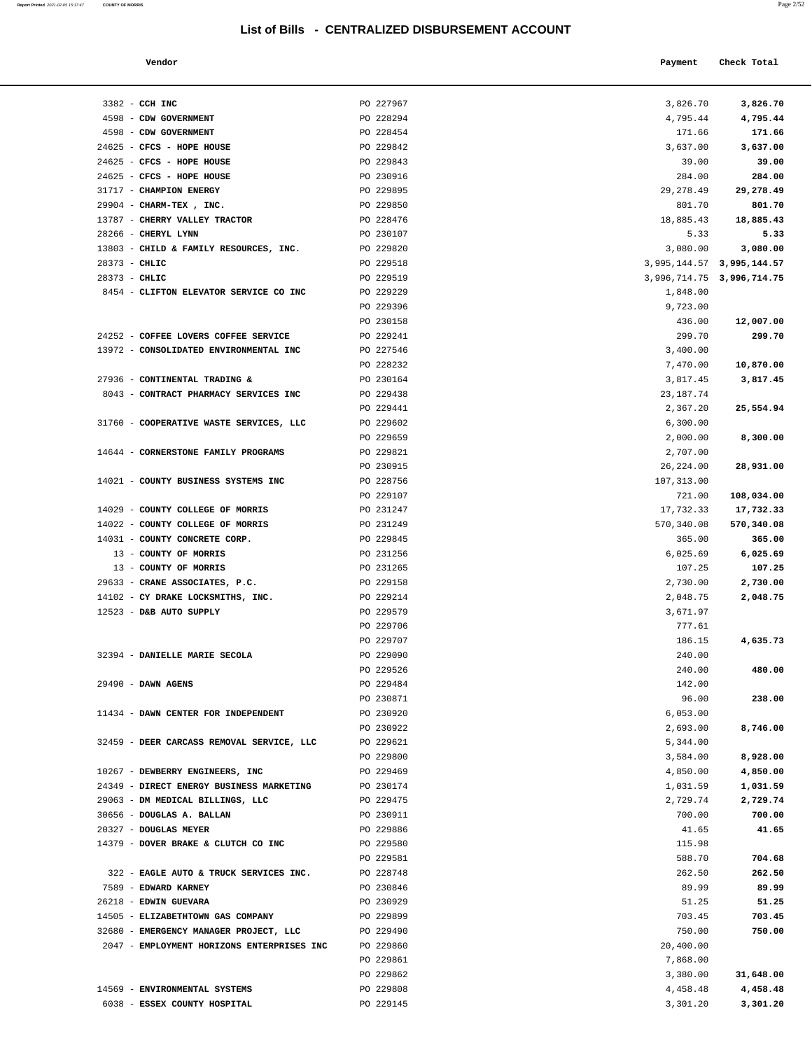| a.<br>×. |  |
|----------|--|
|          |  |

| Report Printed 2021-02-05 15:17:47 | <b>COUNTY OF MORRIS</b>                 | List of Bills - CENTRALIZED DISBURSEMENT ACCOUNT |             | Page 2/52                 |  |
|------------------------------------|-----------------------------------------|--------------------------------------------------|-------------|---------------------------|--|
|                                    | Vendor                                  |                                                  | Payment     | Check Total               |  |
|                                    | 3382 - CCH INC                          | PO 227967                                        | 3,826.70    | 3,826.70                  |  |
|                                    | 4598 - CDW GOVERNMENT                   | PO 228294                                        | 4,795.44    | 4,795.44                  |  |
|                                    | 4598 - CDW GOVERNMENT                   | PO 228454                                        | 171.66      | 171.66                    |  |
|                                    | 24625 - CFCS - HOPE HOUSE               | PO 229842                                        | 3,637.00    | 3,637.00                  |  |
|                                    | 24625 - CFCS - HOPE HOUSE               | PO 229843                                        | 39.00       | 39.00                     |  |
|                                    | 24625 - CFCS - HOPE HOUSE               | PO 230916                                        | 284.00      | 284.00                    |  |
|                                    | 31717 - CHAMPION ENERGY                 | PO 229895                                        | 29, 278.49  | 29,278.49                 |  |
|                                    | 29904 - CHARM-TEX, INC.                 | PO 229850                                        | 801.70      | 801.70                    |  |
|                                    | 13787 - CHERRY VALLEY TRACTOR           | PO 228476                                        | 18,885.43   | 18,885.43                 |  |
|                                    | 28266 - CHERYL LYNN                     | PO 230107                                        | 5.33        | 5.33                      |  |
|                                    | 13803 - CHILD & FAMILY RESOURCES, INC.  | PO 229820                                        | 3,080.00    | 3,080.00                  |  |
|                                    | 28373 - CHLIC                           | PO 229518                                        |             | 3,995,144.57 3,995,144.57 |  |
|                                    | $28373 - CHLIC$                         | PO 229519                                        |             | 3,996,714.75 3,996,714.75 |  |
|                                    | 8454 - CLIFTON ELEVATOR SERVICE CO INC  | PO 229229                                        | 1,848.00    |                           |  |
|                                    |                                         | PO 229396                                        | 9,723.00    |                           |  |
|                                    |                                         | PO 230158                                        | 436.00      | 12,007.00                 |  |
|                                    | 24252 - COFFEE LOVERS COFFEE SERVICE    | PO 229241                                        | 299.70      | 299.70                    |  |
|                                    | 13972 - CONSOLIDATED ENVIRONMENTAL INC  | PO 227546                                        | 3,400.00    |                           |  |
|                                    |                                         | PO 228232                                        | 7,470.00    | 10,870.00                 |  |
|                                    | 27936 - CONTINENTAL TRADING &           | PO 230164                                        | 3,817.45    | 3,817.45                  |  |
|                                    | 8043 - CONTRACT PHARMACY SERVICES INC   | PO 229438                                        | 23, 187. 74 |                           |  |
|                                    |                                         | PO 229441                                        | 2,367.20    | 25,554.94                 |  |
|                                    | 31760 - COOPERATIVE WASTE SERVICES, LLC | PO 229602                                        | 6,300.00    |                           |  |
|                                    |                                         | PO 229659                                        | 2,000.00    | 8,300.00                  |  |
|                                    | 14644 - CORNERSTONE FAMILY PROGRAMS     | PO 229821                                        | 2,707.00    |                           |  |
|                                    |                                         | PO 230915                                        | 26,224.00   | 28,931.00                 |  |
|                                    | 14021 - COUNTY BUSINESS SYSTEMS INC     | PO 228756                                        | 107,313.00  |                           |  |
|                                    |                                         | PO 229107                                        | 721.00      | 108,034.00                |  |
|                                    | 14029 - COUNTY COLLEGE OF MORRIS        | PO 231247                                        | 17,732.33   | 17,732.33                 |  |
|                                    | 14022 - COUNTY COLLEGE OF MORRIS        | PO 231249                                        | 570,340.08  | 570,340.08                |  |
|                                    | 14031 - COUNTY CONCRETE CORP.           | PO 229845                                        | 365.00      | 365.00                    |  |
|                                    | 13 - COUNTY OF MORRIS                   | PO 231256                                        | 6,025.69    | 6,025.69                  |  |
|                                    | 13 - COUNTY OF MORRIS                   | PO 231265                                        | 107.25      | 107.25                    |  |
|                                    | 29633 - CRANE ASSOCIATES, P.C.          | PO 229158                                        | 2,730.00    | 2,730.00                  |  |
|                                    | 14102 - CY DRAKE LOCKSMITHS, INC.       | PO 229214                                        | 2,048.75    | 2,048.75                  |  |
|                                    | 12523 - D&B AUTO SUPPLY                 | PO 229579                                        | 3,671.97    |                           |  |
|                                    |                                         | PO 229706                                        | 777.61      |                           |  |
|                                    |                                         | PO 229707                                        | 186.15      | 4,635.73                  |  |
|                                    | 32394 - DANIELLE MARIE SECOLA           | PO 229090                                        | 240.00      |                           |  |
|                                    |                                         | PO 229526                                        | 240.00      | 480.00                    |  |
|                                    | $29490 - DAWN AGENS$                    | PO 229484                                        | 142 00      |                           |  |

| 3382 - CCH INC                            | PO 227967                                                                                                                                                                                                                                                                                                                                                                                                                                                                                                                                                                                                                                                                               | 3,826.70                                                                                                                                                                                                                                                                                                                                                                 | 3,826.70                                                                                                                                                                                                                                                                                                                                                                 |
|-------------------------------------------|-----------------------------------------------------------------------------------------------------------------------------------------------------------------------------------------------------------------------------------------------------------------------------------------------------------------------------------------------------------------------------------------------------------------------------------------------------------------------------------------------------------------------------------------------------------------------------------------------------------------------------------------------------------------------------------------|--------------------------------------------------------------------------------------------------------------------------------------------------------------------------------------------------------------------------------------------------------------------------------------------------------------------------------------------------------------------------|--------------------------------------------------------------------------------------------------------------------------------------------------------------------------------------------------------------------------------------------------------------------------------------------------------------------------------------------------------------------------|
| 4598 - CDW GOVERNMENT                     | PO 228294                                                                                                                                                                                                                                                                                                                                                                                                                                                                                                                                                                                                                                                                               | 4,795.44                                                                                                                                                                                                                                                                                                                                                                 | 4,795.44                                                                                                                                                                                                                                                                                                                                                                 |
| 4598 - CDW GOVERNMENT                     | PO 228454                                                                                                                                                                                                                                                                                                                                                                                                                                                                                                                                                                                                                                                                               | 171.66                                                                                                                                                                                                                                                                                                                                                                   | 171.66                                                                                                                                                                                                                                                                                                                                                                   |
| 24625 - CFCS - HOPE HOUSE                 | PO 229842                                                                                                                                                                                                                                                                                                                                                                                                                                                                                                                                                                                                                                                                               | 3,637.00                                                                                                                                                                                                                                                                                                                                                                 | 3,637.00                                                                                                                                                                                                                                                                                                                                                                 |
| 24625 - CFCS - HOPE HOUSE                 | PO 229843                                                                                                                                                                                                                                                                                                                                                                                                                                                                                                                                                                                                                                                                               | 39.00                                                                                                                                                                                                                                                                                                                                                                    | 39.00                                                                                                                                                                                                                                                                                                                                                                    |
| 24625 - CFCS - HOPE HOUSE                 | PO 230916                                                                                                                                                                                                                                                                                                                                                                                                                                                                                                                                                                                                                                                                               | 284.00                                                                                                                                                                                                                                                                                                                                                                   | 284.00                                                                                                                                                                                                                                                                                                                                                                   |
| 31717 - CHAMPION ENERGY                   | PO 229895                                                                                                                                                                                                                                                                                                                                                                                                                                                                                                                                                                                                                                                                               | 29, 278.49                                                                                                                                                                                                                                                                                                                                                               | 29,278.49                                                                                                                                                                                                                                                                                                                                                                |
| 29904 - CHARM-TEX, INC.                   | PO 229850                                                                                                                                                                                                                                                                                                                                                                                                                                                                                                                                                                                                                                                                               | 801.70                                                                                                                                                                                                                                                                                                                                                                   | 801.70                                                                                                                                                                                                                                                                                                                                                                   |
|                                           |                                                                                                                                                                                                                                                                                                                                                                                                                                                                                                                                                                                                                                                                                         |                                                                                                                                                                                                                                                                                                                                                                          | 18,885.43                                                                                                                                                                                                                                                                                                                                                                |
|                                           |                                                                                                                                                                                                                                                                                                                                                                                                                                                                                                                                                                                                                                                                                         |                                                                                                                                                                                                                                                                                                                                                                          | 5.33                                                                                                                                                                                                                                                                                                                                                                     |
|                                           |                                                                                                                                                                                                                                                                                                                                                                                                                                                                                                                                                                                                                                                                                         |                                                                                                                                                                                                                                                                                                                                                                          | 3,080.00                                                                                                                                                                                                                                                                                                                                                                 |
|                                           |                                                                                                                                                                                                                                                                                                                                                                                                                                                                                                                                                                                                                                                                                         |                                                                                                                                                                                                                                                                                                                                                                          |                                                                                                                                                                                                                                                                                                                                                                          |
|                                           |                                                                                                                                                                                                                                                                                                                                                                                                                                                                                                                                                                                                                                                                                         |                                                                                                                                                                                                                                                                                                                                                                          |                                                                                                                                                                                                                                                                                                                                                                          |
|                                           |                                                                                                                                                                                                                                                                                                                                                                                                                                                                                                                                                                                                                                                                                         |                                                                                                                                                                                                                                                                                                                                                                          |                                                                                                                                                                                                                                                                                                                                                                          |
|                                           |                                                                                                                                                                                                                                                                                                                                                                                                                                                                                                                                                                                                                                                                                         |                                                                                                                                                                                                                                                                                                                                                                          | 12,007.00                                                                                                                                                                                                                                                                                                                                                                |
|                                           |                                                                                                                                                                                                                                                                                                                                                                                                                                                                                                                                                                                                                                                                                         |                                                                                                                                                                                                                                                                                                                                                                          | 299.70                                                                                                                                                                                                                                                                                                                                                                   |
|                                           |                                                                                                                                                                                                                                                                                                                                                                                                                                                                                                                                                                                                                                                                                         |                                                                                                                                                                                                                                                                                                                                                                          |                                                                                                                                                                                                                                                                                                                                                                          |
|                                           |                                                                                                                                                                                                                                                                                                                                                                                                                                                                                                                                                                                                                                                                                         |                                                                                                                                                                                                                                                                                                                                                                          | 10,870.00                                                                                                                                                                                                                                                                                                                                                                |
|                                           |                                                                                                                                                                                                                                                                                                                                                                                                                                                                                                                                                                                                                                                                                         |                                                                                                                                                                                                                                                                                                                                                                          | 3,817.45                                                                                                                                                                                                                                                                                                                                                                 |
| 8043 - CONTRACT PHARMACY SERVICES INC     | PO 229438                                                                                                                                                                                                                                                                                                                                                                                                                                                                                                                                                                                                                                                                               |                                                                                                                                                                                                                                                                                                                                                                          |                                                                                                                                                                                                                                                                                                                                                                          |
|                                           | PO 229441                                                                                                                                                                                                                                                                                                                                                                                                                                                                                                                                                                                                                                                                               | 2,367.20                                                                                                                                                                                                                                                                                                                                                                 | 25,554.94                                                                                                                                                                                                                                                                                                                                                                |
| 31760 - COOPERATIVE WASTE SERVICES, LLC   | PO 229602                                                                                                                                                                                                                                                                                                                                                                                                                                                                                                                                                                                                                                                                               | 6,300.00                                                                                                                                                                                                                                                                                                                                                                 |                                                                                                                                                                                                                                                                                                                                                                          |
|                                           | PO 229659                                                                                                                                                                                                                                                                                                                                                                                                                                                                                                                                                                                                                                                                               | 2,000.00                                                                                                                                                                                                                                                                                                                                                                 | 8,300.00                                                                                                                                                                                                                                                                                                                                                                 |
| 14644 - CORNERSTONE FAMILY PROGRAMS       | PO 229821                                                                                                                                                                                                                                                                                                                                                                                                                                                                                                                                                                                                                                                                               | 2,707.00                                                                                                                                                                                                                                                                                                                                                                 |                                                                                                                                                                                                                                                                                                                                                                          |
|                                           | PO 230915                                                                                                                                                                                                                                                                                                                                                                                                                                                                                                                                                                                                                                                                               | 26,224.00                                                                                                                                                                                                                                                                                                                                                                | 28,931.00                                                                                                                                                                                                                                                                                                                                                                |
| 14021 - COUNTY BUSINESS SYSTEMS INC       | PO 228756                                                                                                                                                                                                                                                                                                                                                                                                                                                                                                                                                                                                                                                                               | 107,313.00                                                                                                                                                                                                                                                                                                                                                               |                                                                                                                                                                                                                                                                                                                                                                          |
|                                           | PO 229107                                                                                                                                                                                                                                                                                                                                                                                                                                                                                                                                                                                                                                                                               | 721.00                                                                                                                                                                                                                                                                                                                                                                   | 108,034.00                                                                                                                                                                                                                                                                                                                                                               |
| 14029 - COUNTY COLLEGE OF MORRIS          | PO 231247                                                                                                                                                                                                                                                                                                                                                                                                                                                                                                                                                                                                                                                                               | 17,732.33                                                                                                                                                                                                                                                                                                                                                                | 17,732.33                                                                                                                                                                                                                                                                                                                                                                |
| 14022 - COUNTY COLLEGE OF MORRIS          | PO 231249                                                                                                                                                                                                                                                                                                                                                                                                                                                                                                                                                                                                                                                                               | 570,340.08                                                                                                                                                                                                                                                                                                                                                               | 570,340.08                                                                                                                                                                                                                                                                                                                                                               |
| 14031 - COUNTY CONCRETE CORP.             | PO 229845                                                                                                                                                                                                                                                                                                                                                                                                                                                                                                                                                                                                                                                                               | 365.00                                                                                                                                                                                                                                                                                                                                                                   | 365.00                                                                                                                                                                                                                                                                                                                                                                   |
| 13 - COUNTY OF MORRIS                     | PO 231256                                                                                                                                                                                                                                                                                                                                                                                                                                                                                                                                                                                                                                                                               | 6,025.69                                                                                                                                                                                                                                                                                                                                                                 | 6,025.69                                                                                                                                                                                                                                                                                                                                                                 |
| 13 - COUNTY OF MORRIS                     | PO 231265                                                                                                                                                                                                                                                                                                                                                                                                                                                                                                                                                                                                                                                                               | 107.25                                                                                                                                                                                                                                                                                                                                                                   | 107.25                                                                                                                                                                                                                                                                                                                                                                   |
| 29633 - CRANE ASSOCIATES, P.C.            | PO 229158                                                                                                                                                                                                                                                                                                                                                                                                                                                                                                                                                                                                                                                                               | 2,730.00                                                                                                                                                                                                                                                                                                                                                                 | 2,730.00                                                                                                                                                                                                                                                                                                                                                                 |
|                                           |                                                                                                                                                                                                                                                                                                                                                                                                                                                                                                                                                                                                                                                                                         |                                                                                                                                                                                                                                                                                                                                                                          | 2,048.75                                                                                                                                                                                                                                                                                                                                                                 |
|                                           |                                                                                                                                                                                                                                                                                                                                                                                                                                                                                                                                                                                                                                                                                         |                                                                                                                                                                                                                                                                                                                                                                          |                                                                                                                                                                                                                                                                                                                                                                          |
|                                           |                                                                                                                                                                                                                                                                                                                                                                                                                                                                                                                                                                                                                                                                                         |                                                                                                                                                                                                                                                                                                                                                                          |                                                                                                                                                                                                                                                                                                                                                                          |
|                                           |                                                                                                                                                                                                                                                                                                                                                                                                                                                                                                                                                                                                                                                                                         |                                                                                                                                                                                                                                                                                                                                                                          | 4,635.73                                                                                                                                                                                                                                                                                                                                                                 |
|                                           |                                                                                                                                                                                                                                                                                                                                                                                                                                                                                                                                                                                                                                                                                         |                                                                                                                                                                                                                                                                                                                                                                          | 480.00                                                                                                                                                                                                                                                                                                                                                                   |
|                                           |                                                                                                                                                                                                                                                                                                                                                                                                                                                                                                                                                                                                                                                                                         |                                                                                                                                                                                                                                                                                                                                                                          |                                                                                                                                                                                                                                                                                                                                                                          |
|                                           |                                                                                                                                                                                                                                                                                                                                                                                                                                                                                                                                                                                                                                                                                         |                                                                                                                                                                                                                                                                                                                                                                          | 238.00                                                                                                                                                                                                                                                                                                                                                                   |
|                                           |                                                                                                                                                                                                                                                                                                                                                                                                                                                                                                                                                                                                                                                                                         |                                                                                                                                                                                                                                                                                                                                                                          |                                                                                                                                                                                                                                                                                                                                                                          |
|                                           | PO 230922                                                                                                                                                                                                                                                                                                                                                                                                                                                                                                                                                                                                                                                                               | 2,693.00                                                                                                                                                                                                                                                                                                                                                                 | 8,746.00                                                                                                                                                                                                                                                                                                                                                                 |
| 32459 - DEER CARCASS REMOVAL SERVICE, LLC | PO 229621                                                                                                                                                                                                                                                                                                                                                                                                                                                                                                                                                                                                                                                                               | 5,344.00                                                                                                                                                                                                                                                                                                                                                                 |                                                                                                                                                                                                                                                                                                                                                                          |
|                                           | PO 229800                                                                                                                                                                                                                                                                                                                                                                                                                                                                                                                                                                                                                                                                               | 3,584.00                                                                                                                                                                                                                                                                                                                                                                 | 8,928.00                                                                                                                                                                                                                                                                                                                                                                 |
| 10267 - DEWBERRY ENGINEERS, INC           | PO 229469                                                                                                                                                                                                                                                                                                                                                                                                                                                                                                                                                                                                                                                                               | 4,850.00                                                                                                                                                                                                                                                                                                                                                                 | 4,850.00                                                                                                                                                                                                                                                                                                                                                                 |
| 24349 - DIRECT ENERGY BUSINESS MARKETING  | PO 230174                                                                                                                                                                                                                                                                                                                                                                                                                                                                                                                                                                                                                                                                               | 1,031.59                                                                                                                                                                                                                                                                                                                                                                 | 1,031.59                                                                                                                                                                                                                                                                                                                                                                 |
| 29063 - DM MEDICAL BILLINGS, LLC          | PO 229475                                                                                                                                                                                                                                                                                                                                                                                                                                                                                                                                                                                                                                                                               | 2,729.74                                                                                                                                                                                                                                                                                                                                                                 | 2,729.74                                                                                                                                                                                                                                                                                                                                                                 |
| 30656 - DOUGLAS A. BALLAN                 | PO 230911                                                                                                                                                                                                                                                                                                                                                                                                                                                                                                                                                                                                                                                                               | 700.00                                                                                                                                                                                                                                                                                                                                                                   | 700.00                                                                                                                                                                                                                                                                                                                                                                   |
| 20327 - DOUGLAS MEYER                     | PO 229886                                                                                                                                                                                                                                                                                                                                                                                                                                                                                                                                                                                                                                                                               | 41.65                                                                                                                                                                                                                                                                                                                                                                    | 41.65                                                                                                                                                                                                                                                                                                                                                                    |
| 14379 - DOVER BRAKE & CLUTCH CO INC       | PO 229580                                                                                                                                                                                                                                                                                                                                                                                                                                                                                                                                                                                                                                                                               | 115.98                                                                                                                                                                                                                                                                                                                                                                   |                                                                                                                                                                                                                                                                                                                                                                          |
|                                           | PO 229581                                                                                                                                                                                                                                                                                                                                                                                                                                                                                                                                                                                                                                                                               | 588.70                                                                                                                                                                                                                                                                                                                                                                   | 704.68                                                                                                                                                                                                                                                                                                                                                                   |
|                                           |                                                                                                                                                                                                                                                                                                                                                                                                                                                                                                                                                                                                                                                                                         |                                                                                                                                                                                                                                                                                                                                                                          | 262.50                                                                                                                                                                                                                                                                                                                                                                   |
|                                           |                                                                                                                                                                                                                                                                                                                                                                                                                                                                                                                                                                                                                                                                                         |                                                                                                                                                                                                                                                                                                                                                                          | 89.99                                                                                                                                                                                                                                                                                                                                                                    |
|                                           |                                                                                                                                                                                                                                                                                                                                                                                                                                                                                                                                                                                                                                                                                         |                                                                                                                                                                                                                                                                                                                                                                          | 51.25                                                                                                                                                                                                                                                                                                                                                                    |
|                                           |                                                                                                                                                                                                                                                                                                                                                                                                                                                                                                                                                                                                                                                                                         |                                                                                                                                                                                                                                                                                                                                                                          | 703.45<br>750.00                                                                                                                                                                                                                                                                                                                                                         |
|                                           |                                                                                                                                                                                                                                                                                                                                                                                                                                                                                                                                                                                                                                                                                         |                                                                                                                                                                                                                                                                                                                                                                          |                                                                                                                                                                                                                                                                                                                                                                          |
|                                           |                                                                                                                                                                                                                                                                                                                                                                                                                                                                                                                                                                                                                                                                                         |                                                                                                                                                                                                                                                                                                                                                                          |                                                                                                                                                                                                                                                                                                                                                                          |
|                                           | PO 229862                                                                                                                                                                                                                                                                                                                                                                                                                                                                                                                                                                                                                                                                               | 3,380.00                                                                                                                                                                                                                                                                                                                                                                 | 31,648.00                                                                                                                                                                                                                                                                                                                                                                |
| 14569 - ENVIRONMENTAL SYSTEMS             | PO 229808                                                                                                                                                                                                                                                                                                                                                                                                                                                                                                                                                                                                                                                                               |                                                                                                                                                                                                                                                                                                                                                                          | 4,458.48                                                                                                                                                                                                                                                                                                                                                                 |
| 6038 - ESSEX COUNTY HOSPITAL              | PO 229145                                                                                                                                                                                                                                                                                                                                                                                                                                                                                                                                                                                                                                                                               | 3,301.20                                                                                                                                                                                                                                                                                                                                                                 | 3,301.20                                                                                                                                                                                                                                                                                                                                                                 |
|                                           | 13787 - CHERRY VALLEY TRACTOR<br>28266 - CHERYL LYNN<br>13803 - CHILD & FAMILY RESOURCES, INC.<br>$28373 - CHLIC$<br>$28373 - CHLIC$<br>8454 - CLIFTON ELEVATOR SERVICE CO INC<br>24252 - COFFEE LOVERS COFFEE SERVICE<br>13972 - CONSOLIDATED ENVIRONMENTAL INC<br>27936 - CONTINENTAL TRADING &<br>14102 - CY DRAKE LOCKSMITHS, INC.<br>12523 - D&B AUTO SUPPLY<br>32394 - DANIELLE MARIE SECOLA<br>29490 - DAWN AGENS<br>11434 - DAWN CENTER FOR INDEPENDENT<br>322 - EAGLE AUTO & TRUCK SERVICES INC.<br>7589 - EDWARD KARNEY<br>26218 - EDWIN GUEVARA<br>14505 - ELIZABETHTOWN GAS COMPANY<br>32680 - EMERGENCY MANAGER PROJECT, LLC<br>2047 - EMPLOYMENT HORIZONS ENTERPRISES INC | PO 228476<br>PO 230107<br>PO 229820<br>PO 229518<br>PO 229519<br>PO 229229<br>PO 229396<br>PO 230158<br>PO 229241<br>PO 227546<br>PO 228232<br>PO 230164<br>PO 229214<br>PO 229579<br>PO 229706<br>PO 229707<br>PO 229090<br>PO 229526<br>PO 229484<br>PO 230871<br>PO 230920<br>PO 228748<br>PO 230846<br>PO 230929<br>PO 229899<br>PO 229490<br>PO 229860<br>PO 229861 | 18,885.43<br>5.33<br>3,080.00<br>3,995,144.57 3,995,144.57<br>3,996,714.75 3,996,714.75<br>1,848.00<br>9,723.00<br>436.00<br>299.70<br>3,400.00<br>7,470.00<br>3,817.45<br>23,187.74<br>2,048.75<br>3,671.97<br>777.61<br>186.15<br>240.00<br>240.00<br>142.00<br>96.00<br>6,053.00<br>262.50<br>89.99<br>51.25<br>703.45<br>750.00<br>20,400.00<br>7,868.00<br>4,458.48 |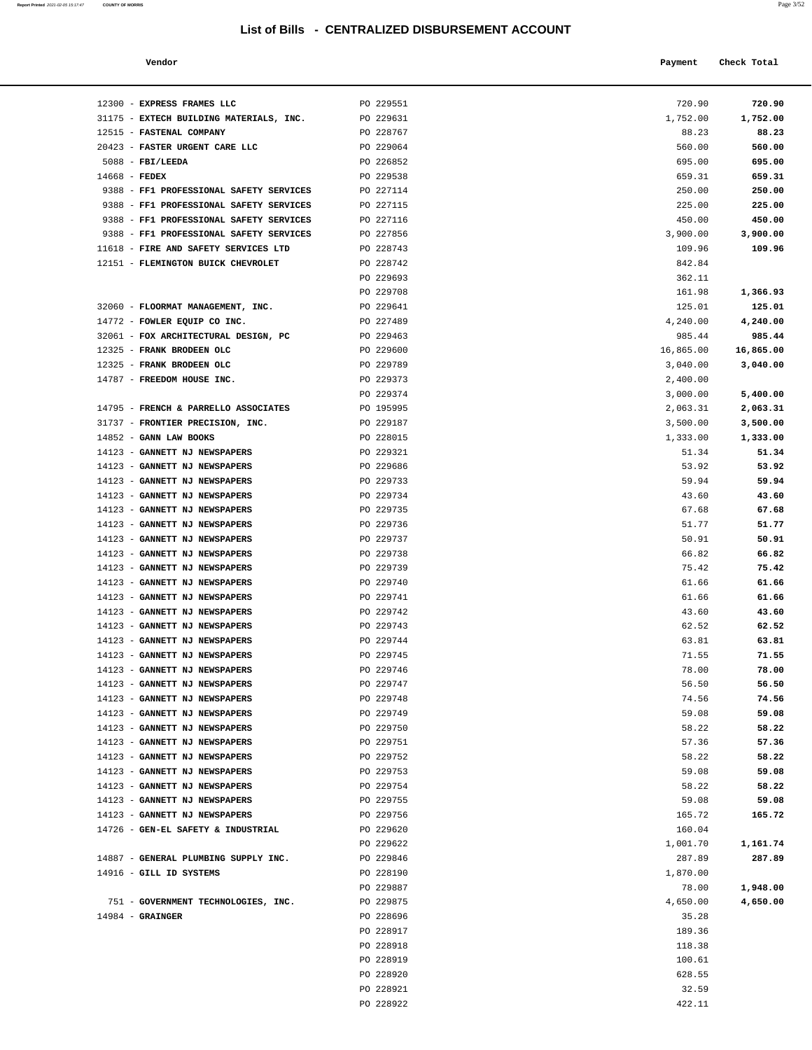| Report Printed 2021-02-05 15:17:47 | <b>COUNTY OF MORRIS</b> |  |  | Page 3/52 |
|------------------------------------|-------------------------|--|--|-----------|
|                                    |                         |  |  |           |

| Vendor |  | Payment Check Total<br>------ ---- |
|--------|--|------------------------------------|
|--------|--|------------------------------------|

| 12300 - EXPRESS FRAMES LLC                                     | PO 229551              | 720.90         | 720.90         |
|----------------------------------------------------------------|------------------------|----------------|----------------|
| 31175 - EXTECH BUILDING MATERIALS, INC.                        | PO 229631              | 1,752.00       | 1,752.00       |
| 12515 - FASTENAL COMPANY                                       | PO 228767              | 88.23          | 88.23          |
| 20423 - FASTER URGENT CARE LLC                                 | PO 229064              | 560.00         | 560.00         |
| $5088$ - FBI/LEEDA                                             | PO 226852              | 695.00         | 695.00         |
| $14668$ - FEDEX                                                | PO 229538              | 659.31         | 659.31         |
| 9388 - FF1 PROFESSIONAL SAFETY SERVICES                        | PO 227114              | 250.00         | 250.00         |
| 9388 - FF1 PROFESSIONAL SAFETY SERVICES                        | PO 227115              | 225.00         | 225.00         |
| 9388 - FF1 PROFESSIONAL SAFETY SERVICES                        | PO 227116              | 450.00         | 450.00         |
| 9388 - FF1 PROFESSIONAL SAFETY SERVICES                        | PO 227856              | 3,900.00       | 3,900.00       |
| 11618 - FIRE AND SAFETY SERVICES LTD                           | PO 228743              | 109.96         | 109.96         |
| 12151 - FLEMINGTON BUICK CHEVROLET                             | PO 228742              | 842.84         |                |
|                                                                | PO 229693              | 362.11         |                |
|                                                                | PO 229708              | 161.98         | 1,366.93       |
| 32060 - FLOORMAT MANAGEMENT, INC.                              | PO 229641              | 125.01         | 125.01         |
| 14772 - FOWLER EQUIP CO INC.                                   | PO 227489              | 4,240.00       | 4,240.00       |
| 32061 - FOX ARCHITECTURAL DESIGN, PC                           | PO 229463              | 985.44         | 985.44         |
| 12325 - FRANK BRODEEN OLC                                      | PO 229600              | 16,865.00      | 16,865.00      |
| 12325 - FRANK BRODEEN OLC                                      | PO 229789              | 3,040.00       | 3,040.00       |
| 14787 - FREEDOM HOUSE INC.                                     | PO 229373              | 2,400.00       |                |
|                                                                | PO 229374              | 3,000.00       | 5,400.00       |
| 14795 - FRENCH & PARRELLO ASSOCIATES                           | PO 195995              | 2,063.31       | 2,063.31       |
| 31737 - FRONTIER PRECISION, INC.                               | PO 229187              | 3,500.00       | 3,500.00       |
| $14852$ - GANN LAW BOOKS                                       | PO 228015              | 1,333.00       | 1,333.00       |
| 14123 - GANNETT NJ NEWSPAPERS                                  | PO 229321              | 51.34          | 51.34          |
| 14123 - GANNETT NJ NEWSPAPERS                                  | PO 229686              | 53.92          | 53.92          |
| 14123 - GANNETT NJ NEWSPAPERS                                  | PO 229733              | 59.94          | 59.94          |
| 14123 - GANNETT NJ NEWSPAPERS                                  | PO 229734              | 43.60          | 43.60          |
| 14123 - GANNETT NJ NEWSPAPERS                                  | PO 229735              | 67.68          | 67.68          |
| 14123 - GANNETT NJ NEWSPAPERS                                  | PO 229736              | 51.77          | 51.77          |
| 14123 - GANNETT NJ NEWSPAPERS                                  | PO 229737              | 50.91          | 50.91          |
| 14123 - GANNETT NJ NEWSPAPERS                                  | PO 229738              | 66.82          | 66.82          |
| 14123 - GANNETT NJ NEWSPAPERS                                  | PO 229739              | 75.42          | 75.42          |
| 14123 - GANNETT NJ NEWSPAPERS                                  | PO 229740              | 61.66          | 61.66          |
| 14123 - GANNETT NJ NEWSPAPERS                                  | PO 229741              | 61.66          | 61.66          |
| 14123 - GANNETT NJ NEWSPAPERS                                  | PO 229742              | 43.60          | 43.60          |
| 14123 - GANNETT NJ NEWSPAPERS                                  | PO 229743              | 62.52          | 62.52          |
| 14123 - GANNETT NJ NEWSPAPERS<br>14123 - GANNETT NJ NEWSPAPERS | PO 229744<br>PO 229745 | 63.81<br>71.55 | 63.81<br>71.55 |
| 14123 - GANNETT NJ NEWSPAPERS                                  | PO 229746              | 78.00          | 78.00          |
| 14123 - GANNETT NJ NEWSPAPERS                                  | PO 229747              | 56.50          | 56.50          |
| 14123 - GANNETT NJ NEWSPAPERS                                  | PO 229748              | 74.56          | 74.56          |
| 14123 - GANNETT NJ NEWSPAPERS                                  | PO 229749              | 59.08          | 59.08          |
| 14123 - GANNETT NJ NEWSPAPERS                                  | PO 229750              | 58.22          | 58.22          |
| 14123 - GANNETT NJ NEWSPAPERS                                  | PO 229751              | 57.36          | 57.36          |
| 14123 - GANNETT NJ NEWSPAPERS                                  | PO 229752              | 58.22          | 58.22          |
| 14123 - GANNETT NJ NEWSPAPERS                                  | PO 229753              | 59.08          | 59.08          |
| 14123 - GANNETT NJ NEWSPAPERS                                  | PO 229754              | 58.22          | 58.22          |
| 14123 - GANNETT NJ NEWSPAPERS                                  | PO 229755              | 59.08          | 59.08          |
| 14123 - GANNETT NJ NEWSPAPERS                                  | PO 229756              | 165.72         | 165.72         |
| 14726 - GEN-EL SAFETY & INDUSTRIAL                             | PO 229620              | 160.04         |                |
|                                                                | PO 229622              | 1,001.70       | 1,161.74       |
| 14887 - GENERAL PLUMBING SUPPLY INC.                           | PO 229846              | 287.89         | 287.89         |
| 14916 - GILL ID SYSTEMS                                        | PO 228190              | 1,870.00       |                |
|                                                                | PO 229887              | 78.00          | 1,948.00       |
| 751 - GOVERNMENT TECHNOLOGIES, INC.                            | PO 229875              | 4,650.00       | 4,650.00       |
| $14984$ - GRAINGER                                             | PO 228696              | 35.28          |                |
|                                                                | PO 228917              | 189.36         |                |
|                                                                | PO 228918              | 118.38         |                |
|                                                                | PO 228919              | 100.61         |                |
|                                                                | PO 228920              | 628.55         |                |
|                                                                | PO 228921              | 32.59          |                |
|                                                                | PO 228922              | 422.11         |                |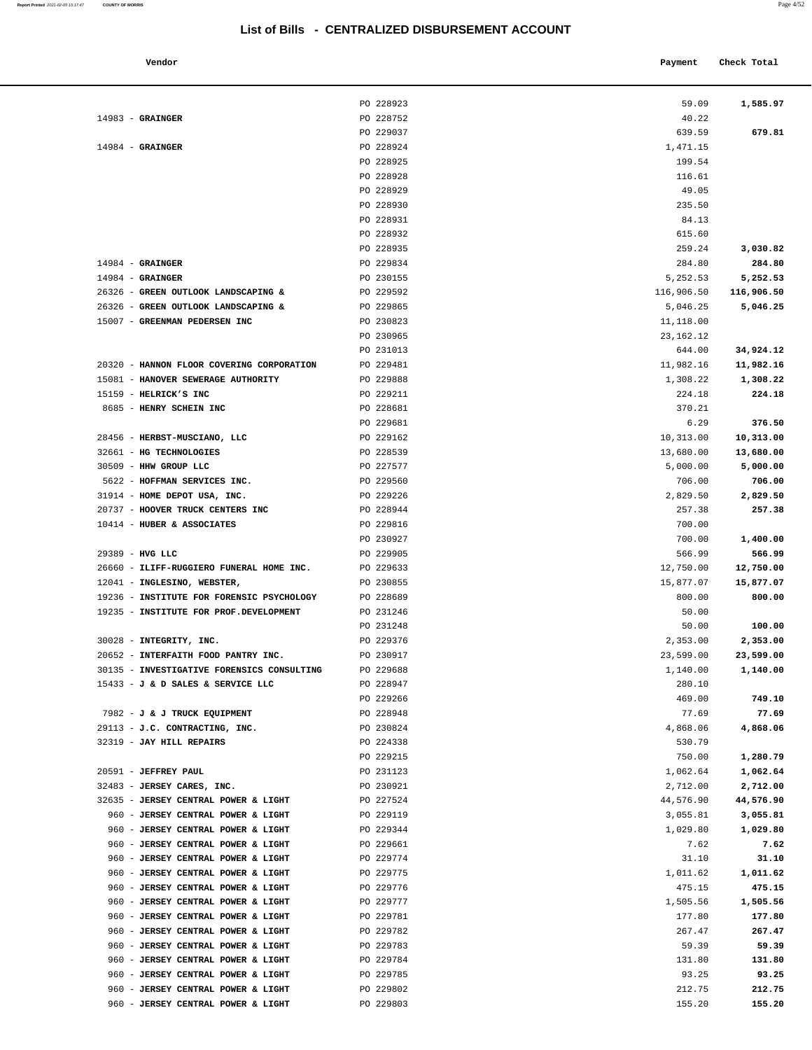|  | ı | ۰ |
|--|---|---|

|                                                                                   | PO 228923              | 59.09                 | 1,585.97           |
|-----------------------------------------------------------------------------------|------------------------|-----------------------|--------------------|
| $14983$ - GRAINGER                                                                | PO 228752              | 40.22                 |                    |
|                                                                                   | PO 229037              | 639.59                | 679.81             |
| $14984$ - GRAINGER                                                                | PO 228924              | 1,471.15              |                    |
|                                                                                   | PO 228925              | 199.54                |                    |
|                                                                                   | PO 228928              | 116.61                |                    |
|                                                                                   | PO 228929              | 49.05                 |                    |
|                                                                                   | PO 228930              | 235.50                |                    |
|                                                                                   | PO 228931              | 84.13                 |                    |
|                                                                                   | PO 228932<br>PO 228935 | 615.60                |                    |
| $14984$ - GRAINGER                                                                | PO 229834              | 259.24                | 3,030.82           |
| $14984$ - GRAINGER                                                                | PO 230155              | 284.80<br>5,252.53    | 284.80<br>5,252.53 |
| 26326 - GREEN OUTLOOK LANDSCAPING &                                               | PO 229592              | 116,906.50            | 116,906.50         |
| 26326 - GREEN OUTLOOK LANDSCAPING &                                               | PO 229865              | 5,046.25              | 5,046.25           |
| 15007 - GREENMAN PEDERSEN INC                                                     | PO 230823              | 11,118.00             |                    |
|                                                                                   | PO 230965              | 23, 162. 12           |                    |
|                                                                                   | PO 231013              | 644.00                | 34,924.12          |
| 20320 - HANNON FLOOR COVERING CORPORATION                                         | PO 229481              | 11,982.16             | 11,982.16          |
| 15081 - HANOVER SEWERAGE AUTHORITY                                                | PO 229888              | 1,308.22              | 1,308.22           |
| 15159 - HELRICK'S INC                                                             | PO 229211              | 224.18                | 224.18             |
| 8685 - HENRY SCHEIN INC                                                           | PO 228681              | 370.21                |                    |
|                                                                                   | PO 229681              | 6.29                  | 376.50             |
| 28456 - HERBST-MUSCIANO, LLC                                                      | PO 229162              | 10,313.00             | 10,313.00          |
| 32661 - HG TECHNOLOGIES                                                           | PO 228539              | 13,680.00             | 13,680.00          |
| 30509 - HHW GROUP LLC                                                             | PO 227577              | 5,000.00              | 5,000.00           |
| 5622 - HOFFMAN SERVICES INC.                                                      | PO 229560              | 706.00                | 706.00             |
| 31914 - HOME DEPOT USA, INC.                                                      | PO 229226              | 2,829.50              | 2,829.50           |
| 20737 - HOOVER TRUCK CENTERS INC                                                  | PO 228944              | 257.38                | 257.38             |
| $10414$ - HUBER & ASSOCIATES                                                      | PO 229816              | 700.00                |                    |
|                                                                                   | PO 230927              | 700.00                | 1,400.00           |
| 29389 - HVG LLC                                                                   | PO 229905              | 566.99                | 566.99             |
| 26660 - ILIFF-RUGGIERO FUNERAL HOME INC.                                          | PO 229633              | 12,750.00             | 12,750.00          |
| 12041 - INGLESINO, WEBSTER,                                                       | PO 230855              | 15,877.07             | 15,877.07          |
| 19236 - INSTITUTE FOR FORENSIC PSYCHOLOGY                                         | PO 228689              | 800.00                | 800.00             |
| 19235 - INSTITUTE FOR PROF.DEVELOPMENT                                            | PO 231246              | 50.00                 |                    |
|                                                                                   | PO 231248              | 50.00                 | 100.00             |
| 30028 - INTEGRITY, INC.                                                           | PO 229376              | 2,353.00              | 2,353.00           |
| 20652 - INTERFAITH FOOD PANTRY INC.<br>30135 - INVESTIGATIVE FORENSICS CONSULTING | PO 230917              | 23,599.00<br>1,140.00 | 23,599.00          |
| 15433 - J & D SALES & SERVICE LLC                                                 | PO 229688<br>PO 228947 |                       | 1,140.00           |
|                                                                                   | PO 229266              | 280.10<br>469.00      | 749.10             |
| 7982 - J & J TRUCK EQUIPMENT                                                      | PO 228948              | 77.69                 | 77.69              |
| 29113 - J.C. CONTRACTING, INC.                                                    | PO 230824              | 4,868.06              | 4,868.06           |
| 32319 - JAY HILL REPAIRS                                                          | PO 224338              | 530.79                |                    |
|                                                                                   | PO 229215              | 750.00                | 1,280.79           |
| 20591 - JEFFREY PAUL                                                              | PO 231123              | 1,062.64              | 1,062.64           |
| 32483 - JERSEY CARES, INC.                                                        | PO 230921              | 2,712.00              | 2,712.00           |
| 32635 - JERSEY CENTRAL POWER & LIGHT                                              | PO 227524              | 44,576.90             | 44,576.90          |
| 960 - JERSEY CENTRAL POWER & LIGHT                                                | PO 229119              | 3,055.81              | 3,055.81           |
| 960 - JERSEY CENTRAL POWER & LIGHT                                                | PO 229344              | 1,029.80              | 1,029.80           |
| 960 - JERSEY CENTRAL POWER & LIGHT                                                | PO 229661              | 7.62                  | 7.62               |
| 960 - JERSEY CENTRAL POWER & LIGHT                                                | PO 229774              | 31.10                 | 31.10              |
| 960 - JERSEY CENTRAL POWER & LIGHT                                                | PO 229775              | 1,011.62              | 1,011.62           |
| 960 - JERSEY CENTRAL POWER & LIGHT                                                | PO 229776              | 475.15                | 475.15             |
| 960 - JERSEY CENTRAL POWER & LIGHT                                                | PO 229777              | 1,505.56              | 1,505.56           |
| 960 - JERSEY CENTRAL POWER & LIGHT                                                | PO 229781              | 177.80                | 177.80             |
| 960 - JERSEY CENTRAL POWER & LIGHT                                                | PO 229782              | 267.47                | 267.47             |
| 960 - JERSEY CENTRAL POWER & LIGHT                                                | PO 229783              | 59.39                 | 59.39              |
| 960 - JERSEY CENTRAL POWER & LIGHT                                                | PO 229784              | 131.80                | 131.80             |
| 960 - JERSEY CENTRAL POWER & LIGHT                                                | PO 229785              | 93.25                 | 93.25              |
| 960 - JERSEY CENTRAL POWER & LIGHT                                                | PO 229802              | 212.75                | 212.75             |
| 960 - JERSEY CENTRAL POWER & LIGHT                                                | PO 229803              | 155.20                | 155.20             |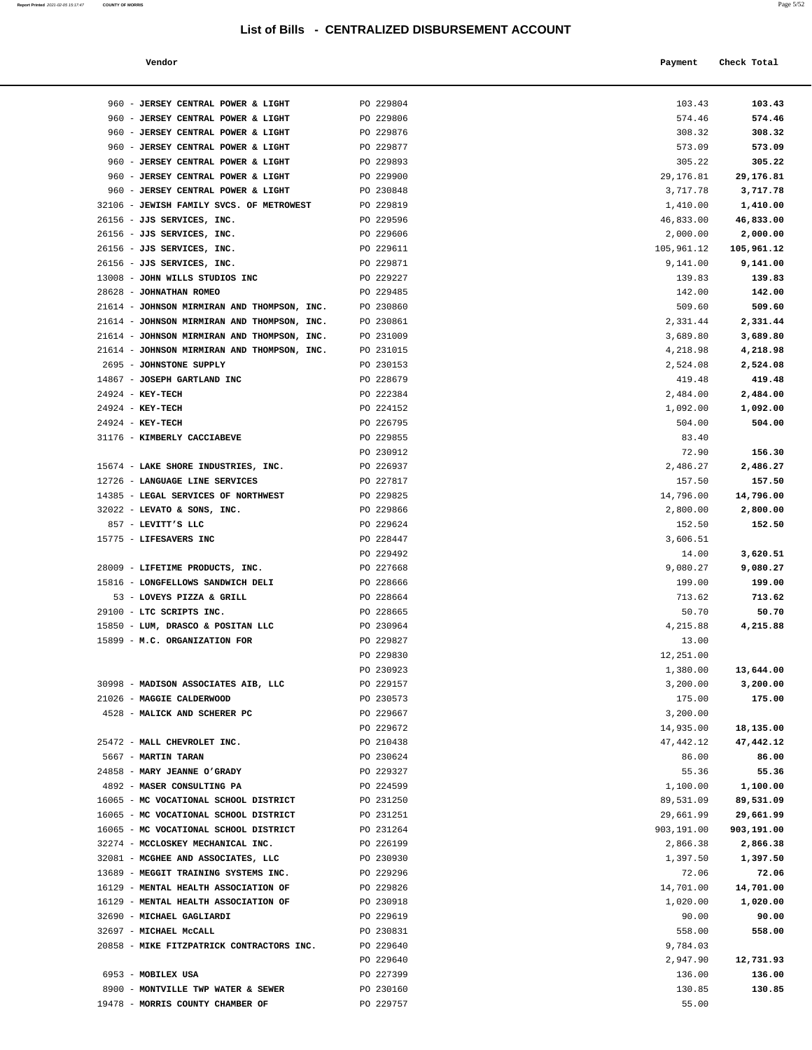| Vendor | Payment Check Total |
|--------|---------------------|
|        |                     |

| 960 - JERSEY CENTRAL POWER & LIGHT                                         | PO 229804              | 103.43                 | 103.43                 |
|----------------------------------------------------------------------------|------------------------|------------------------|------------------------|
| 960 - JERSEY CENTRAL POWER & LIGHT                                         | PO 229806              | 574.46                 | 574.46                 |
| 960 - JERSEY CENTRAL POWER & LIGHT                                         | PO 229876              | 308.32                 | 308.32                 |
| 960 - JERSEY CENTRAL POWER & LIGHT                                         | PO 229877              | 573.09                 | 573.09                 |
| 960 - JERSEY CENTRAL POWER & LIGHT                                         | PO 229893              | 305.22                 | 305.22                 |
| 960 - JERSEY CENTRAL POWER & LIGHT                                         | PO 229900              | 29,176.81              | 29,176.81              |
| 960 - JERSEY CENTRAL POWER & LIGHT                                         | PO 230848              | 3,717.78               | 3,717.78               |
| 32106 - JEWISH FAMILY SVCS. OF METROWEST                                   | PO 229819              | 1,410.00               | 1,410.00               |
| 26156 - JJS SERVICES, INC.                                                 | PO 229596              | 46,833.00              | 46,833.00              |
| 26156 - JJS SERVICES, INC.                                                 | PO 229606              | 2,000.00               | 2,000.00               |
| 26156 - JJS SERVICES, INC.                                                 | PO 229611              | 105,961.12             | 105,961.12             |
| 26156 - JJS SERVICES, INC.                                                 | PO 229871              | 9,141.00               | 9,141.00               |
| 13008 - JOHN WILLS STUDIOS INC<br>28628 - JOHNATHAN ROMEO                  | PO 229227<br>PO 229485 | 139.83<br>142.00       | 139.83<br>142.00       |
| 21614 - JOHNSON MIRMIRAN AND THOMPSON, INC.                                | PO 230860              | 509.60                 | 509.60                 |
| 21614 - JOHNSON MIRMIRAN AND THOMPSON, INC.                                | PO 230861              | 2,331.44               | 2,331.44               |
| 21614 - JOHNSON MIRMIRAN AND THOMPSON, INC.                                | PO 231009              | 3,689.80               | 3,689.80               |
| 21614 - JOHNSON MIRMIRAN AND THOMPSON, INC.                                | PO 231015              | 4,218.98               | 4,218.98               |
| 2695 - JOHNSTONE SUPPLY                                                    | PO 230153              | 2,524.08               | 2,524.08               |
| 14867 - JOSEPH GARTLAND INC                                                | PO 228679              | 419.48                 | 419.48                 |
| 24924 - KEY-TECH                                                           | PO 222384              | 2,484.00               | 2,484.00               |
| 24924 - KEY-TECH                                                           | PO 224152              | 1,092.00               | 1,092.00               |
| 24924 - KEY-TECH                                                           | PO 226795              | 504.00                 | 504.00                 |
| 31176 - KIMBERLY CACCIABEVE                                                | PO 229855              | 83.40                  |                        |
|                                                                            | PO 230912              | 72.90                  | 156.30                 |
| 15674 - LAKE SHORE INDUSTRIES, INC.                                        | PO 226937              | 2,486.27               | 2,486.27               |
| 12726 - LANGUAGE LINE SERVICES<br>14385 - LEGAL SERVICES OF NORTHWEST      | PO 227817<br>PO 229825 | 157.50                 | 157.50                 |
| 32022 - LEVATO & SONS, INC.                                                | PO 229866              | 14,796.00<br>2,800.00  | 14,796.00<br>2,800.00  |
| 857 - LEVITT'S LLC                                                         | PO 229624              | 152.50                 | 152.50                 |
| 15775 - LIFESAVERS INC                                                     | PO 228447              | 3,606.51               |                        |
|                                                                            | PO 229492              | 14.00                  | 3,620.51               |
| 28009 - LIFETIME PRODUCTS, INC.                                            | PO 227668              | 9,080.27               | 9,080.27               |
| 15816 - LONGFELLOWS SANDWICH DELI                                          | PO 228666              | 199.00                 | 199.00                 |
| 53 - LOVEYS PIZZA & GRILL                                                  | PO 228664              | 713.62                 | 713.62                 |
| 29100 - LTC SCRIPTS INC.                                                   | PO 228665              | 50.70                  | 50.70                  |
| 15850 - LUM, DRASCO & POSITAN LLC                                          | PO 230964              | 4,215.88               | 4,215.88               |
| 15899 - M.C. ORGANIZATION FOR                                              | PO 229827              | 13.00                  |                        |
|                                                                            | PO 229830<br>PO 230923 | 12,251.00<br>1,380.00  | 13,644.00              |
| 30998 - MADISON ASSOCIATES AIB, LLC                                        | PO 229157              | 3,200.00               | 3,200.00               |
| 21026 - MAGGIE CALDERWOOD                                                  | PO 230573              | 175.00                 | 175.00                 |
| 4528 - MALICK AND SCHERER PC                                               | PO 229667              | 3,200.00               |                        |
|                                                                            | PO 229672              | 14,935.00              | 18,135.00              |
| 25472 - MALL CHEVROLET INC.                                                | PO 210438              | 47,442.12              | 47,442.12              |
| 5667 - MARTIN TARAN                                                        | PO 230624              | 86.00                  | 86.00                  |
| 24858 - MARY JEANNE O'GRADY                                                | PO 229327              | 55.36                  | 55.36                  |
| 4892 - MASER CONSULTING PA                                                 | PO 224599              | 1,100.00               | 1,100.00               |
| 16065 - MC VOCATIONAL SCHOOL DISTRICT                                      | PO 231250              | 89,531.09              | 89,531.09              |
| 16065 - MC VOCATIONAL SCHOOL DISTRICT                                      | PO 231251              | 29,661.99              | 29,661.99              |
| 16065 - MC VOCATIONAL SCHOOL DISTRICT<br>32274 - MCCLOSKEY MECHANICAL INC. | PO 231264<br>PO 226199 | 903,191.00<br>2,866.38 | 903,191.00<br>2,866.38 |
| 32081 - MCGHEE AND ASSOCIATES, LLC                                         | PO 230930              | 1,397.50               | 1,397.50               |
| 13689 - MEGGIT TRAINING SYSTEMS INC.                                       | PO 229296              | 72.06                  | 72.06                  |
| 16129 - MENTAL HEALTH ASSOCIATION OF                                       | PO 229826              | 14,701.00              | 14,701.00              |
| 16129 - MENTAL HEALTH ASSOCIATION OF                                       | PO 230918              | 1,020.00               | 1,020.00               |
| 32690 - MICHAEL GAGLIARDI                                                  | PO 229619              | 90.00                  | 90.00                  |
| 32697 - MICHAEL MCCALL                                                     | PO 230831              | 558.00                 | 558.00                 |
| 20858 - MIKE FITZPATRICK CONTRACTORS INC.                                  | PO 229640              | 9,784.03               |                        |
|                                                                            | PO 229640              | 2,947.90               | 12,731.93              |
| 6953 - MOBILEX USA                                                         | PO 227399              | 136.00                 | 136.00                 |
| 8900 - MONTVILLE TWP WATER & SEWER<br>19478 - MORRIS COUNTY CHAMBER OF     | PO 230160<br>PO 229757 | 130.85<br>55.00        | 130.85                 |
|                                                                            |                        |                        |                        |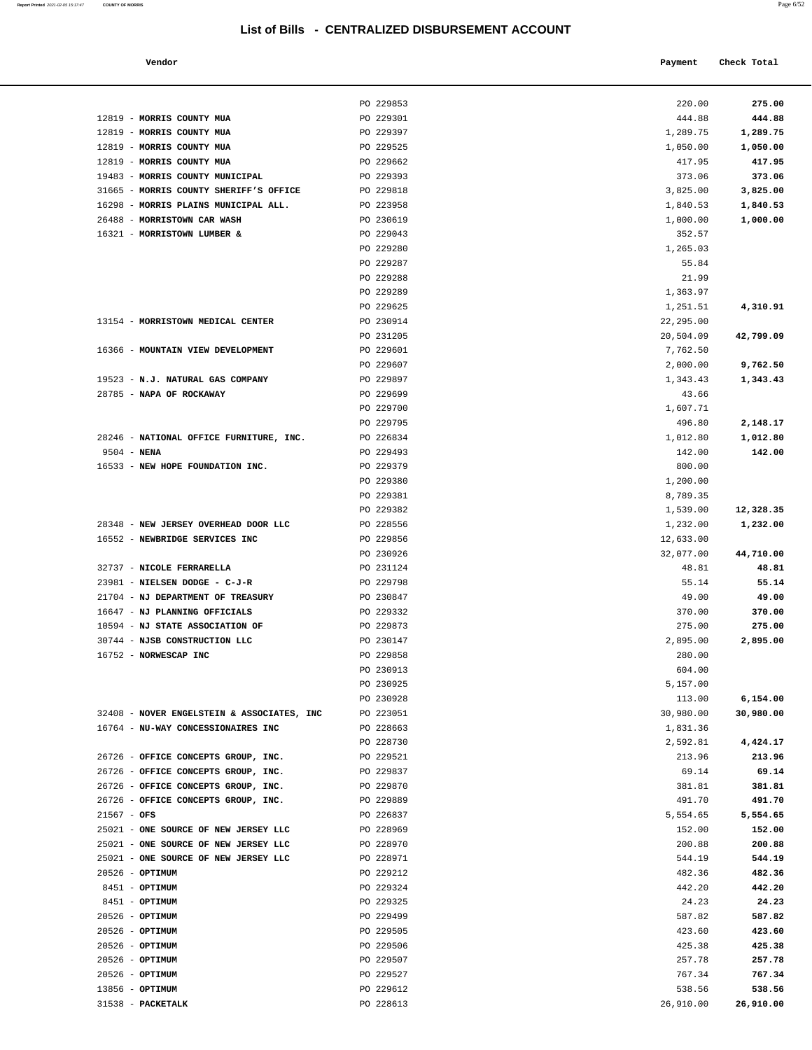| Report Printed 2021-02-05 15:17:47 | <b>COUNTY OF MORRIS</b> |  | Page 6/52 |
|------------------------------------|-------------------------|--|-----------|
|                                    |                         |  |           |

| Vendor | Payment Check Total |  |
|--------|---------------------|--|
|        |                     |  |

|                                                                            | PO 229853              | 220.00           | 275.00           |
|----------------------------------------------------------------------------|------------------------|------------------|------------------|
| 12819 - MORRIS COUNTY MUA                                                  | PO 229301              | 444.88           | 444.88           |
| 12819 - MORRIS COUNTY MUA                                                  | PO 229397              | 1,289.75         | 1,289.75         |
| 12819 - MORRIS COUNTY MUA                                                  | PO 229525              | 1,050.00         | 1,050.00         |
| 12819 - MORRIS COUNTY MUA                                                  | PO 229662              | 417.95           | 417.95           |
| 19483 - MORRIS COUNTY MUNICIPAL                                            | PO 229393              | 373.06           | 373.06           |
| 31665 - MORRIS COUNTY SHERIFF'S OFFICE                                     | PO 229818              | 3,825.00         | 3,825.00         |
| 16298 - MORRIS PLAINS MUNICIPAL ALL.                                       | PO 223958              | 1,840.53         | 1,840.53         |
| 26488 - MORRISTOWN CAR WASH                                                | PO 230619              | 1,000.00         | 1,000.00         |
| 16321 - MORRISTOWN LUMBER &                                                | PO 229043              | 352.57           |                  |
|                                                                            | PO 229280              | 1,265.03         |                  |
|                                                                            | PO 229287              | 55.84            |                  |
|                                                                            | PO 229288              | 21.99            |                  |
|                                                                            | PO 229289              | 1,363.97         |                  |
|                                                                            | PO 229625              | 1,251.51         | 4,310.91         |
| 13154 - MORRISTOWN MEDICAL CENTER                                          | PO 230914              | 22,295.00        |                  |
|                                                                            | PO 231205              | 20,504.09        | 42,799.09        |
| 16366 - MOUNTAIN VIEW DEVELOPMENT                                          | PO 229601              | 7,762.50         |                  |
|                                                                            | PO 229607              | 2,000.00         | 9,762.50         |
| 19523 - N.J. NATURAL GAS COMPANY                                           | PO 229897              | 1,343.43         | 1,343.43         |
| 28785 - NAPA OF ROCKAWAY                                                   | PO 229699              | 43.66            |                  |
|                                                                            | PO 229700              | 1,607.71         |                  |
|                                                                            | PO 229795              | 496.80           | 2,148.17         |
| 28246 - NATIONAL OFFICE FURNITURE, INC.                                    | PO 226834              | 1,012.80         | 1,012.80         |
| $9504 - NENA$                                                              | PO 229493              | 142.00           | 142.00           |
| 16533 - NEW HOPE FOUNDATION INC.                                           | PO 229379              | 800.00           |                  |
|                                                                            | PO 229380              | 1,200.00         |                  |
|                                                                            | PO 229381              | 8,789.35         |                  |
|                                                                            | PO 229382              | 1,539.00         | 12,328.35        |
| 28348 - NEW JERSEY OVERHEAD DOOR LLC                                       | PO 228556              | 1,232.00         | 1,232.00         |
| 16552 - NEWBRIDGE SERVICES INC                                             | PO 229856              | 12,633.00        |                  |
|                                                                            | PO 230926              | 32,077.00        | 44,710.00        |
| 32737 - NICOLE FERRARELLA                                                  | PO 231124              | 48.81            | 48.81            |
| 23981 - NIELSEN DODGE - C-J-R                                              | PO 229798              | 55.14            | 55.14            |
| 21704 - NJ DEPARTMENT OF TREASURY                                          | PO 230847              | 49.00            | 49.00            |
| 16647 - NJ PLANNING OFFICIALS                                              | PO 229332              | 370.00           | 370.00           |
| 10594 - NJ STATE ASSOCIATION OF                                            | PO 229873              | 275.00           | 275.00           |
| 30744 - NJSB CONSTRUCTION LLC                                              | PO 230147              | 2,895.00         | 2,895.00         |
| 16752 - NORWESCAP INC                                                      | PO 229858              | 280.00           |                  |
|                                                                            | PO 230913              | 604.00           |                  |
|                                                                            | PO 230925              | 5,157.00         |                  |
|                                                                            | PO 230928              | 113.00           | 6,154.00         |
| 32408 - NOVER ENGELSTEIN & ASSOCIATES, INC                                 | PO 223051              | 30,980.00        | 30,980.00        |
| 16764 - NU-WAY CONCESSIONAIRES INC                                         | PO 228663              | 1,831.36         |                  |
|                                                                            | PO 228730              | 2,592.81         | 4,424.17         |
| 26726 - OFFICE CONCEPTS GROUP, INC.                                        | PO 229521              | 213.96           | 213.96           |
| 26726 - OFFICE CONCEPTS GROUP, INC.                                        | PO 229837              | 69.14            | 69.14            |
| 26726 - OFFICE CONCEPTS GROUP, INC.<br>26726 - OFFICE CONCEPTS GROUP, INC. | PO 229870              | 381.81           | 381.81           |
|                                                                            | PO 229889              | 491.70           | 491.70           |
| $21567 - OFS$                                                              | PO 226837              | 5,554.65         | 5,554.65         |
| 25021 - ONE SOURCE OF NEW JERSEY LLC                                       | PO 228969              | 152.00           | 152.00           |
| 25021 - ONE SOURCE OF NEW JERSEY LLC                                       | PO 228970              | 200.88           | 200.88           |
| 25021 - ONE SOURCE OF NEW JERSEY LLC                                       | PO 228971              | 544.19           | 544.19           |
| $20526$ - OPTIMUM                                                          | PO 229212              | 482.36           | 482.36           |
| 8451 - OPTIMUM<br>8451 - OPTIMUM                                           | PO 229324<br>PO 229325 | 442.20<br>24.23  | 442.20<br>24.23  |
|                                                                            |                        |                  |                  |
| 20526 - OPTIMUM                                                            | PO 229499<br>PO 229505 | 587.82           | 587.82           |
| 20526 - OPTIMUM<br>20526 - OPTIMUM                                         | PO 229506              | 423.60<br>425.38 | 423.60<br>425.38 |
| $20526$ - OPTIMUM                                                          | PO 229507              | 257.78           | 257.78           |
| $20526$ - OPTIMUM                                                          | PO 229527              | 767.34           | 767.34           |
| 13856 - OPTIMUM                                                            | PO 229612              | 538.56           | 538.56           |
| 31538 - PACKETALK                                                          | PO 228613              | 26,910.00        | 26,910.00        |
|                                                                            |                        |                  |                  |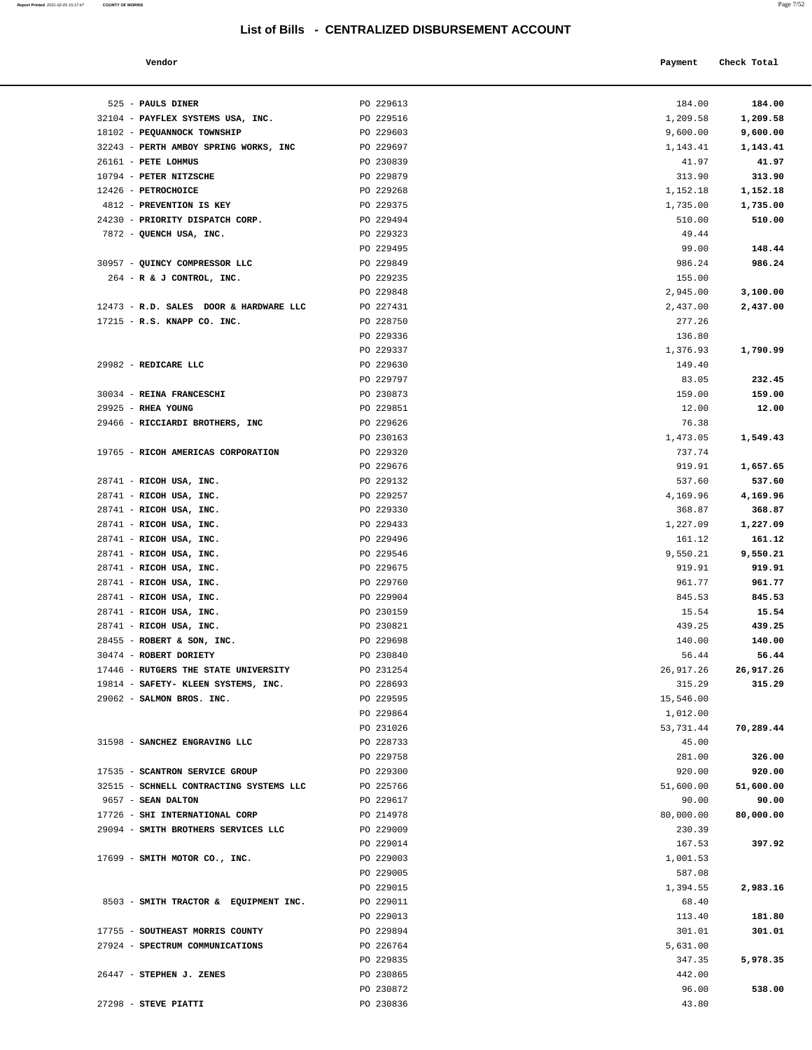525 - **PAULS DINER** PO 229613

**Report Printed** 2021-02-05 15:17:47 **COUNTY OF MORRIS** 

|--|--|

|                                     | List of Bills - CENTRALIZED DISBURSEMENT ACCOUNT |                  |             |
|-------------------------------------|--------------------------------------------------|------------------|-------------|
| Vendor                              |                                                  | Payment          | Check Total |
| <b>PAULS DINER</b>                  | PO 229613                                        | 184.00           | 184.00      |
| PAYFLEX SYSTEMS USA, INC.           | PO 229516                                        | 1,209.58         | 1,209.58    |
| PEQUANNOCK TOWNSHIP                 | PO 229603                                        | 9,600.00         | 9,600.00    |
| PERTH AMBOY SPRING WORKS, INC       | PO 229697                                        | 1,143.41         | 1,143.41    |
| PETE LOHMUS                         | PO 230839                                        | 41.97            | 41.97       |
| PETER NITZSCHE                      | PO 229879                                        | 313.90           | 313.90      |
| <b>PETROCHOICE</b>                  | PO 229268                                        | 1,152.18         | 1,152.18    |
| PREVENTION IS KEY                   | PO 229375                                        | 1,735.00         | 1,735.00    |
| PRIORITY DISPATCH CORP.             | PO 229494                                        | 510.00           | 510.00      |
| QUENCH USA, INC.                    | PO 229323                                        | 49.44            |             |
|                                     | PO 229495                                        | 99.00            | 148.44      |
| QUINCY COMPRESSOR LLC               | PO 229849                                        | 986.24           | 986.24      |
| R & J CONTROL, INC.                 | PO 229235                                        | 155.00           |             |
|                                     | PO 229848                                        | 2,945.00         | 3,100.00    |
| R.D. SALES DOOR & HARDWARE LLC      | PO 227431                                        | 2,437.00         | 2,437.00    |
| R.S. KNAPP CO. INC.                 | PO 228750                                        | 277.26           |             |
|                                     | PO 229336                                        | 136.80           |             |
|                                     | PO 229337                                        | 1,376.93         | 1,790.99    |
| REDICARE LLC                        | PO 229630                                        | 149.40           |             |
|                                     | PO 229797                                        | 83.05            | 232.45      |
| <b>REINA FRANCESCHI</b>             | PO 230873                                        | 159.00           | 159.00      |
| <b>RHEA YOUNG</b>                   | PO 229851                                        | 12.00            | 12.00       |
| RICCIARDI BROTHERS, INC             | PO 229626                                        | 76.38            |             |
|                                     | PO 230163                                        | 1,473.05         | 1,549.43    |
| RICOH AMERICAS CORPORATION          | PO 229320                                        | 737.74           |             |
|                                     | PO 229676                                        | 919.91           | 1,657.65    |
| RICOH USA, INC.                     | PO 229132                                        | 537.60           | 537.60      |
| RICOH USA, INC.                     | PO 229257                                        | 4,169.96         | 4,169.96    |
| RICOH USA, INC.                     | PO 229330                                        | 368.87           | 368.87      |
| RICOH USA, INC.                     | PO 229433                                        | 1,227.09         | 1,227.09    |
| RICOH USA, INC.                     | PO 229496                                        | 161.12           | 161.12      |
| RICOH USA, INC.                     | PO 229546                                        | 9,550.21         | 9,550.21    |
|                                     | PO 229675                                        |                  |             |
| RICOH USA, INC.<br>RICOH USA, INC.  | PO 229760                                        | 919.91<br>961.77 | 919.91      |
|                                     |                                                  |                  | 961.77      |
| RICOH USA, INC.                     | PO 229904                                        | 845.53           | 845.53      |
| RICOH USA, INC.                     | PO 230159                                        | 15.54            | 15.54       |
| RICOH USA, INC.                     | PO 230821                                        | 439.25           | 439.25      |
| ROBERT & SON, INC.                  | PO 229698                                        | 140.00           | 140.00      |
| <b>ROBERT DORIETY</b>               | PO 230840                                        | 56.44            | 56.44       |
| <b>RUTGERS THE STATE UNIVERSITY</b> | PO 231254                                        | 26,917.26        | 26,917.26   |
| SAFETY- KLEEN SYSTEMS, INC.         | PO 228693                                        | 315.29           | 315.29      |
| SALMON BROS. INC.                   | PO 229595                                        | 15,546.00        |             |
|                                     | PO 229864                                        | 1,012.00         |             |
|                                     | PO 231026                                        | 53,731.44        | 70,289.44   |
| SANCHEZ ENGRAVING LLC               | PO 228733                                        | 45.00            |             |
|                                     | PO 229758                                        | 281.00           | 326.00      |
| <b>SCANTRON SERVICE GROUP</b>       | PO 229300                                        | 920.00           | 920.00      |
| SCHNELL CONTRACTING SYSTEMS LLC     | PO 225766                                        | 51,600.00        | 51,600.00   |
| <b>SEAN DALTON</b>                  | PO 229617                                        | 90.00            | 90.00       |
| SHI INTERNATIONAL CORP              | PO 214978                                        | 80,000.00        | 80,000.00   |
| SMITH BROTHERS SERVICES LLC         | PO 229009                                        | 230.39           |             |
|                                     | PO 229014                                        | 167.53           | 397.92      |
| SMITH MOTOR CO., INC.               | PO 229003                                        | 1,001.53         |             |
|                                     | PO 229005                                        | 587.08           |             |
|                                     | PO 229015                                        | 1,394.55         | 2,983.16    |
| SMITH TRACTOR & EQUIPMENT INC.      | PO 229011                                        | 68.40            |             |
|                                     | PO 229013                                        | 113.40           | 181.80      |
| SOUTHEAST MORRIS COUNTY             | PO 229894                                        | 301.01           | 301.01      |

| 32104 - PAYFLEX SYSTEMS USA, INC.       | PO 229516 | 1,209.58  | 1,209.58  |
|-----------------------------------------|-----------|-----------|-----------|
| 18102 - PEQUANNOCK TOWNSHIP             | PO 229603 | 9,600.00  | 9,600.00  |
| 32243 - PERTH AMBOY SPRING WORKS, INC   | PO 229697 | 1,143.41  | 1,143.41  |
| 26161 - PETE LOHMUS                     | PO 230839 | 41.97     | 41.97     |
| 10794 - PETER NITZSCHE                  | PO 229879 | 313.90    | 313.90    |
| 12426 - PETROCHOICE                     | PO 229268 | 1,152.18  | 1,152.18  |
| 4812 - PREVENTION IS KEY                | PO 229375 | 1,735.00  | 1,735.00  |
| 24230 - PRIORITY DISPATCH CORP.         | PO 229494 | 510.00    | 510.00    |
| 7872 - QUENCH USA, INC.                 | PO 229323 | 49.44     |           |
|                                         | PO 229495 | 99.00     | 148.44    |
| 30957 - QUINCY COMPRESSOR LLC           | PO 229849 | 986.24    | 986.24    |
| 264 - R & J CONTROL, INC.               | PO 229235 | 155.00    |           |
|                                         | PO 229848 | 2,945.00  | 3,100.00  |
| 12473 - R.D. SALES DOOR & HARDWARE LLC  | PO 227431 | 2,437.00  | 2,437.00  |
| 17215 - R.S. KNAPP CO. INC.             | PO 228750 | 277.26    |           |
|                                         | PO 229336 | 136.80    |           |
|                                         | PO 229337 | 1,376.93  | 1,790.99  |
| 29982 - REDICARE LLC                    | PO 229630 | 149.40    |           |
|                                         | PO 229797 | 83.05     | 232.45    |
| 30034 - REINA FRANCESCHI                | PO 230873 | 159.00    | 159.00    |
| 29925 - RHEA YOUNG                      | PO 229851 | 12.00     | 12.00     |
| 29466 - RICCIARDI BROTHERS, INC         | PO 229626 | 76.38     |           |
|                                         | PO 230163 | 1,473.05  | 1,549.43  |
| 19765 - RICOH AMERICAS CORPORATION      | PO 229320 | 737.74    |           |
|                                         | PO 229676 | 919.91    | 1,657.65  |
| 28741 - RICOH USA, INC.                 | PO 229132 | 537.60    | 537.60    |
| 28741 - RICOH USA, INC.                 | PO 229257 | 4,169.96  | 4,169.96  |
| 28741 - RICOH USA, INC.                 | PO 229330 | 368.87    | 368.87    |
| 28741 - RICOH USA, INC.                 | PO 229433 | 1,227.09  | 1,227.09  |
| 28741 - RICOH USA, INC.                 | PO 229496 | 161.12    | 161.12    |
|                                         |           |           |           |
| 28741 - RICOH USA, INC.                 | PO 229546 | 9,550.21  | 9,550.21  |
| 28741 - RICOH USA, INC.                 | PO 229675 | 919.91    | 919.91    |
| 28741 - RICOH USA, INC.                 | PO 229760 | 961.77    | 961.77    |
| 28741 - RICOH USA, INC.                 | PO 229904 | 845.53    | 845.53    |
| 28741 - RICOH USA, INC.                 | PO 230159 | 15.54     | 15.54     |
| 28741 - RICOH USA, INC.                 | PO 230821 | 439.25    | 439.25    |
| 28455 - ROBERT & SON, INC.              | PO 229698 | 140.00    | 140.00    |
| 30474 - ROBERT DORIETY                  | PO 230840 | 56.44     | 56.44     |
| 17446 - RUTGERS THE STATE UNIVERSITY    | PO 231254 | 26,917.26 | 26,917.26 |
| 19814 - SAFETY- KLEEN SYSTEMS, INC.     | PO 228693 | 315.29    | 315.29    |
| 29062 - SALMON BROS. INC.               | PO 229595 | 15,546.00 |           |
|                                         | PO 229864 | 1,012.00  |           |
|                                         | PO 231026 | 53,731.44 | 70,289.44 |
| 31598 - SANCHEZ ENGRAVING LLC           | PO 228733 | 45.00     |           |
|                                         | PO 229758 | 281.00    | 326.00    |
| 17535 - SCANTRON SERVICE GROUP          | PO 229300 | 920.00    | 920.00    |
| 32515 - SCHNELL CONTRACTING SYSTEMS LLC | PO 225766 | 51,600.00 | 51,600.00 |
| 9657 - SEAN DALTON                      | PO 229617 | 90.00     | 90.00     |
| 17726 - SHI INTERNATIONAL CORP          | PO 214978 | 80,000.00 | 80,000.00 |
| 29094 - SMITH BROTHERS SERVICES LLC     | PO 229009 | 230.39    |           |
|                                         | PO 229014 | 167.53    | 397.92    |
| 17699 - SMITH MOTOR CO., INC.           | PO 229003 | 1,001.53  |           |
|                                         | PO 229005 | 587.08    |           |
|                                         | PO 229015 | 1,394.55  | 2,983.16  |
| 8503 - SMITH TRACTOR & EQUIPMENT INC.   | PO 229011 | 68.40     |           |
|                                         | PO 229013 | 113.40    | 181.80    |
| 17755 - SOUTHEAST MORRIS COUNTY         | PO 229894 | 301.01    | 301.01    |
| 27924 - SPECTRUM COMMUNICATIONS         | PO 226764 | 5,631.00  |           |
|                                         | PO 229835 | 347.35    | 5,978.35  |
| 26447 - STEPHEN J. ZENES                | PO 230865 | 442.00    |           |
|                                         | PO 230872 | 96.00     | 538.00    |

27298 - **STEVE PIATTI** PO 230836 43.80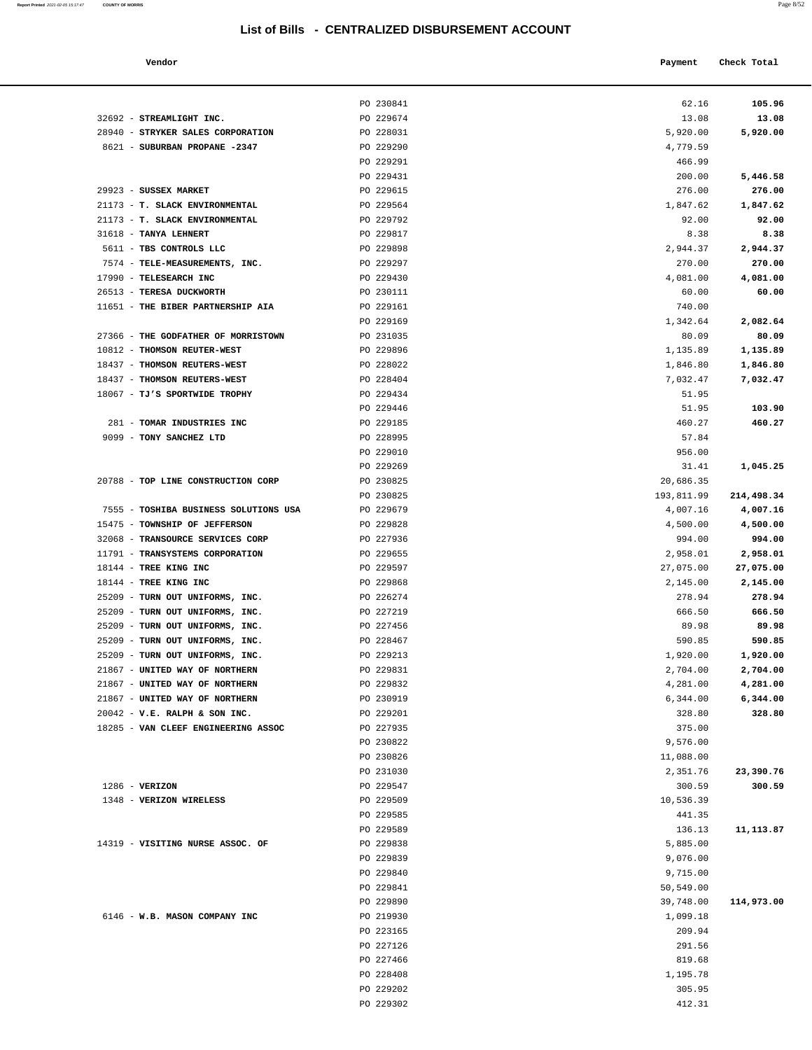**Report Printed** 2021-02-05 15:17:47 **COUNTY OF MORRIS** Page 8/52

| Vendor                                                            |                        | Payment               | Check Total          |
|-------------------------------------------------------------------|------------------------|-----------------------|----------------------|
|                                                                   |                        |                       |                      |
|                                                                   | PO 230841              | 62.16                 | 105.96               |
| 32692 - STREAMLIGHT INC.                                          | PO 229674              | 13.08                 | 13.08                |
| 28940 - STRYKER SALES CORPORATION                                 | PO 228031<br>PO 229290 | 5,920.00<br>4,779.59  | 5,920.00             |
| 8621 - SUBURBAN PROPANE -2347                                     | PO 229291              | 466.99                |                      |
|                                                                   | PO 229431              | 200.00                | 5,446.58             |
| 29923 - SUSSEX MARKET                                             | PO 229615              | 276.00                | 276.00               |
| 21173 - T. SLACK ENVIRONMENTAL                                    | PO 229564              | 1,847.62              | 1,847.62             |
| 21173 - T. SLACK ENVIRONMENTAL                                    | PO 229792              | 92.00                 | 92.00                |
| 31618 - TANYA LEHNERT                                             | PO 229817              | 8.38                  | 8.38                 |
| 5611 - TBS CONTROLS LLC                                           | PO 229898              | 2,944.37              | 2,944.37             |
| 7574 - TELE-MEASUREMENTS, INC.                                    | PO 229297              | 270.00                | 270.00               |
| 17990 - TELESEARCH INC                                            | PO 229430              | 4,081.00              | 4,081.00             |
| 26513 - TERESA DUCKWORTH                                          | PO 230111              | 60.00                 | 60.00                |
| 11651 - THE BIBER PARTNERSHIP AIA                                 | PO 229161              | 740.00                |                      |
|                                                                   | PO 229169              | 1,342.64              | 2,082.64             |
| 27366 - THE GODFATHER OF MORRISTOWN                               | PO 231035              | 80.09                 | 80.09                |
| 10812 - THOMSON REUTER-WEST                                       | PO 229896              | 1,135.89              | 1,135.89             |
| 18437 - THOMSON REUTERS-WEST                                      | PO 228022              | 1,846.80              | 1,846.80             |
| 18437 - THOMSON REUTERS-WEST                                      | PO 228404              | 7,032.47              | 7,032.47             |
| 18067 - TJ'S SPORTWIDE TROPHY                                     | PO 229434              | 51.95                 |                      |
| 281 - TOMAR INDUSTRIES INC                                        | PO 229446<br>PO 229185 | 51.95<br>460.27       | 103.90<br>460.27     |
| 9099 - TONY SANCHEZ LTD                                           | PO 228995              | 57.84                 |                      |
|                                                                   | PO 229010              | 956.00                |                      |
|                                                                   | PO 229269              | 31.41                 | 1,045.25             |
| 20788 - TOP LINE CONSTRUCTION CORP                                | PO 230825              | 20,686.35             |                      |
|                                                                   | PO 230825              | 193,811.99            | 214,498.34           |
| 7555 - TOSHIBA BUSINESS SOLUTIONS USA                             | PO 229679              | 4,007.16              | 4,007.16             |
| 15475 - TOWNSHIP OF JEFFERSON                                     | PO 229828              | 4,500.00              | 4,500.00             |
| 32068 - TRANSOURCE SERVICES CORP                                  | PO 227936              | 994.00                | 994.00               |
| 11791 - TRANSYSTEMS CORPORATION                                   | PO 229655              | 2,958.01              | 2,958.01             |
| 18144 - TREE KING INC                                             | PO 229597              | 27,075.00             | 27,075.00            |
| 18144 - TREE KING INC                                             | PO 229868              | 2,145.00              | 2,145.00             |
| 25209 - TURN OUT UNIFORMS, INC.                                   | PO 226274              | 278.94                | 278.94               |
| 25209 - TURN OUT UNIFORMS, INC.                                   | PO 227219              | 666.50                | 666.50               |
| 25209 - TURN OUT UNIFORMS, INC.                                   | PO 227456              | 89.98                 | 89.98                |
| 25209 - TURN OUT UNIFORMS, INC.                                   | PO 228467              | 590.85<br>1,920.00    | 590.85               |
| 25209 - TURN OUT UNIFORMS, INC.<br>21867 - UNITED WAY OF NORTHERN | PO 229213<br>PO 229831 | 2,704.00              | 1,920.00<br>2,704.00 |
| 21867 - UNITED WAY OF NORTHERN                                    | PO 229832              | 4,281.00              | 4,281.00             |
| 21867 - UNITED WAY OF NORTHERN                                    | PO 230919              | 6,344.00              | 6,344.00             |
| $20042$ - $V.E. RALPH & SON INC.$                                 | PO 229201              | 328.80                | 328.80               |
| 18285 - VAN CLEEF ENGINEERING ASSOC                               | PO 227935              | 375.00                |                      |
|                                                                   | PO 230822              | 9,576.00              |                      |
|                                                                   | PO 230826              | 11,088.00             |                      |
|                                                                   | PO 231030              | 2,351.76              | 23,390.76            |
| $1286$ - VERIZON                                                  | PO 229547              | 300.59                | 300.59               |
| 1348 - VERIZON WIRELESS                                           | PO 229509              | 10,536.39             |                      |
|                                                                   | PO 229585              | 441.35                |                      |
|                                                                   | PO 229589              | 136.13                | 11, 113.87           |
| 14319 - VISITING NURSE ASSOC. OF                                  | PO 229838              | 5,885.00              |                      |
|                                                                   | PO 229839              | 9,076.00              |                      |
|                                                                   | PO 229840<br>PO 229841 | 9,715.00<br>50,549.00 |                      |
|                                                                   | PO 229890              | 39,748.00             | 114,973.00           |
| 6146 - W.B. MASON COMPANY INC                                     | PO 219930              | 1,099.18              |                      |
|                                                                   | PO 223165              | 209.94                |                      |
|                                                                   | PO 227126              | 291.56                |                      |
|                                                                   | PO 227466              | 819.68                |                      |
|                                                                   | PO 228408              | 1,195.78              |                      |
|                                                                   | PO 229202              | 305.95                |                      |
|                                                                   | PO 229302              | 412.31                |                      |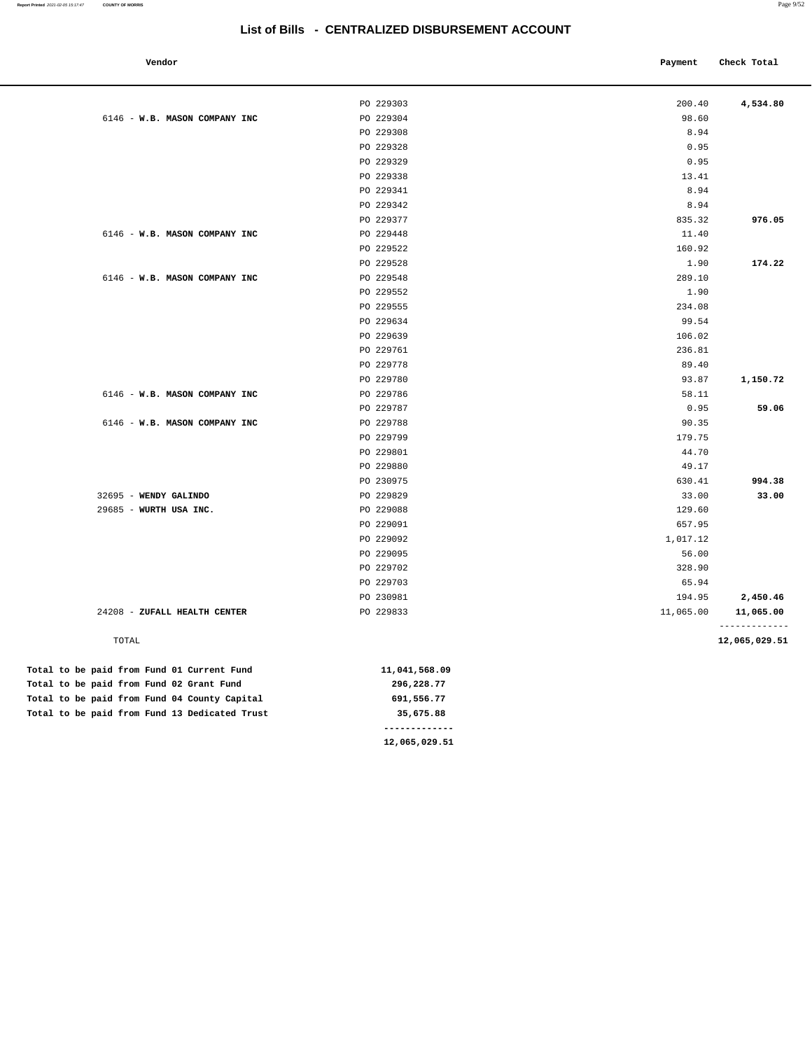| Vendor                                          |                        | Payment         | Check Total   |
|-------------------------------------------------|------------------------|-----------------|---------------|
|                                                 |                        |                 |               |
|                                                 | PO 229303              | 200.40          | 4,534.80      |
| 6146 - W.B. MASON COMPANY INC                   | PO 229304              | 98.60           |               |
|                                                 | PO 229308              | 8.94            |               |
|                                                 | PO 229328              | 0.95            |               |
|                                                 | PO 229329              | 0.95            |               |
|                                                 | PO 229338              | 13.41           |               |
|                                                 | PO 229341              | 8.94            |               |
|                                                 | PO 229342              | 8.94            |               |
|                                                 | PO 229377              | 835.32          | 976.05        |
| 6146 - W.B. MASON COMPANY INC                   | PO 229448              | 11.40           |               |
|                                                 | PO 229522              | 160.92          |               |
|                                                 | PO 229528              | 1.90            | 174.22        |
| 6146 - W.B. MASON COMPANY INC                   | PO 229548              | 289.10          |               |
|                                                 | PO 229552              | 1.90            |               |
|                                                 | PO 229555              | 234.08          |               |
|                                                 | PO 229634              | 99.54           |               |
|                                                 | PO 229639              | 106.02          |               |
|                                                 | PO 229761              | 236.81          |               |
|                                                 | PO 229778              | 89.40           |               |
|                                                 | PO 229780              | 93.87           | 1,150.72      |
| 6146 - W.B. MASON COMPANY INC                   | PO 229786              | 58.11           |               |
|                                                 | PO 229787              | 0.95            | 59.06         |
| 6146 - W.B. MASON COMPANY INC                   | PO 229788              | 90.35           |               |
|                                                 | PO 229799              | 179.75          |               |
|                                                 | PO 229801              | 44.70           |               |
|                                                 | PO 229880              | 49.17           |               |
|                                                 | PO 230975              | 630.41          | 994.38        |
| 32695 - WENDY GALINDO<br>29685 - WURTH USA INC. | PO 229829<br>PO 229088 | 33.00<br>129.60 | 33.00         |
|                                                 | PO 229091              | 657.95          |               |
|                                                 | PO 229092              | 1,017.12        |               |
|                                                 | PO 229095              | 56.00           |               |
|                                                 | PO 229702              | 328.90          |               |
|                                                 | PO 229703              | 65.94           |               |
|                                                 | PO 230981              | 194.95          | 2,450.46      |
| 24208 - ZUFALL HEALTH CENTER                    | PO 229833              | 11,065.00       | 11,065.00     |
|                                                 |                        |                 | ------------- |
| TOTAL                                           |                        |                 | 12,065,029.51 |
| Total to be paid from Fund 01 Current Fund      | 11,041,568.09          |                 |               |
| Total to be paid from Fund 02 Grant Fund        | 296,228.77             |                 |               |
| Total to be paid from Fund 04 County Capital    | 691,556.77             |                 |               |
| Total to be paid from Fund 13 Dedicated Trust   | 35,675.88              |                 |               |
|                                                 | -------------          |                 |               |

**12,065,029.51**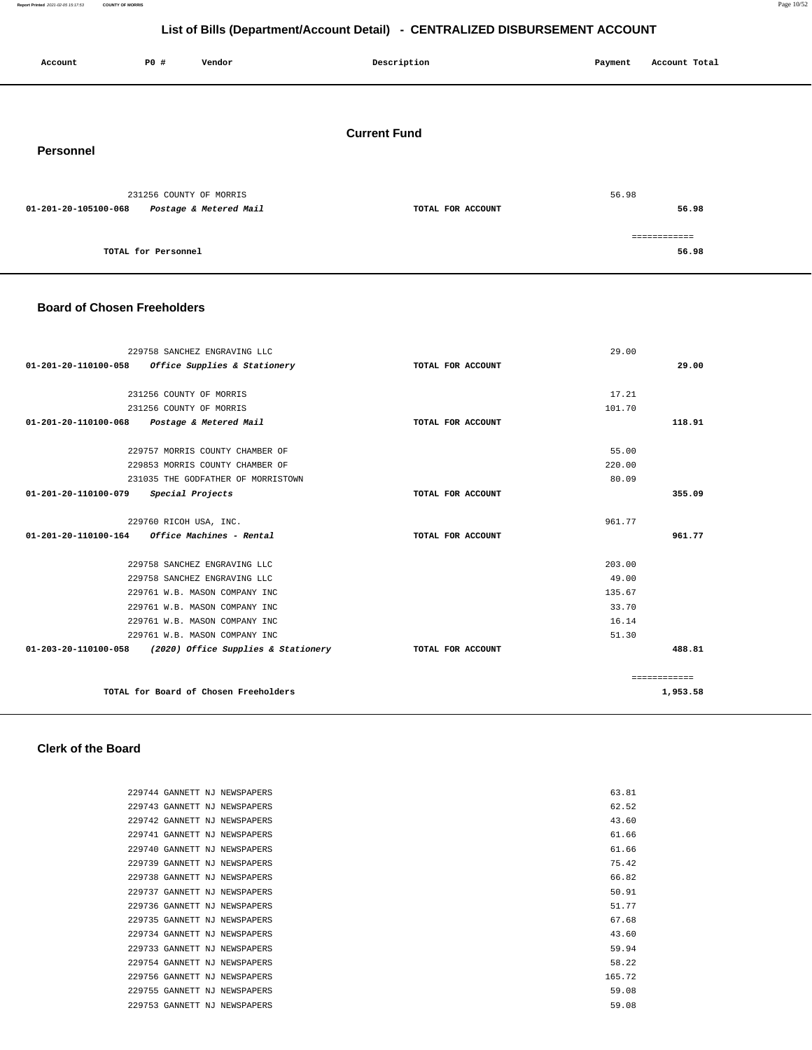**Report Printed** 2021-02-05 15:17:53 **COUNTY OF MORRIS** Page 10/52

## **List of Bills (Department/Account Detail) - CENTRALIZED DISBURSEMENT ACCOUNT**

| Account              | P0 #                    | Vendor                 | Description         | Payment | Account Total         |
|----------------------|-------------------------|------------------------|---------------------|---------|-----------------------|
| Personnel            |                         |                        | <b>Current Fund</b> |         |                       |
| 01-201-20-105100-068 | 231256 COUNTY OF MORRIS | Postage & Metered Mail | TOTAL FOR ACCOUNT   | 56.98   | 56.98                 |
|                      | TOTAL for Personnel     |                        |                     |         | ============<br>56.98 |

#### **Board of Chosen Freeholders**

|                      | 229758 SANCHEZ ENGRAVING LLC                             |                   | 29.00  |              |
|----------------------|----------------------------------------------------------|-------------------|--------|--------------|
| 01-201-20-110100-058 | Office Supplies & Stationery                             | TOTAL FOR ACCOUNT |        | 29.00        |
|                      |                                                          |                   |        |              |
|                      | 231256 COUNTY OF MORRIS                                  |                   | 17.21  |              |
|                      | 231256 COUNTY OF MORRIS                                  |                   | 101.70 |              |
|                      | 01-201-20-110100-068 Postage & Metered Mail              | TOTAL FOR ACCOUNT |        | 118.91       |
|                      |                                                          |                   |        |              |
|                      | 229757 MORRIS COUNTY CHAMBER OF                          |                   | 55.00  |              |
|                      | 229853 MORRIS COUNTY CHAMBER OF                          |                   | 220.00 |              |
|                      | 231035 THE GODFATHER OF MORRISTOWN                       |                   | 80.09  |              |
| 01-201-20-110100-079 | Special Projects                                         | TOTAL FOR ACCOUNT |        | 355.09       |
|                      | 229760 RICOH USA, INC.                                   |                   | 961.77 |              |
|                      | $01 - 201 - 20 - 110100 - 164$ Office Machines - Rental  | TOTAL FOR ACCOUNT |        | 961.77       |
|                      |                                                          |                   |        |              |
|                      | 229758 SANCHEZ ENGRAVING LLC                             |                   | 203.00 |              |
|                      | 229758 SANCHEZ ENGRAVING LLC                             |                   | 49.00  |              |
|                      | 229761 W.B. MASON COMPANY INC                            |                   | 135.67 |              |
|                      | 229761 W.B. MASON COMPANY INC                            |                   | 33.70  |              |
|                      | 229761 W.B. MASON COMPANY INC                            |                   | 16.14  |              |
|                      | 229761 W.B. MASON COMPANY INC                            |                   | 51.30  |              |
|                      | 01-203-20-110100-058 (2020) Office Supplies & Stationery | TOTAL FOR ACCOUNT |        | 488.81       |
|                      |                                                          |                   |        | ============ |
|                      | TOTAL for Board of Chosen Freeholders                    |                   |        | 1,953.58     |

#### **Clerk of the Board**

|  | 229744 GANNETT NJ NEWSPAPERS | 63.81  |
|--|------------------------------|--------|
|  | 229743 GANNETT NJ NEWSPAPERS | 62.52  |
|  | 229742 GANNETT NJ NEWSPAPERS | 43.60  |
|  | 229741 GANNETT NJ NEWSPAPERS | 61.66  |
|  | 229740 GANNETT NJ NEWSPAPERS | 61.66  |
|  | 229739 GANNETT NJ NEWSPAPERS | 75.42  |
|  | 229738 GANNETT NJ NEWSPAPERS | 66.82  |
|  | 229737 GANNETT NJ NEWSPAPERS | 50.91  |
|  | 229736 GANNETT NJ NEWSPAPERS | 51.77  |
|  | 229735 GANNETT NJ NEWSPAPERS | 67.68  |
|  | 229734 GANNETT NJ NEWSPAPERS | 43.60  |
|  | 229733 GANNETT NJ NEWSPAPERS | 59.94  |
|  | 229754 GANNETT NJ NEWSPAPERS | 58.22  |
|  | 229756 GANNETT NJ NEWSPAPERS | 165.72 |
|  | 229755 GANNETT NJ NEWSPAPERS | 59.08  |
|  | 229753 GANNETT NJ NEWSPAPERS | 59.08  |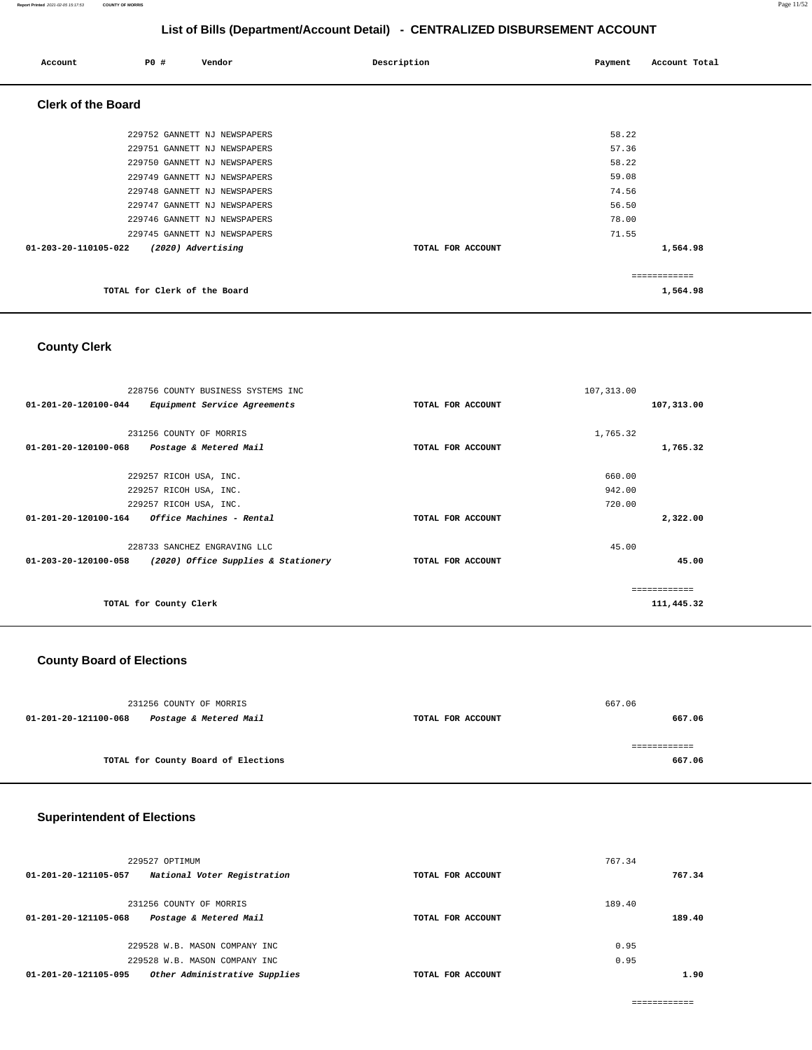| Account                   | P0 #                         | Vendor                       | Description       | Payment | Account Total |
|---------------------------|------------------------------|------------------------------|-------------------|---------|---------------|
| <b>Clerk of the Board</b> |                              |                              |                   |         |               |
|                           |                              | 229752 GANNETT NJ NEWSPAPERS |                   | 58.22   |               |
|                           |                              | 229751 GANNETT NJ NEWSPAPERS |                   | 57.36   |               |
|                           |                              | 229750 GANNETT NJ NEWSPAPERS |                   | 58.22   |               |
|                           |                              | 229749 GANNETT NJ NEWSPAPERS |                   | 59.08   |               |
|                           |                              | 229748 GANNETT NJ NEWSPAPERS |                   | 74.56   |               |
|                           |                              | 229747 GANNETT NJ NEWSPAPERS |                   | 56.50   |               |
|                           |                              | 229746 GANNETT NJ NEWSPAPERS |                   | 78.00   |               |
|                           |                              | 229745 GANNETT NJ NEWSPAPERS |                   | 71.55   |               |
| 01-203-20-110105-022      |                              | (2020) Advertising           | TOTAL FOR ACCOUNT |         | 1,564.98      |
|                           |                              |                              |                   |         | ============  |
|                           | TOTAL for Clerk of the Board |                              |                   |         | 1,564.98      |

## **County Clerk**

|                                | 228756 COUNTY BUSINESS SYSTEMS INC  |                   | 107, 313.00 |            |
|--------------------------------|-------------------------------------|-------------------|-------------|------------|
| 01-201-20-120100-044           | Equipment Service Agreements        | TOTAL FOR ACCOUNT |             | 107,313.00 |
|                                |                                     |                   |             |            |
|                                | 231256 COUNTY OF MORRIS             |                   | 1,765.32    |            |
| 01-201-20-120100-068           | Postage & Metered Mail              | TOTAL FOR ACCOUNT |             | 1,765.32   |
|                                |                                     |                   |             |            |
|                                | 229257 RICOH USA, INC.              |                   | 660.00      |            |
|                                | 229257 RICOH USA, INC.              |                   | 942.00      |            |
|                                | 229257 RICOH USA, INC.              |                   | 720.00      |            |
| $01 - 201 - 20 - 120100 - 164$ | Office Machines - Rental            | TOTAL FOR ACCOUNT |             | 2,322.00   |
|                                | 228733 SANCHEZ ENGRAVING LLC        |                   | 45.00       |            |
| 01-203-20-120100-058           | (2020) Office Supplies & Stationery | TOTAL FOR ACCOUNT |             | 45.00      |
|                                |                                     |                   |             |            |
| TOTAL for County Clerk         |                                     |                   |             | 111,445.32 |

### **County Board of Elections**

|                      | 231256 COUNTY OF MORRIS             |                   | 667.06 |
|----------------------|-------------------------------------|-------------------|--------|
| 01-201-20-121100-068 | Postage & Metered Mail              | TOTAL FOR ACCOUNT | 667.06 |
|                      |                                     |                   |        |
|                      |                                     |                   |        |
|                      | TOTAL for County Board of Elections |                   | 667.06 |
|                      |                                     |                   |        |

## **Superintendent of Elections**

| 229527 OPTIMUM                                        |                   | 767.34 |        |
|-------------------------------------------------------|-------------------|--------|--------|
| National Voter Registration<br>01-201-20-121105-057   | TOTAL FOR ACCOUNT |        | 767.34 |
| 231256 COUNTY OF MORRIS                               |                   | 189.40 |        |
| Postage & Metered Mail<br>01-201-20-121105-068        | TOTAL FOR ACCOUNT |        | 189.40 |
| 229528 W.B. MASON COMPANY INC                         |                   | 0.95   |        |
| 229528 W.B. MASON COMPANY INC                         |                   | 0.95   |        |
| Other Administrative Supplies<br>01-201-20-121105-095 | TOTAL FOR ACCOUNT |        | 1.90   |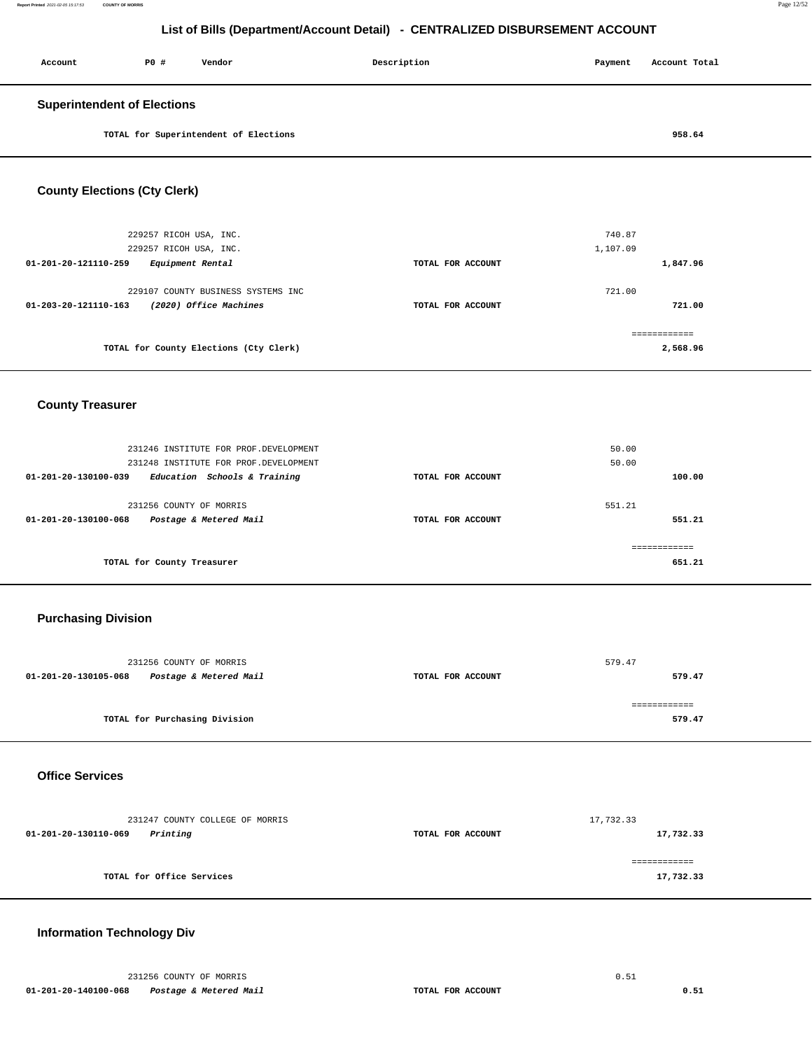| Account                            | PO# | Vendor                                | Description | Payment | Account Total |  |
|------------------------------------|-----|---------------------------------------|-------------|---------|---------------|--|
| <b>Superintendent of Elections</b> |     |                                       |             |         |               |  |
|                                    |     | TOTAL for Superintendent of Elections |             |         | 958.64        |  |

### **County Elections (Cty Clerk)**

| 229257 RICOH USA, INC.                         |                   | 740.87       |
|------------------------------------------------|-------------------|--------------|
| 229257 RICOH USA, INC.                         |                   | 1,107.09     |
| Equipment Rental<br>01-201-20-121110-259       | TOTAL FOR ACCOUNT | 1,847.96     |
|                                                |                   |              |
| 229107 COUNTY BUSINESS SYSTEMS INC             |                   | 721.00       |
| (2020) Office Machines<br>01-203-20-121110-163 | TOTAL FOR ACCOUNT | 721.00       |
|                                                |                   |              |
|                                                |                   | ------------ |
| TOTAL for County Elections (Cty Clerk)         | 2,568.96          |              |
|                                                |                   |              |

### **County Treasurer**

| 231246 INSTITUTE FOR PROF. DEVELOPMENT<br>231248 INSTITUTE FOR PROF. DEVELOPMENT    |                   | 50.00<br>50.00   |
|-------------------------------------------------------------------------------------|-------------------|------------------|
| Education Schools & Training<br>01-201-20-130100-039                                | 100.00            |                  |
| 231256 COUNTY OF MORRIS<br>Postage & Metered Mail<br>$01 - 201 - 20 - 130100 - 068$ | TOTAL FOR ACCOUNT | 551.21<br>551.21 |
|                                                                                     |                   | ------------     |
| TOTAL for County Treasurer                                                          | 651.21            |                  |

### **Purchasing Division**

| 231256 COUNTY OF MORRIS                        |                   | 579.47 |
|------------------------------------------------|-------------------|--------|
| Postage & Metered Mail<br>01-201-20-130105-068 | TOTAL FOR ACCOUNT | 579.47 |
|                                                |                   |        |
|                                                |                   |        |
| TOTAL for Purchasing Division                  |                   | 579.47 |
|                                                |                   |        |

#### **Office Services**

| 231247 COUNTY COLLEGE OF MORRIS  |                   | 17,732.33 |
|----------------------------------|-------------------|-----------|
| Printing<br>01-201-20-130110-069 | TOTAL FOR ACCOUNT | 17,732.33 |
|                                  |                   |           |
| TOTAL for Office Services        |                   | 17,732.33 |
|                                  |                   |           |

### **Information Technology Div**

231256 COUNTY OF MORRIS 6.51  **01-201-20-140100-068 Postage & Metered Mail TOTAL FOR ACCOUNT 0.51**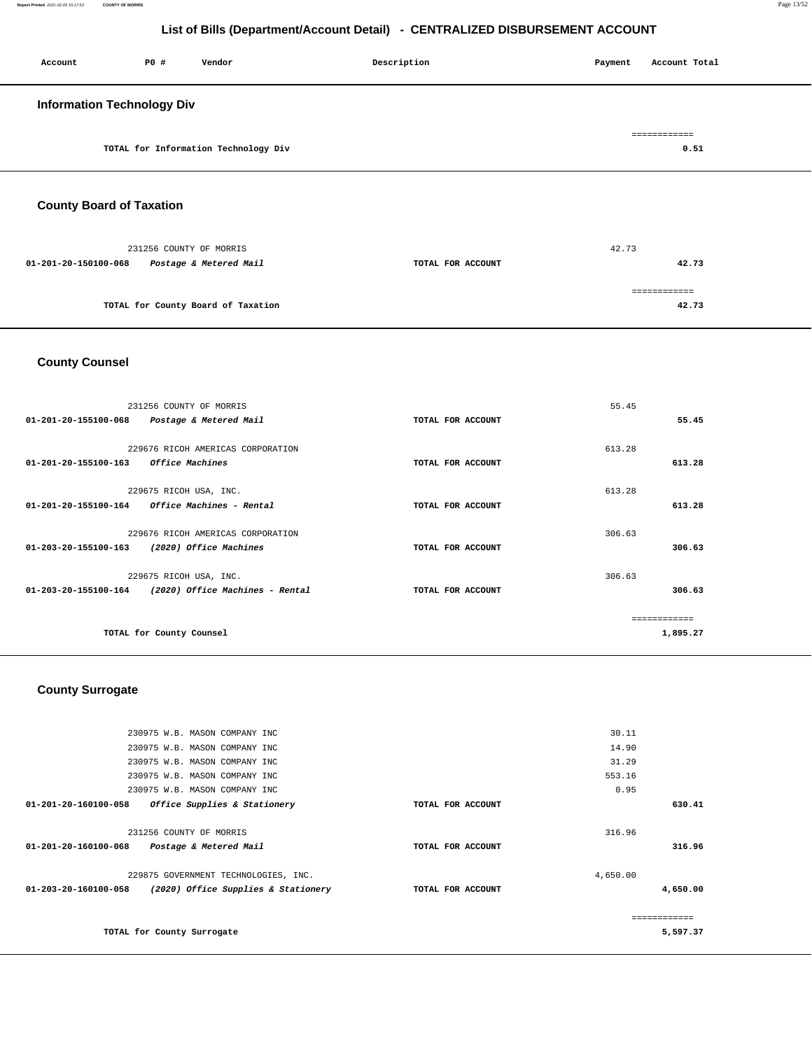| Account                           | P0 # | Vendor                               | Description | Payment | Account Total         |
|-----------------------------------|------|--------------------------------------|-------------|---------|-----------------------|
| <b>Information Technology Div</b> |      |                                      |             |         |                       |
|                                   |      | TOTAL for Information Technology Div |             |         | -------------<br>0.51 |

## **County Board of Taxation**

| 231256 COUNTY OF MORRIS                        |                   | 42.73 |
|------------------------------------------------|-------------------|-------|
| Postage & Metered Mail<br>01-201-20-150100-068 | TOTAL FOR ACCOUNT | 42.73 |
|                                                |                   |       |
| TOTAL for County Board of Taxation             |                   | 42.73 |

## **County Counsel**

|                                | 231256 COUNTY OF MORRIS           |                   | 55.45  |          |
|--------------------------------|-----------------------------------|-------------------|--------|----------|
| 01-201-20-155100-068           | Postage & Metered Mail            | TOTAL FOR ACCOUNT |        | 55.45    |
|                                | 229676 RICOH AMERICAS CORPORATION |                   | 613.28 |          |
| $01 - 201 - 20 - 155100 - 163$ | Office Machines                   | TOTAL FOR ACCOUNT |        | 613.28   |
|                                | 229675 RICOH USA, INC.            |                   | 613.28 |          |
| 01-201-20-155100-164           | Office Machines - Rental          | TOTAL FOR ACCOUNT |        | 613.28   |
|                                | 229676 RICOH AMERICAS CORPORATION |                   | 306.63 |          |
| $01 - 203 - 20 - 155100 - 163$ | (2020) Office Machines            | TOTAL FOR ACCOUNT |        | 306.63   |
|                                |                                   |                   |        |          |
|                                | 229675 RICOH USA, INC.            |                   | 306.63 |          |
| $01 - 203 - 20 - 155100 - 164$ | (2020) Office Machines - Rental   | TOTAL FOR ACCOUNT |        | 306.63   |
|                                |                                   |                   |        |          |
|                                | TOTAL for County Counsel          |                   |        | 1,895.27 |
|                                |                                   |                   |        |          |

## **County Surrogate**

| 230975 W.B. MASON COMPANY INC                                         | 30.11             |              |
|-----------------------------------------------------------------------|-------------------|--------------|
| 230975 W.B. MASON COMPANY INC                                         | 14.90             |              |
| 230975 W.B. MASON COMPANY INC                                         | 31.29             |              |
| 230975 W.B. MASON COMPANY INC                                         | 553.16            |              |
| 230975 W.B. MASON COMPANY INC                                         | 0.95              |              |
| 01-201-20-160100-058<br>Office Supplies & Stationery                  | TOTAL FOR ACCOUNT | 630.41       |
|                                                                       |                   |              |
| 231256 COUNTY OF MORRIS                                               | 316.96            |              |
| 01-201-20-160100-068<br>Postage & Metered Mail                        | TOTAL FOR ACCOUNT | 316.96       |
|                                                                       |                   |              |
| 229875 GOVERNMENT TECHNOLOGIES, INC.                                  | 4,650.00          |              |
| (2020) Office Supplies & Stationery<br>$01 - 203 - 20 - 160100 - 058$ | TOTAL FOR ACCOUNT | 4,650.00     |
|                                                                       |                   |              |
|                                                                       |                   | ------------ |
| TOTAL for County Surrogate                                            |                   | 5,597.37     |
|                                                                       |                   |              |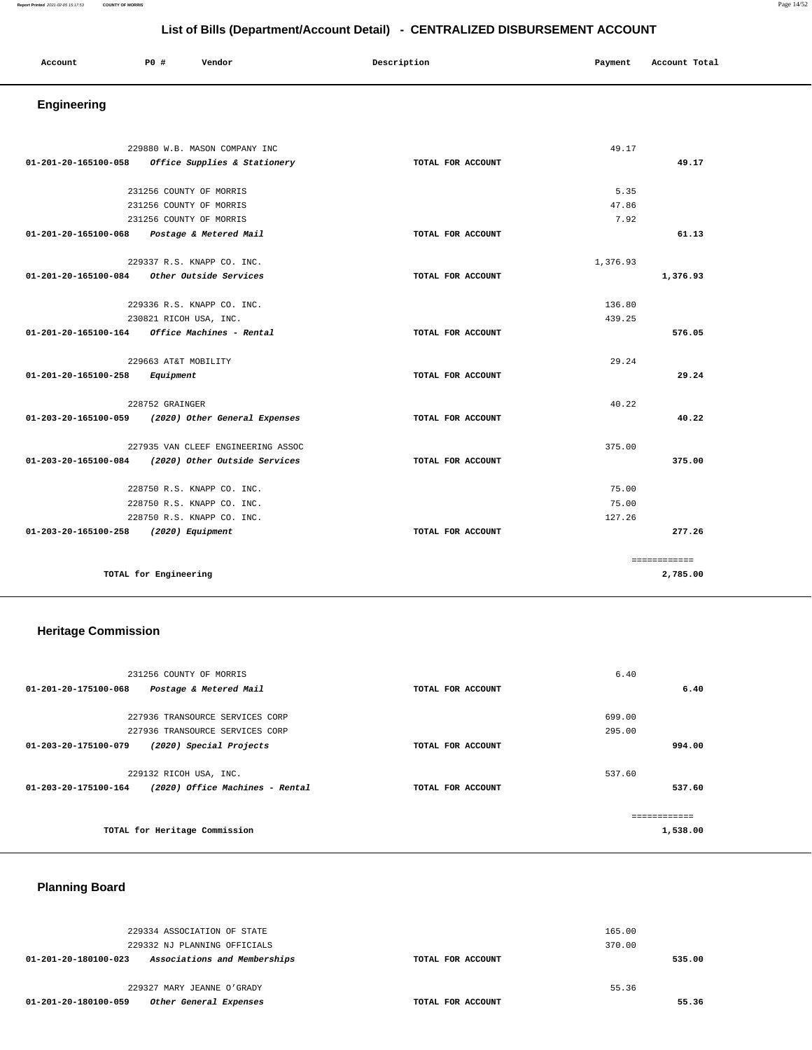| Account<br>. | <b>PO #</b> | Vendor<br>. | Description | Payment | Account Total<br>.<br>. |
|--------------|-------------|-------------|-------------|---------|-------------------------|
|              |             |             |             |         |                         |

## **Engineering**

|                                       | 229880 W.B. MASON COMPANY INC                           |                   | 49.17    |              |
|---------------------------------------|---------------------------------------------------------|-------------------|----------|--------------|
| 01-201-20-165100-058                  | Office Supplies & Stationery                            | TOTAL FOR ACCOUNT |          | 49.17        |
|                                       |                                                         |                   |          |              |
|                                       | 231256 COUNTY OF MORRIS                                 |                   | 5.35     |              |
|                                       | 231256 COUNTY OF MORRIS                                 |                   | 47.86    |              |
|                                       | 231256 COUNTY OF MORRIS                                 |                   | 7.92     |              |
| 01-201-20-165100-068                  | Postage & Metered Mail                                  | TOTAL FOR ACCOUNT |          | 61.13        |
|                                       | 229337 R.S. KNAPP CO. INC.                              |                   | 1,376.93 |              |
| 01-201-20-165100-084                  | Other Outside Services                                  | TOTAL FOR ACCOUNT |          | 1,376.93     |
|                                       | 229336 R.S. KNAPP CO. INC.                              |                   | 136.80   |              |
|                                       |                                                         |                   | 439.25   |              |
|                                       | 230821 RICOH USA, INC.                                  |                   |          |              |
|                                       | $01 - 201 - 20 - 165100 - 164$ Office Machines - Rental | TOTAL FOR ACCOUNT |          | 576.05       |
|                                       | 229663 AT&T MOBILITY                                    |                   | 29.24    |              |
| 01-201-20-165100-258                  | Equipment                                               | TOTAL FOR ACCOUNT |          | 29.24        |
|                                       | 228752 GRAINGER                                         |                   | 40.22    |              |
|                                       | 01-203-20-165100-059 (2020) Other General Expenses      | TOTAL FOR ACCOUNT |          | 40.22        |
|                                       | 227935 VAN CLEEF ENGINEERING ASSOC                      |                   | 375.00   |              |
|                                       | 01-203-20-165100-084 (2020) Other Outside Services      | TOTAL FOR ACCOUNT |          | 375.00       |
|                                       |                                                         |                   |          |              |
|                                       | 228750 R.S. KNAPP CO. INC.                              |                   | 75.00    |              |
|                                       | 228750 R.S. KNAPP CO. INC.                              |                   | 75.00    |              |
|                                       | 228750 R.S. KNAPP CO. INC.                              |                   | 127.26   |              |
| 01-203-20-165100-258 (2020) Equipment |                                                         | TOTAL FOR ACCOUNT |          | 277.26       |
|                                       |                                                         |                   |          | ============ |
|                                       | TOTAL for Engineering                                   |                   |          | 2,785.00     |
|                                       |                                                         |                   |          |              |

### **Heritage Commission**

| 231256 COUNTY OF MORRIS                                 |                   | 6.40                      |
|---------------------------------------------------------|-------------------|---------------------------|
| 01-201-20-175100-068<br>Postage & Metered Mail          | TOTAL FOR ACCOUNT | 6.40                      |
| 227936 TRANSOURCE SERVICES CORP                         |                   | 699.00                    |
| 227936 TRANSOURCE SERVICES CORP                         |                   | 295.00                    |
| 01-203-20-175100-079<br>(2020) Special Projects         | TOTAL FOR ACCOUNT | 994.00                    |
| 229132 RICOH USA, INC.                                  |                   | 537.60                    |
| (2020) Office Machines - Rental<br>01-203-20-175100-164 | TOTAL FOR ACCOUNT | 537.60                    |
| TOTAL for Heritage Commission                           |                   | -------------<br>1,538.00 |
|                                                         |                   |                           |

## **Planning Board**

| 229334 ASSOCIATION OF STATE<br>229332 NJ PLANNING OFFICIALS |                   | 165.00<br>370.00 |        |
|-------------------------------------------------------------|-------------------|------------------|--------|
| Associations and Memberships<br>01-201-20-180100-023        | TOTAL FOR ACCOUNT |                  | 535.00 |
| 229327 MARY JEANNE O'GRADY                                  |                   | 55.36            |        |
| Other General Expenses<br>01-201-20-180100-059              | TOTAL FOR ACCOUNT |                  | 55.36  |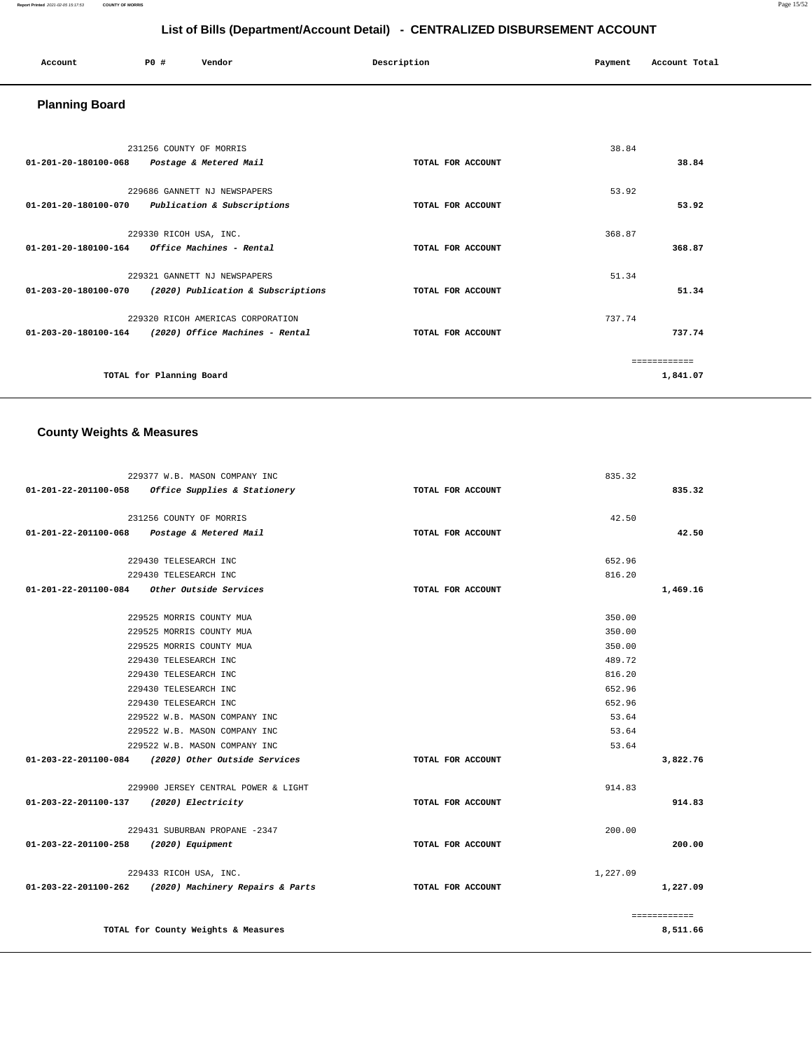#### **Report Printed** 2021-02-05 15:17:53 **COUNTY OF MORRIS** Page 15/52

## **List of Bills (Department/Account Detail) - CENTRALIZED DISBURSEMENT ACCOUNT**

| Account | P0 # | Vendor | Description | Payment | Account Total |
|---------|------|--------|-------------|---------|---------------|
|         |      |        |             |         |               |

## **Planning Board**

| 231256 COUNTY OF MORRIS<br>$01 - 201 - 20 - 180100 - 068$<br>Postage & Metered Mail                    | TOTAL FOR ACCOUNT | 38.84<br>38.84           |
|--------------------------------------------------------------------------------------------------------|-------------------|--------------------------|
| 229686 GANNETT NJ NEWSPAPERS<br>01-201-20-180100-070<br>Publication & Subscriptions                    | TOTAL FOR ACCOUNT | 53.92<br>53.92           |
| 229330 RICOH USA, INC.<br>Office Machines - Rental<br>01-201-20-180100-164                             | TOTAL FOR ACCOUNT | 368.87<br>368.87         |
| 229321 GANNETT NJ NEWSPAPERS<br>$01 - 203 - 20 - 180100 - 070$<br>(2020) Publication & Subscriptions   | TOTAL FOR ACCOUNT | 51.34<br>51.34           |
| 229320 RICOH AMERICAS CORPORATION<br>(2020) Office Machines - Rental<br>$01 - 203 - 20 - 180100 - 164$ | TOTAL FOR ACCOUNT | 737.74<br>737.74         |
| TOTAL for Planning Board                                                                               |                   | ============<br>1,841.07 |

## **County Weights & Measures**

|                                         | 229377 W.B. MASON COMPANY INC                         |                   | 835.32   |              |
|-----------------------------------------|-------------------------------------------------------|-------------------|----------|--------------|
|                                         | 01-201-22-201100-058 Office Supplies & Stationery     | TOTAL FOR ACCOUNT |          | 835.32       |
|                                         |                                                       |                   |          |              |
|                                         | 231256 COUNTY OF MORRIS                               |                   | 42.50    |              |
|                                         | 01-201-22-201100-068 Postage & Metered Mail           | TOTAL FOR ACCOUNT |          | 42.50        |
|                                         |                                                       |                   |          |              |
|                                         | 229430 TELESEARCH INC                                 |                   | 652.96   |              |
|                                         | 229430 TELESEARCH INC                                 |                   | 816.20   |              |
|                                         | 01-201-22-201100-084 Other Outside Services           | TOTAL FOR ACCOUNT |          | 1,469.16     |
|                                         | 229525 MORRIS COUNTY MUA                              |                   | 350.00   |              |
|                                         | 229525 MORRIS COUNTY MUA                              |                   | 350.00   |              |
|                                         | 229525 MORRIS COUNTY MUA                              |                   | 350.00   |              |
|                                         | 229430 TELESEARCH INC                                 |                   | 489.72   |              |
|                                         | 229430 TELESEARCH INC                                 |                   | 816.20   |              |
|                                         | 229430 TELESEARCH INC                                 |                   | 652.96   |              |
|                                         |                                                       |                   | 652.96   |              |
|                                         | 229430 TELESEARCH INC                                 |                   |          |              |
|                                         | 229522 W.B. MASON COMPANY INC                         |                   | 53.64    |              |
|                                         | 229522 W.B. MASON COMPANY INC                         |                   | 53.64    |              |
|                                         | 229522 W.B. MASON COMPANY INC                         |                   | 53.64    |              |
|                                         | 01-203-22-201100-084 (2020) Other Outside Services    | TOTAL FOR ACCOUNT |          | 3,822.76     |
|                                         | 229900 JERSEY CENTRAL POWER & LIGHT                   |                   | 914.83   |              |
| 01-203-22-201100-137 (2020) Electricity |                                                       | TOTAL FOR ACCOUNT |          | 914.83       |
|                                         | 229431 SUBURBAN PROPANE -2347                         |                   | 200.00   |              |
| 01-203-22-201100-258 (2020) Equipment   |                                                       | TOTAL FOR ACCOUNT |          | 200.00       |
|                                         |                                                       |                   |          |              |
|                                         | 229433 RICOH USA, INC.                                |                   | 1,227.09 |              |
|                                         | 01-203-22-201100-262 (2020) Machinery Repairs & Parts | TOTAL FOR ACCOUNT |          | 1,227.09     |
|                                         |                                                       |                   |          | ============ |
|                                         | TOTAL for County Weights & Measures                   |                   |          | 8,511.66     |
|                                         |                                                       |                   |          |              |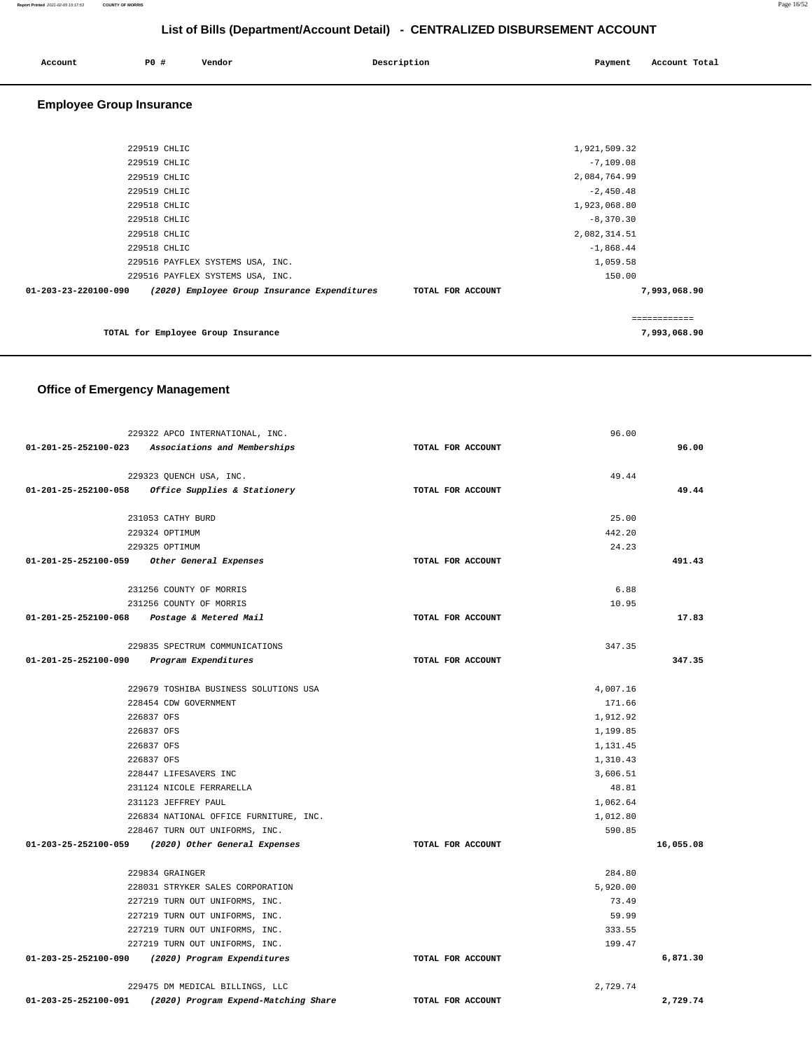| Account | PO <sub>1</sub> | Vendor | Description | Payment | Account Total |
|---------|-----------------|--------|-------------|---------|---------------|
|         |                 |        |             |         |               |

## **Employee Group Insurance**

| 229519 CHLIC                                                         | 2,084,764.99      |              |
|----------------------------------------------------------------------|-------------------|--------------|
| 229519 CHLIC                                                         | $-2,450.48$       |              |
| 229518 CHLIC                                                         | 1,923,068.80      |              |
| 229518 CHLIC                                                         | $-8,370.30$       |              |
| 229518 CHLIC                                                         | 2,082,314.51      |              |
| 229518 CHLIC                                                         | $-1,868.44$       |              |
| 229516 PAYFLEX SYSTEMS USA, INC.                                     | 1,059.58          |              |
| 229516 PAYFLEX SYSTEMS USA, INC.                                     | 150.00            |              |
| (2020) Employee Group Insurance Expenditures<br>01-203-23-220100-090 | TOTAL FOR ACCOUNT | 7,993,068.90 |
|                                                                      |                   | ============ |
| TOTAL for Employee Group Insurance                                   |                   | 7,993,068.90 |

### **Office of Emergency Management**

|                                           | 229322 APCO INTERNATIONAL, INC.                     |                   | 96.00    |           |
|-------------------------------------------|-----------------------------------------------------|-------------------|----------|-----------|
|                                           | 01-201-25-252100-023 Associations and Memberships   | TOTAL FOR ACCOUNT |          | 96.00     |
|                                           |                                                     |                   |          |           |
|                                           | 229323 QUENCH USA, INC.                             |                   | 49.44    |           |
|                                           | $01-201-25-252100-058$ Office Supplies & Stationery | TOTAL FOR ACCOUNT |          | 49.44     |
|                                           | 231053 CATHY BURD                                   |                   | 25.00    |           |
|                                           | 229324 OPTIMUM                                      |                   | 442.20   |           |
|                                           | 229325 OPTIMUM                                      |                   | 24.23    |           |
|                                           | 01-201-25-252100-059 Other General Expenses         | TOTAL FOR ACCOUNT |          | 491.43    |
|                                           | 231256 COUNTY OF MORRIS                             |                   | 6.88     |           |
|                                           | 231256 COUNTY OF MORRIS                             |                   | 10.95    |           |
|                                           | 01-201-25-252100-068 Postage & Metered Mail         | TOTAL FOR ACCOUNT |          | 17.83     |
|                                           | 229835 SPECTRUM COMMUNICATIONS                      |                   | 347.35   |           |
| 01-201-25-252100-090 Program Expenditures |                                                     | TOTAL FOR ACCOUNT |          | 347.35    |
|                                           | 229679 TOSHIBA BUSINESS SOLUTIONS USA               |                   | 4,007.16 |           |
|                                           | 228454 CDW GOVERNMENT                               |                   | 171.66   |           |
|                                           | 226837 OFS                                          |                   | 1,912.92 |           |
|                                           | 226837 OFS                                          |                   | 1,199.85 |           |
|                                           | 226837 OFS                                          |                   | 1,131.45 |           |
|                                           | 226837 OFS                                          |                   | 1,310.43 |           |
|                                           | 228447 LIFESAVERS INC                               |                   | 3,606.51 |           |
|                                           | 231124 NICOLE FERRARELLA                            |                   | 48.81    |           |
|                                           | 231123 JEFFREY PAUL                                 |                   | 1,062.64 |           |
|                                           | 226834 NATIONAL OFFICE FURNITURE, INC.              |                   | 1,012.80 |           |
|                                           | 228467 TURN OUT UNIFORMS, INC.                      |                   | 590.85   |           |
|                                           | 01-203-25-252100-059 (2020) Other General Expenses  | TOTAL FOR ACCOUNT |          | 16,055.08 |
|                                           | 229834 GRAINGER                                     |                   | 284.80   |           |
|                                           | 228031 STRYKER SALES CORPORATION                    |                   | 5,920.00 |           |
|                                           | 227219 TURN OUT UNIFORMS, INC.                      |                   | 73.49    |           |
|                                           | 227219 TURN OUT UNIFORMS, INC.                      |                   | 59.99    |           |
|                                           | 227219 TURN OUT UNIFORMS, INC.                      |                   | 333.55   |           |
|                                           | 227219 TURN OUT UNIFORMS, INC.                      |                   | 199.47   |           |
|                                           | 01-203-25-252100-090 (2020) Program Expenditures    | TOTAL FOR ACCOUNT |          | 6,871.30  |
|                                           | 229475 DM MEDICAL BILLINGS, LLC                     |                   | 2.729.74 |           |
| 01-203-25-252100-091                      | (2020) Program Expend-Matching Share                | TOTAL FOR ACCOUNT |          | 2,729.74  |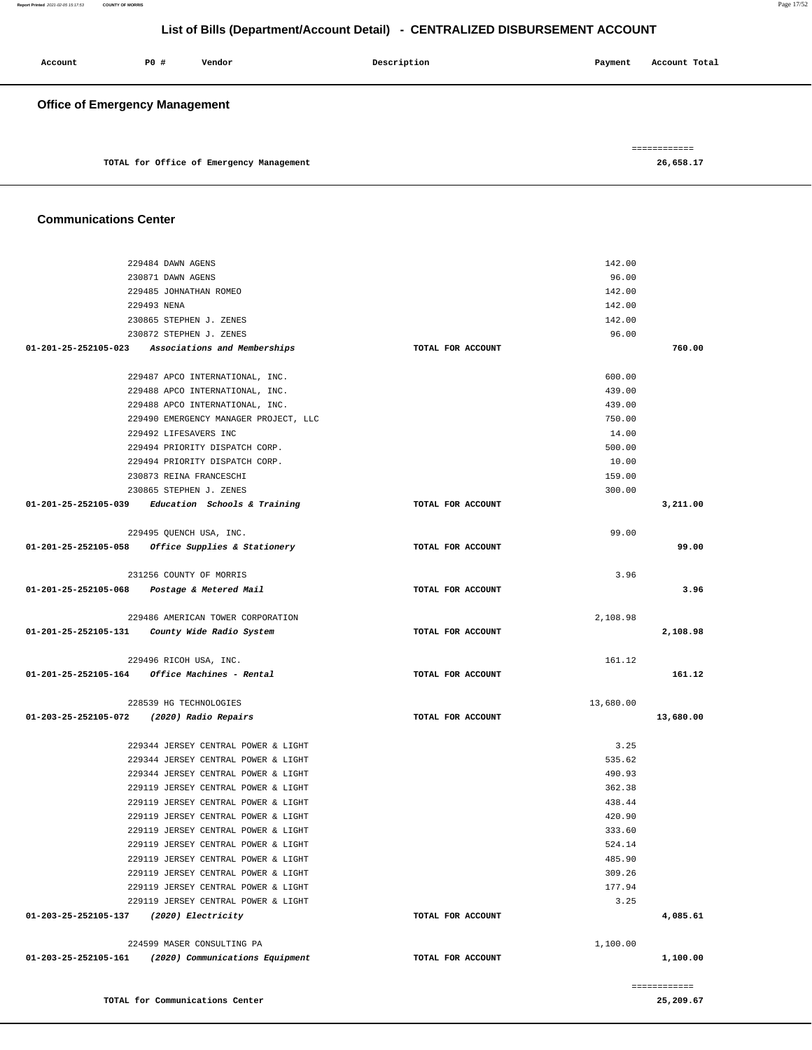| Account | PO#                                   | Vendor                                   | Description | Payment | Account Total             |
|---------|---------------------------------------|------------------------------------------|-------------|---------|---------------------------|
|         | <b>Office of Emergency Management</b> |                                          |             |         |                           |
|         |                                       | TOTAL for Office of Emergency Management |             |         | ============<br>26,658.17 |

#### **Communications Center**

**TOTAL for Communications Center** 

| 229484 DAWN AGENS                                    |                   | 142.00                 |
|------------------------------------------------------|-------------------|------------------------|
| 230871 DAWN AGENS                                    |                   | 96.00                  |
| 229485 JOHNATHAN ROMEO                               |                   | 142.00                 |
| 229493 NENA                                          |                   | 142.00                 |
| 230865 STEPHEN J. ZENES                              |                   | 142.00                 |
| 230872 STEPHEN J. ZENES                              |                   | 96.00                  |
| 01-201-25-252105-023 Associations and Memberships    | TOTAL FOR ACCOUNT | 760.00                 |
|                                                      |                   |                        |
| 229487 APCO INTERNATIONAL, INC.                      |                   | 600.00                 |
| 229488 APCO INTERNATIONAL, INC.                      |                   | 439.00                 |
| 229488 APCO INTERNATIONAL, INC.                      |                   | 439.00                 |
| 229490 EMERGENCY MANAGER PROJECT, LLC                |                   | 750.00                 |
| 229492 LIFESAVERS INC                                |                   | 14.00                  |
| 229494 PRIORITY DISPATCH CORP.                       |                   | 500.00                 |
| 229494 PRIORITY DISPATCH CORP.                       |                   | 10.00                  |
| 230873 REINA FRANCESCHI                              |                   | 159.00                 |
| 230865 STEPHEN J. ZENES                              |                   | 300.00                 |
| $01-201-25-252105-039$ Education Schools & Training  | TOTAL FOR ACCOUNT | 3,211.00               |
|                                                      |                   |                        |
| 229495 OUENCH USA, INC.                              |                   | 99.00                  |
| 01-201-25-252105-058 Office Supplies & Stationery    | TOTAL FOR ACCOUNT | 99.00                  |
|                                                      |                   |                        |
| 231256 COUNTY OF MORRIS                              |                   | 3.96                   |
| 01-201-25-252105-068 Postage & Metered Mail          | TOTAL FOR ACCOUNT | 3.96                   |
|                                                      |                   |                        |
| 229486 AMERICAN TOWER CORPORATION                    |                   | 2,108.98               |
| 01-201-25-252105-131 County Wide Radio System        | TOTAL FOR ACCOUNT | 2,108.98               |
|                                                      |                   |                        |
| 229496 RICOH USA, INC.                               |                   | 161.12                 |
| $01-201-25-252105-164$ Office Machines - Rental      | TOTAL FOR ACCOUNT | 161.12                 |
| 228539 HG TECHNOLOGIES                               |                   |                        |
| 01-203-25-252105-072 (2020) Radio Repairs            | TOTAL FOR ACCOUNT | 13,680.00<br>13,680.00 |
|                                                      |                   |                        |
| 229344 JERSEY CENTRAL POWER & LIGHT                  |                   | 3.25                   |
| 229344 JERSEY CENTRAL POWER & LIGHT                  |                   | 535.62                 |
| 229344 JERSEY CENTRAL POWER & LIGHT                  |                   | 490.93                 |
| 229119 JERSEY CENTRAL POWER & LIGHT                  |                   | 362.38                 |
| 229119 JERSEY CENTRAL POWER & LIGHT                  |                   | 438.44                 |
| 229119 JERSEY CENTRAL POWER & LIGHT                  |                   | 420.90                 |
| 229119 JERSEY CENTRAL POWER & LIGHT                  |                   | 333.60                 |
| 229119 JERSEY CENTRAL POWER & LIGHT                  |                   | 524.14                 |
| 229119 JERSEY CENTRAL POWER & LIGHT                  |                   | 485.90                 |
| 229119 JERSEY CENTRAL POWER & LIGHT                  |                   | 309.26                 |
| 229119 JERSEY CENTRAL POWER & LIGHT                  |                   | 177.94                 |
| 229119 JERSEY CENTRAL POWER & LIGHT                  |                   | 3.25                   |
| 01-203-25-252105-137<br>(2020) Electricity           | TOTAL FOR ACCOUNT | 4,085.61               |
|                                                      |                   |                        |
| 224599 MASER CONSULTING PA                           |                   | 1,100.00               |
| 01-203-25-252105-161 (2020) Communications Equipment | TOTAL FOR ACCOUNT | 1,100.00               |
|                                                      |                   |                        |
|                                                      |                   | ============           |

**25,209.67**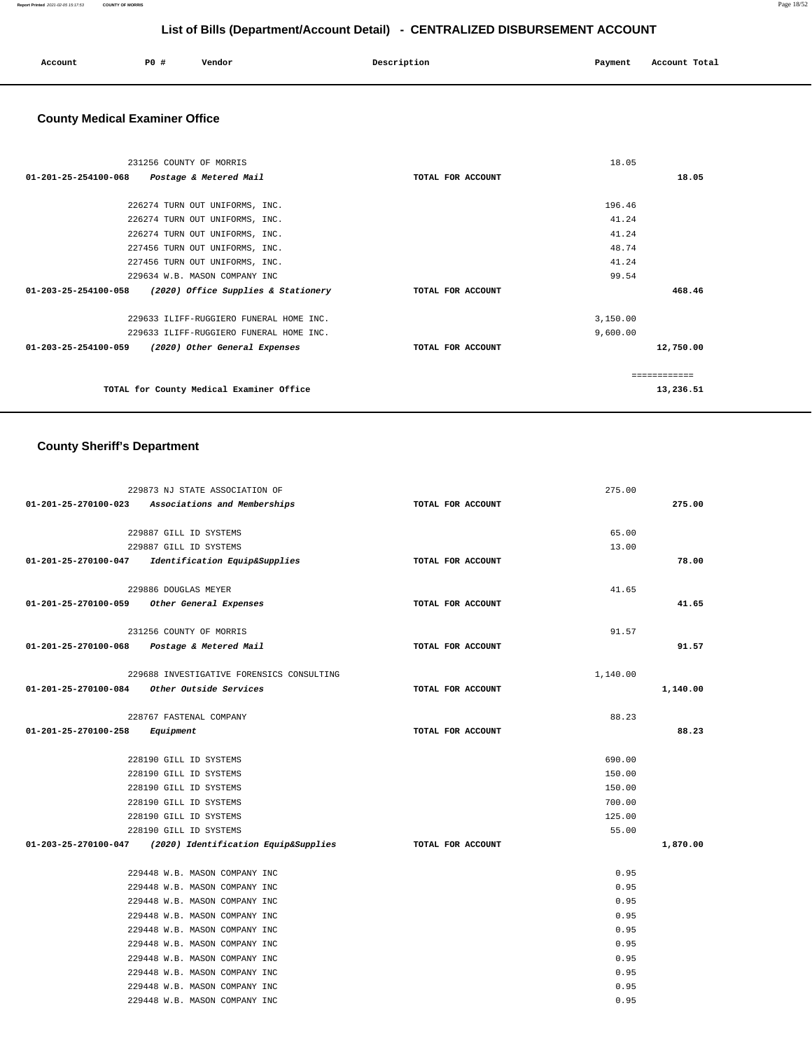| Account | P0# | Vendor | Description | Payment | Account Total |
|---------|-----|--------|-------------|---------|---------------|
|         |     |        |             |         |               |

## **County Medical Examiner Office**

| 231256 COUNTY OF MORRIS                                     |                   | 18.05        |           |
|-------------------------------------------------------------|-------------------|--------------|-----------|
| 01-201-25-254100-068 Postage & Metered Mail                 | TOTAL FOR ACCOUNT |              | 18.05     |
|                                                             |                   |              |           |
| 226274 TURN OUT UNIFORMS, INC.                              |                   | 196.46       |           |
| 226274 TURN OUT UNIFORMS, INC.                              |                   | 41.24        |           |
| 226274 TURN OUT UNIFORMS, INC.                              |                   | 41.24        |           |
| 227456 TURN OUT UNIFORMS, INC.                              |                   | 48.74        |           |
| 227456 TURN OUT UNIFORMS, INC.                              |                   | 41.24        |           |
| 229634 W.B. MASON COMPANY INC                               |                   | 99.54        |           |
| (2020) Office Supplies & Stationery<br>01-203-25-254100-058 | TOTAL FOR ACCOUNT |              | 468.46    |
|                                                             |                   |              |           |
| 229633 ILIFF-RUGGIERO FUNERAL HOME INC.                     |                   | 3,150.00     |           |
| 229633 ILIFF-RUGGIERO FUNERAL HOME INC.                     |                   | 9,600.00     |           |
| 01-203-25-254100-059 (2020) Other General Expenses          | TOTAL FOR ACCOUNT |              | 12,750.00 |
|                                                             |                   | ------------ |           |
|                                                             |                   |              |           |
| TOTAL for County Medical Examiner Office                    |                   |              | 13,236.51 |

## **County Sheriff's Department**

|                                | 229873 NJ STATE ASSOCIATION OF                            |                   | 275.00   |          |
|--------------------------------|-----------------------------------------------------------|-------------------|----------|----------|
|                                | 01-201-25-270100-023 Associations and Memberships         | TOTAL FOR ACCOUNT |          | 275.00   |
|                                | 229887 GILL ID SYSTEMS                                    |                   | 65.00    |          |
|                                | 229887 GILL ID SYSTEMS                                    |                   | 13.00    |          |
|                                | 01-201-25-270100-047 Identification Equip&Supplies        | TOTAL FOR ACCOUNT |          | 78.00    |
|                                | 229886 DOUGLAS MEYER                                      |                   | 41.65    |          |
|                                | 01-201-25-270100-059 Other General Expenses               | TOTAL FOR ACCOUNT |          | 41.65    |
|                                | 231256 COUNTY OF MORRIS                                   |                   | 91.57    |          |
|                                | 01-201-25-270100-068 Postage & Metered Mail               | TOTAL FOR ACCOUNT |          | 91.57    |
|                                | 229688 INVESTIGATIVE FORENSICS CONSULTING                 |                   | 1,140.00 |          |
|                                | $01-201-25-270100-084$ Other Outside Services             | TOTAL FOR ACCOUNT |          | 1,140.00 |
|                                | 228767 FASTENAL COMPANY                                   |                   | 88.23    |          |
| 01-201-25-270100-258 Equipment |                                                           | TOTAL FOR ACCOUNT |          | 88.23    |
|                                | 228190 GILL ID SYSTEMS                                    |                   | 690.00   |          |
|                                | 228190 GILL ID SYSTEMS                                    |                   | 150.00   |          |
|                                | 228190 GILL ID SYSTEMS                                    |                   | 150.00   |          |
|                                | 228190 GILL ID SYSTEMS                                    |                   | 700.00   |          |
|                                | 228190 GILL ID SYSTEMS                                    |                   | 125.00   |          |
|                                | 228190 GILL ID SYSTEMS                                    |                   | 55.00    |          |
|                                | 01-203-25-270100-047 (2020) Identification Equip&Supplies | TOTAL FOR ACCOUNT |          | 1,870.00 |
|                                | 229448 W.B. MASON COMPANY INC                             |                   | 0.95     |          |
|                                | 229448 W.B. MASON COMPANY INC                             |                   | 0.95     |          |
|                                | 229448 W.B. MASON COMPANY INC                             |                   | 0.95     |          |
|                                | 229448 W.B. MASON COMPANY INC                             |                   | 0.95     |          |
|                                | 229448 W.B. MASON COMPANY INC                             |                   | 0.95     |          |
|                                | 229448 W.B. MASON COMPANY INC                             |                   | 0.95     |          |
|                                | 229448 W.B. MASON COMPANY INC                             |                   | 0.95     |          |
|                                | 229448 W.B. MASON COMPANY INC                             |                   | 0.95     |          |
|                                | 229448 W.B. MASON COMPANY INC                             |                   | 0.95     |          |
|                                | 229448 W.B. MASON COMPANY INC                             |                   | 0.95     |          |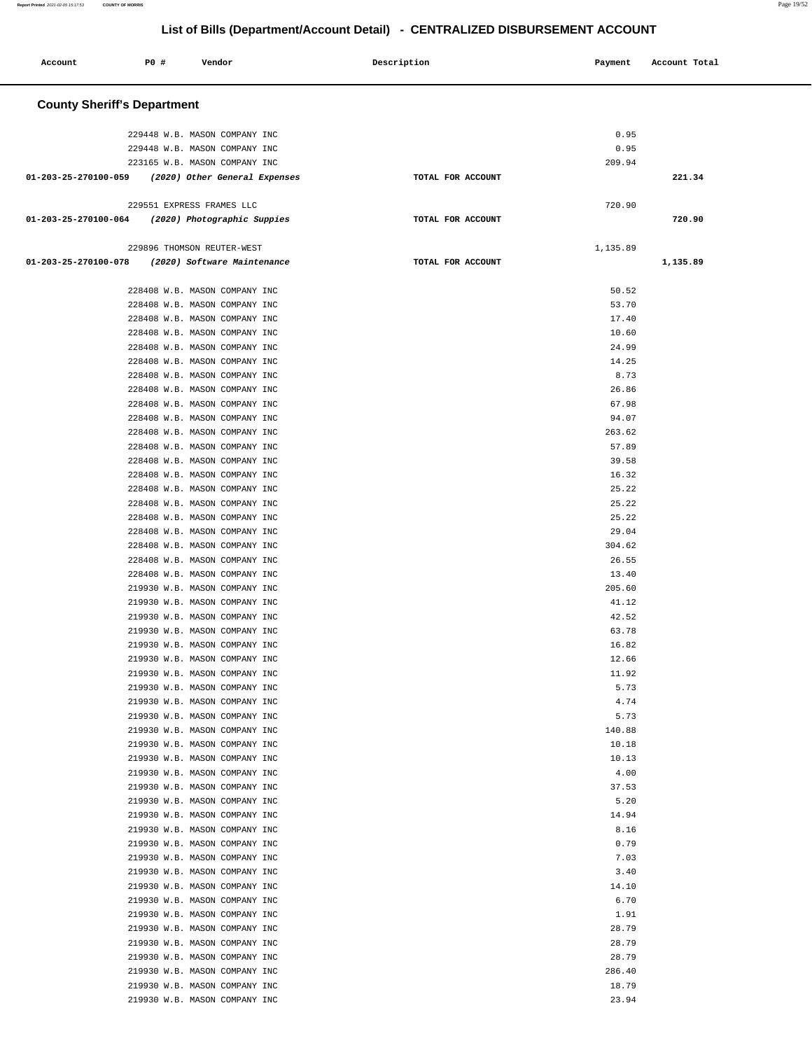| Account                                          | <b>PO #</b> | Vendor                                                         | Description       | Payment        | Account Total |
|--------------------------------------------------|-------------|----------------------------------------------------------------|-------------------|----------------|---------------|
| <b>County Sheriff's Department</b>               |             |                                                                |                   |                |               |
|                                                  |             |                                                                |                   |                |               |
|                                                  |             | 229448 W.B. MASON COMPANY INC                                  |                   | 0.95           |               |
|                                                  |             | 229448 W.B. MASON COMPANY INC<br>223165 W.B. MASON COMPANY INC |                   | 0.95<br>209.94 |               |
| 01-203-25-270100-059                             |             | (2020) Other General Expenses                                  | TOTAL FOR ACCOUNT |                | 221.34        |
|                                                  |             |                                                                |                   |                |               |
|                                                  |             | 229551 EXPRESS FRAMES LLC                                      | TOTAL FOR ACCOUNT | 720.90         | 720.90        |
| 01-203-25-270100-064 (2020) Photographic Suppies |             |                                                                |                   |                |               |
|                                                  |             | 229896 THOMSON REUTER-WEST                                     |                   | 1,135.89       |               |
| 01-203-25-270100-078 (2020) Software Maintenance |             |                                                                | TOTAL FOR ACCOUNT |                | 1,135.89      |
|                                                  |             | 228408 W.B. MASON COMPANY INC                                  |                   | 50.52          |               |
|                                                  |             | 228408 W.B. MASON COMPANY INC                                  |                   | 53.70          |               |
|                                                  |             | 228408 W.B. MASON COMPANY INC                                  |                   | 17.40          |               |
|                                                  |             | 228408 W.B. MASON COMPANY INC                                  |                   | 10.60          |               |
|                                                  |             | 228408 W.B. MASON COMPANY INC                                  |                   | 24.99          |               |
|                                                  |             | 228408 W.B. MASON COMPANY INC                                  |                   | 14.25          |               |
|                                                  |             | 228408 W.B. MASON COMPANY INC                                  |                   | 8.73           |               |
|                                                  |             | 228408 W.B. MASON COMPANY INC                                  |                   | 26.86          |               |
|                                                  |             | 228408 W.B. MASON COMPANY INC                                  |                   | 67.98          |               |
|                                                  |             | 228408 W.B. MASON COMPANY INC                                  |                   | 94.07          |               |
|                                                  |             | 228408 W.B. MASON COMPANY INC                                  |                   | 263.62         |               |
|                                                  |             | 228408 W.B. MASON COMPANY INC                                  |                   | 57.89          |               |
|                                                  |             | 228408 W.B. MASON COMPANY INC                                  |                   | 39.58          |               |
|                                                  |             | 228408 W.B. MASON COMPANY INC                                  |                   | 16.32          |               |
|                                                  |             | 228408 W.B. MASON COMPANY INC                                  |                   | 25.22<br>25.22 |               |
|                                                  |             | 228408 W.B. MASON COMPANY INC<br>228408 W.B. MASON COMPANY INC |                   | 25.22          |               |
|                                                  |             | 228408 W.B. MASON COMPANY INC                                  |                   | 29.04          |               |
|                                                  |             | 228408 W.B. MASON COMPANY INC                                  |                   | 304.62         |               |
|                                                  |             | 228408 W.B. MASON COMPANY INC                                  |                   | 26.55          |               |
|                                                  |             | 228408 W.B. MASON COMPANY INC                                  |                   | 13.40          |               |
|                                                  |             | 219930 W.B. MASON COMPANY INC                                  |                   | 205.60         |               |
|                                                  |             | 219930 W.B. MASON COMPANY INC                                  |                   | 41.12          |               |
|                                                  |             | 219930 W.B. MASON COMPANY INC                                  |                   | 42.52          |               |
|                                                  |             | 219930 W.B. MASON COMPANY INC                                  |                   | 63.78          |               |
|                                                  |             | 219930 W.B. MASON COMPANY INC                                  |                   | 16.82          |               |
|                                                  |             | 219930 W.B. MASON COMPANY INC                                  |                   | 12.66          |               |
|                                                  |             | 219930 W.B. MASON COMPANY INC                                  |                   | 11.92<br>5.73  |               |
|                                                  |             | 219930 W.B. MASON COMPANY INC<br>219930 W.B. MASON COMPANY INC |                   | 4.74           |               |
|                                                  |             | 219930 W.B. MASON COMPANY INC                                  |                   | 5.73           |               |
|                                                  |             | 219930 W.B. MASON COMPANY INC                                  |                   | 140.88         |               |
|                                                  |             | 219930 W.B. MASON COMPANY INC                                  |                   | 10.18          |               |
|                                                  |             | 219930 W.B. MASON COMPANY INC                                  |                   | 10.13          |               |
|                                                  |             | 219930 W.B. MASON COMPANY INC                                  |                   | 4.00           |               |
|                                                  |             | 219930 W.B. MASON COMPANY INC                                  |                   | 37.53          |               |
|                                                  |             | 219930 W.B. MASON COMPANY INC                                  |                   | 5.20           |               |
|                                                  |             | 219930 W.B. MASON COMPANY INC                                  |                   | 14.94          |               |
|                                                  |             | 219930 W.B. MASON COMPANY INC                                  |                   | 8.16           |               |
|                                                  |             | 219930 W.B. MASON COMPANY INC                                  |                   | 0.79           |               |
|                                                  |             | 219930 W.B. MASON COMPANY INC<br>219930 W.B. MASON COMPANY INC |                   | 7.03<br>3.40   |               |
|                                                  |             | 219930 W.B. MASON COMPANY INC                                  |                   | 14.10          |               |
|                                                  |             | 219930 W.B. MASON COMPANY INC                                  |                   | 6.70           |               |
|                                                  |             | 219930 W.B. MASON COMPANY INC                                  |                   | 1.91           |               |
|                                                  |             | 219930 W.B. MASON COMPANY INC                                  |                   | 28.79          |               |
|                                                  |             | 219930 W.B. MASON COMPANY INC                                  |                   | 28.79          |               |
|                                                  |             | 219930 W.B. MASON COMPANY INC                                  |                   | 28.79          |               |
|                                                  |             | 219930 W.B. MASON COMPANY INC                                  |                   | 286.40         |               |
|                                                  |             | 219930 W.B. MASON COMPANY INC                                  |                   | 18.79          |               |
|                                                  |             | 219930 W.B. MASON COMPANY INC                                  |                   | 23.94          |               |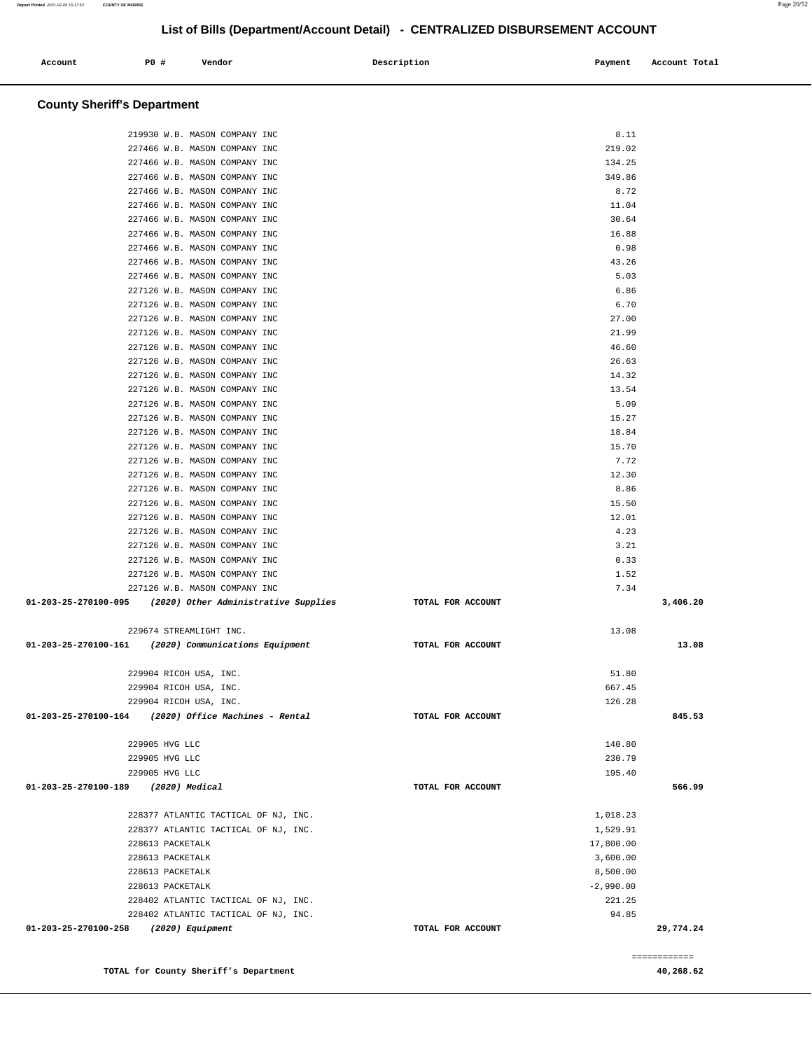| Account                            | PO# | Vendor | Description | Payment | Account Total |
|------------------------------------|-----|--------|-------------|---------|---------------|
| <b>County Sheriff's Department</b> |     |        |             |         |               |

| 219930 W.B. MASON COMPANY INC                                                |                   | 8.11                 |              |
|------------------------------------------------------------------------------|-------------------|----------------------|--------------|
| 227466 W.B. MASON COMPANY INC                                                |                   | 219.02               |              |
| 227466 W.B. MASON COMPANY INC                                                |                   | 134.25               |              |
| 227466 W.B. MASON COMPANY INC                                                |                   | 349.86               |              |
| 227466 W.B. MASON COMPANY INC                                                |                   | 8.72                 |              |
| 227466 W.B. MASON COMPANY INC                                                |                   | 11.04                |              |
| 227466 W.B. MASON COMPANY INC                                                |                   | 30.64                |              |
| 227466 W.B. MASON COMPANY INC                                                |                   | 16.88                |              |
| 227466 W.B. MASON COMPANY INC                                                |                   | 0.98                 |              |
| 227466 W.B. MASON COMPANY INC                                                |                   | 43.26                |              |
| 227466 W.B. MASON COMPANY INC                                                |                   | 5.03                 |              |
| 227126 W.B. MASON COMPANY INC                                                |                   | 6.86                 |              |
| 227126 W.B. MASON COMPANY INC                                                |                   | 6.70                 |              |
| 227126 W.B. MASON COMPANY INC                                                |                   | 27.00                |              |
| 227126 W.B. MASON COMPANY INC                                                |                   | 21.99                |              |
| 227126 W.B. MASON COMPANY INC                                                |                   | 46.60                |              |
| 227126 W.B. MASON COMPANY INC                                                |                   | 26.63                |              |
| 227126 W.B. MASON COMPANY INC<br>227126 W.B. MASON COMPANY INC               |                   | 14.32<br>13.54       |              |
| 227126 W.B. MASON COMPANY INC                                                |                   | 5.09                 |              |
| 227126 W.B. MASON COMPANY INC                                                |                   | 15.27                |              |
| 227126 W.B. MASON COMPANY INC                                                |                   | 18.84                |              |
| 227126 W.B. MASON COMPANY INC                                                |                   | 15.70                |              |
| 227126 W.B. MASON COMPANY INC                                                |                   | 7.72                 |              |
| 227126 W.B. MASON COMPANY INC                                                |                   | 12.30                |              |
| 227126 W.B. MASON COMPANY INC                                                |                   | 8.86                 |              |
| 227126 W.B. MASON COMPANY INC                                                |                   | 15.50                |              |
| 227126 W.B. MASON COMPANY INC                                                |                   | 12.01                |              |
| 227126 W.B. MASON COMPANY INC                                                |                   | 4.23                 |              |
| 227126 W.B. MASON COMPANY INC                                                |                   | 3.21                 |              |
| 227126 W.B. MASON COMPANY INC                                                |                   | 0.33                 |              |
| 227126 W.B. MASON COMPANY INC                                                |                   | 1.52                 |              |
| 227126 W.B. MASON COMPANY INC                                                |                   | 7.34                 |              |
| $01-203-25-270100-095$ (2020) Other Administrative Supplies                  | TOTAL FOR ACCOUNT |                      | 3,406.20     |
| 229674 STREAMLIGHT INC.                                                      |                   | 13.08                |              |
| 01-203-25-270100-161 (2020) Communications Equipment                         | TOTAL FOR ACCOUNT |                      | 13.08        |
|                                                                              |                   |                      |              |
| 229904 RICOH USA, INC.                                                       |                   | 51.80                |              |
| 229904 RICOH USA, INC.                                                       |                   | 667.45               |              |
| 229904 RICOH USA, INC.                                                       |                   | 126.28               |              |
| (2020) Office Machines - Rental<br>01-203-25-270100-164                      | TOTAL FOR ACCOUNT |                      | 845.53       |
| 229905 HVG LLC                                                               |                   | 140.80               |              |
| 229905 HVG LLC                                                               |                   | 230.79               |              |
| 229905 HVG LLC                                                               |                   | 195.40               |              |
| 01-203-25-270100-189<br>(2020) Medical                                       | TOTAL FOR ACCOUNT |                      | 566.99       |
|                                                                              |                   |                      |              |
| 228377 ATLANTIC TACTICAL OF NJ, INC.<br>228377 ATLANTIC TACTICAL OF NJ, INC. |                   | 1,018.23<br>1,529.91 |              |
| 228613 PACKETALK                                                             |                   | 17,800.00            |              |
| 228613 PACKETALK                                                             |                   | 3,600.00             |              |
| 228613 PACKETALK                                                             |                   | 8,500.00             |              |
| 228613 PACKETALK                                                             |                   | $-2,990.00$          |              |
| 228402 ATLANTIC TACTICAL OF NJ, INC.                                         |                   | 221.25               |              |
| 228402 ATLANTIC TACTICAL OF NJ, INC.                                         |                   | 94.85                |              |
| 01-203-25-270100-258<br>(2020) Equipment                                     | TOTAL FOR ACCOUNT |                      | 29,774.24    |
|                                                                              |                   |                      | ============ |

**TOTAL for County Sheriff's Department 40,268.62**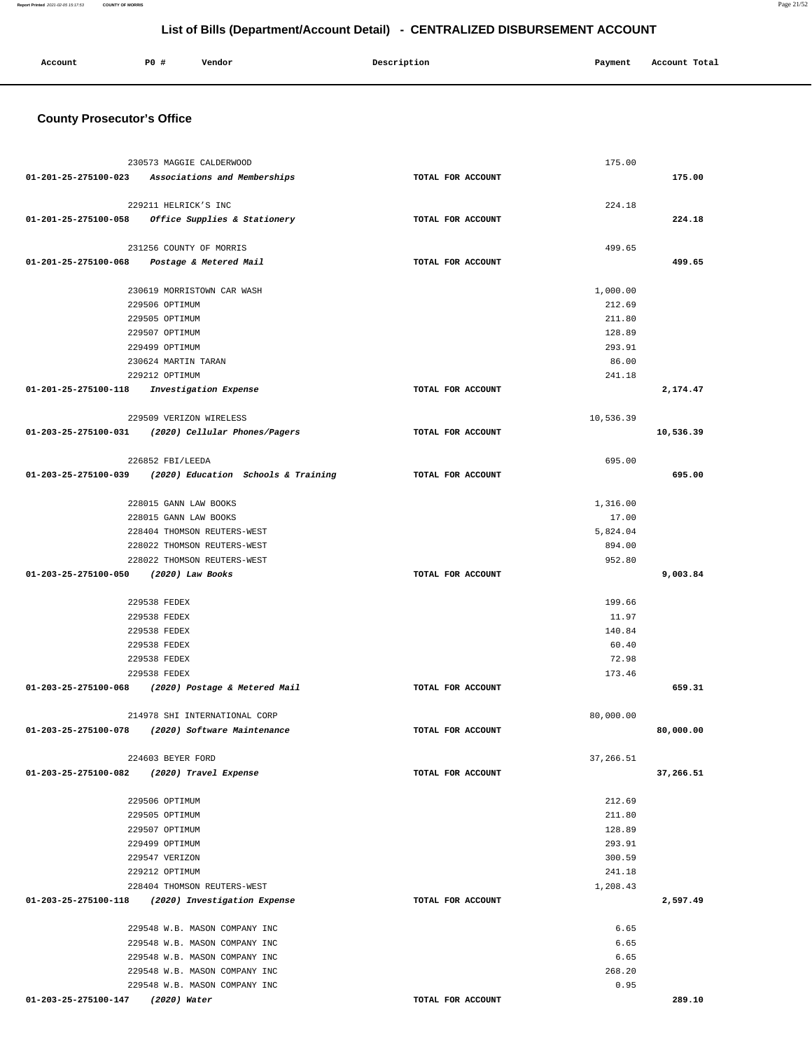| Account | P <sub>0</sub> | Vendor | Description | Payment | Account Total |
|---------|----------------|--------|-------------|---------|---------------|
|         |                |        |             |         |               |

## **County Prosecutor's Office**

| 230573 MAGGIE CALDERWOOD                                 |                   | 175.00    |           |
|----------------------------------------------------------|-------------------|-----------|-----------|
| 01-201-25-275100-023 Associations and Memberships        | TOTAL FOR ACCOUNT |           | 175.00    |
|                                                          |                   |           |           |
| 229211 HELRICK'S INC                                     |                   | 224.18    |           |
| 01-201-25-275100-058 Office Supplies & Stationery        | TOTAL FOR ACCOUNT |           | 224.18    |
|                                                          |                   |           |           |
| 231256 COUNTY OF MORRIS                                  |                   | 499.65    |           |
| 01-201-25-275100-068 Postage & Metered Mail              | TOTAL FOR ACCOUNT |           | 499.65    |
|                                                          |                   |           |           |
| 230619 MORRISTOWN CAR WASH                               |                   | 1,000.00  |           |
| 229506 OPTIMUM                                           |                   | 212.69    |           |
| 229505 OPTIMUM                                           |                   | 211.80    |           |
| 229507 OPTIMUM                                           |                   | 128.89    |           |
| 229499 OPTIMUM                                           |                   | 293.91    |           |
| 230624 MARTIN TARAN                                      |                   | 86.00     |           |
| 229212 OPTIMUM                                           |                   | 241.18    |           |
| 01-201-25-275100-118 Investigation Expense               | TOTAL FOR ACCOUNT |           | 2,174.47  |
| 229509 VERIZON WIRELESS                                  |                   | 10,536.39 |           |
| 01-203-25-275100-031 (2020) Cellular Phones/Pagers       | TOTAL FOR ACCOUNT |           | 10,536.39 |
|                                                          |                   |           |           |
| 226852 FBI/LEEDA                                         |                   | 695.00    |           |
| 01-203-25-275100-039 (2020) Education Schools & Training | TOTAL FOR ACCOUNT |           | 695.00    |
|                                                          |                   |           |           |
| 228015 GANN LAW BOOKS                                    |                   | 1,316.00  |           |
| 228015 GANN LAW BOOKS                                    |                   | 17.00     |           |
| 228404 THOMSON REUTERS-WEST                              |                   | 5,824.04  |           |
| 228022 THOMSON REUTERS-WEST                              |                   | 894.00    |           |
| 228022 THOMSON REUTERS-WEST                              |                   | 952.80    |           |
| 01-203-25-275100-050 (2020) Law Books                    | TOTAL FOR ACCOUNT |           | 9,003.84  |
|                                                          |                   |           |           |
| 229538 FEDEX                                             |                   | 199.66    |           |
| 229538 FEDEX                                             |                   | 11.97     |           |
| 229538 FEDEX                                             |                   | 140.84    |           |
| 229538 FEDEX                                             |                   | 60.40     |           |
| 229538 FEDEX                                             |                   | 72.98     |           |
| 229538 FEDEX                                             |                   | 173.46    |           |
| 01-203-25-275100-068 (2020) Postage & Metered Mail       | TOTAL FOR ACCOUNT |           | 659.31    |
|                                                          |                   |           |           |
| 214978 SHI INTERNATIONAL CORP                            |                   | 80,000.00 |           |
| 01-203-25-275100-078 (2020) Software Maintenance         | TOTAL FOR ACCOUNT |           | 80,000.00 |
| 224603 BEYER FORD                                        |                   | 37,266.51 |           |
| 01-203-25-275100-082<br>(2020) Travel Expense            | TOTAL FOR ACCOUNT |           | 37,266.51 |
|                                                          |                   |           |           |
| 229506 OPTIMUM                                           |                   | 212.69    |           |
| 229505 OPTIMUM                                           |                   | 211.80    |           |
| 229507 OPTIMUM                                           |                   | 128.89    |           |
| 229499 OPTIMUM                                           |                   | 293.91    |           |
| 229547 VERIZON                                           |                   | 300.59    |           |
| 229212 OPTIMUM                                           |                   | 241.18    |           |
| 228404 THOMSON REUTERS-WEST                              |                   | 1,208.43  |           |
| 01-203-25-275100-118 (2020) Investigation Expense        | TOTAL FOR ACCOUNT |           | 2,597.49  |
|                                                          |                   |           |           |
| 229548 W.B. MASON COMPANY INC                            |                   | 6.65      |           |
| 229548 W.B. MASON COMPANY INC                            |                   | 6.65      |           |
| 229548 W.B. MASON COMPANY INC                            |                   | 6.65      |           |
| 229548 W.B. MASON COMPANY INC                            |                   | 268.20    |           |
| 229548 W.B. MASON COMPANY INC                            |                   | 0.95      |           |
| 01-203-25-275100-147 (2020) Water                        | TOTAL FOR ACCOUNT |           | 289.10    |

**Report Printed** 2021-02-05 15:17:53 **COUNTY OF MORRIS** Page 21/52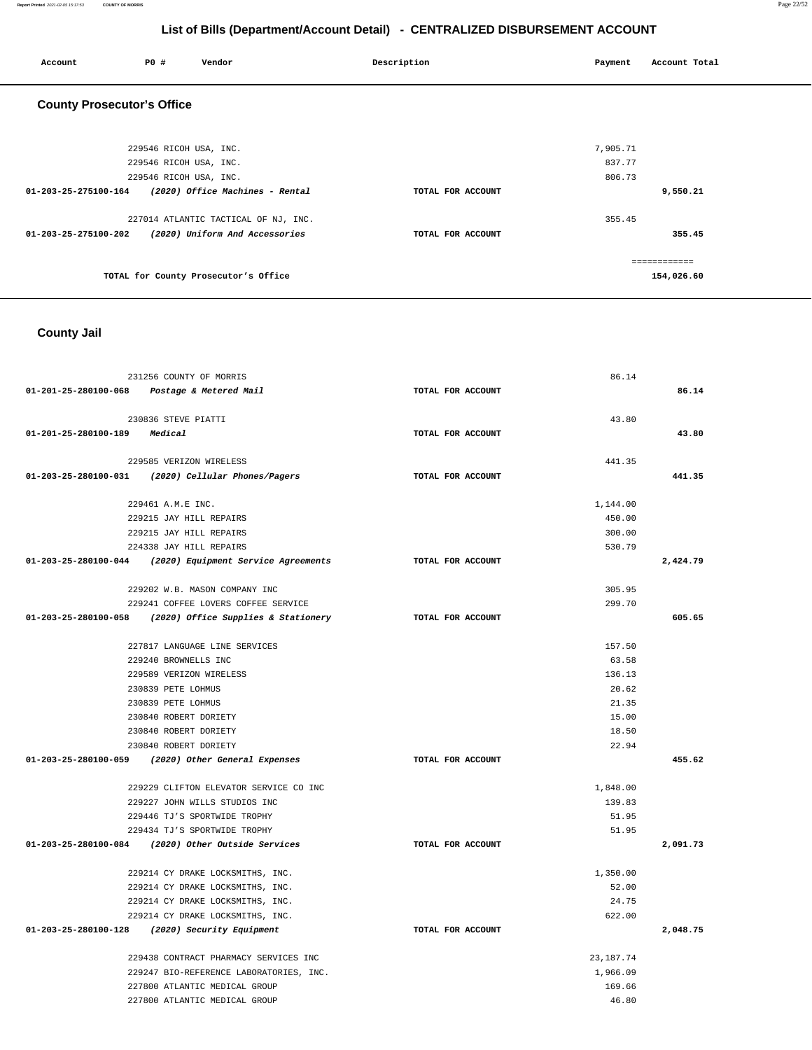| Account                           | P0 #                   | Vendor                               | Description       | Payment  | Account Total |
|-----------------------------------|------------------------|--------------------------------------|-------------------|----------|---------------|
| <b>County Prosecutor's Office</b> |                        |                                      |                   |          |               |
|                                   |                        |                                      |                   |          |               |
|                                   | 229546 RICOH USA, INC. |                                      |                   | 7,905.71 |               |
|                                   | 229546 RICOH USA, INC. |                                      |                   | 837.77   |               |
|                                   | 229546 RICOH USA, INC. |                                      |                   | 806.73   |               |
| 01-203-25-275100-164              |                        | (2020) Office Machines - Rental      | TOTAL FOR ACCOUNT |          | 9,550.21      |
|                                   |                        | 227014 ATLANTIC TACTICAL OF NJ, INC. |                   | 355.45   |               |
| 01-203-25-275100-202              |                        | (2020) Uniform And Accessories       | TOTAL FOR ACCOUNT |          | 355.45        |
|                                   |                        |                                      |                   |          | ============  |
|                                   |                        | TOTAL for County Prosecutor's Office |                   |          | 154,026.60    |

 **County Jail** 

| 231256 COUNTY OF MORRIS                                    |                   | 86.14       |          |
|------------------------------------------------------------|-------------------|-------------|----------|
| 01-201-25-280100-068 Postage & Metered Mail                | TOTAL FOR ACCOUNT |             | 86.14    |
| 230836 STEVE PIATTI                                        |                   | 43.80       |          |
| 01-201-25-280100-189 Medical                               | TOTAL FOR ACCOUNT |             | 43.80    |
| 229585 VERIZON WIRELESS                                    |                   | 441.35      |          |
| 01-203-25-280100-031 (2020) Cellular Phones/Pagers         | TOTAL FOR ACCOUNT |             | 441.35   |
| 229461 A.M.E INC.                                          |                   | 1,144.00    |          |
| 229215 JAY HILL REPAIRS                                    |                   | 450.00      |          |
| 229215 JAY HILL REPAIRS                                    |                   | 300.00      |          |
| 224338 JAY HILL REPAIRS                                    |                   | 530.79      |          |
| $01-203-25-280100-044$ (2020) Equipment Service Agreements | TOTAL FOR ACCOUNT |             | 2,424.79 |
| 229202 W.B. MASON COMPANY INC                              |                   | 305.95      |          |
| 229241 COFFEE LOVERS COFFEE SERVICE                        |                   | 299.70      |          |
| 01-203-25-280100-058 (2020) Office Supplies & Stationery   | TOTAL FOR ACCOUNT |             | 605.65   |
| 227817 LANGUAGE LINE SERVICES                              |                   | 157.50      |          |
| 229240 BROWNELLS INC                                       |                   | 63.58       |          |
| 229589 VERIZON WIRELESS                                    |                   | 136.13      |          |
| 230839 PETE LOHMUS                                         |                   | 20.62       |          |
| 230839 PETE LOHMUS                                         |                   | 21.35       |          |
| 230840 ROBERT DORIETY                                      |                   | 15.00       |          |
| 230840 ROBERT DORIETY                                      |                   | 18.50       |          |
| 230840 ROBERT DORIETY                                      |                   | 22.94       |          |
| 01-203-25-280100-059 (2020) Other General Expenses         | TOTAL FOR ACCOUNT |             | 455.62   |
| 229229 CLIFTON ELEVATOR SERVICE CO INC                     |                   | 1,848.00    |          |
| 229227 JOHN WILLS STUDIOS INC                              |                   | 139.83      |          |
| 229446 TJ'S SPORTWIDE TROPHY                               |                   | 51.95       |          |
| 229434 TJ'S SPORTWIDE TROPHY                               |                   | 51.95       |          |
| 01-203-25-280100-084 (2020) Other Outside Services         | TOTAL FOR ACCOUNT |             | 2,091.73 |
| 229214 CY DRAKE LOCKSMITHS, INC.                           |                   | 1,350.00    |          |
| 229214 CY DRAKE LOCKSMITHS, INC.                           |                   | 52.00       |          |
| 229214 CY DRAKE LOCKSMITHS, INC.                           |                   | 24.75       |          |
| 229214 CY DRAKE LOCKSMITHS, INC.                           |                   | 622.00      |          |
| 01-203-25-280100-128 (2020) Security Equipment             | TOTAL FOR ACCOUNT |             | 2,048.75 |
| 229438 CONTRACT PHARMACY SERVICES INC                      |                   | 23, 187. 74 |          |
| 229247 BIO-REFERENCE LABORATORIES, INC.                    |                   | 1,966.09    |          |
| 227800 ATLANTIC MEDICAL GROUP                              |                   | 169.66      |          |
| 227800 ATLANTIC MEDICAL GROUP                              |                   | 46.80       |          |

**Report Printed** 2021-02-05 15:17:53 **COUNTY OF MORRIS** Page 22/52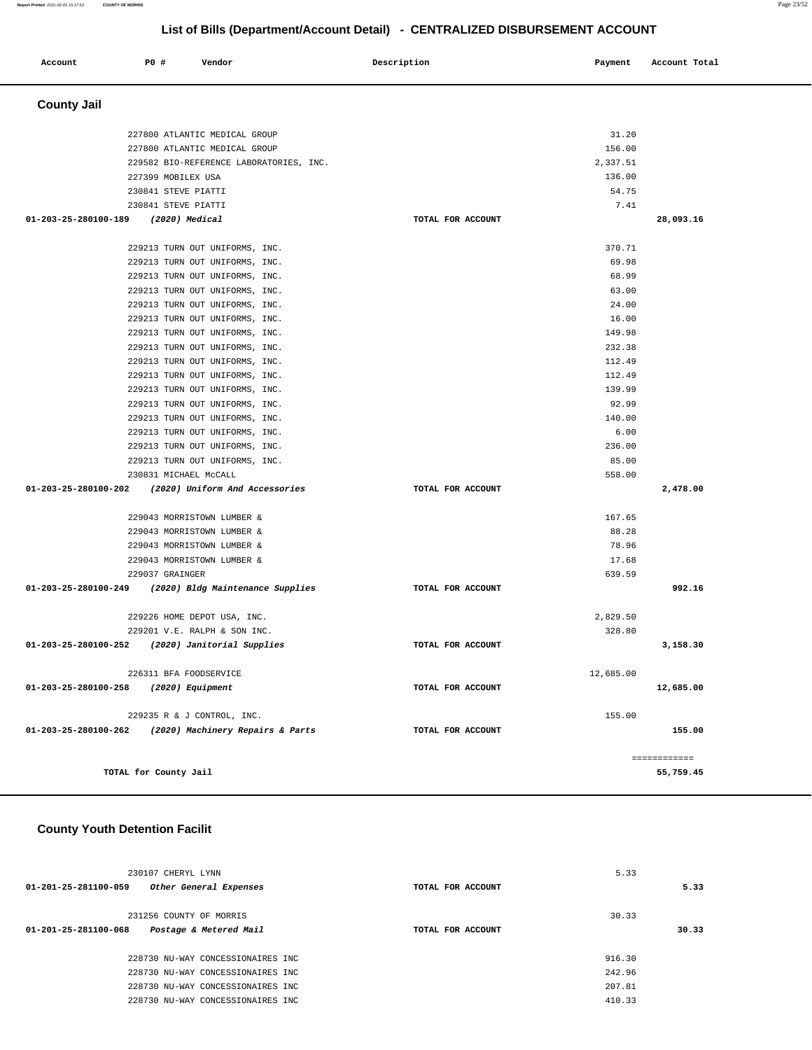| Account              | P0 #                  | Vendor                                  | Description       | Payment   | Account Total             |
|----------------------|-----------------------|-----------------------------------------|-------------------|-----------|---------------------------|
| <b>County Jail</b>   |                       |                                         |                   |           |                           |
|                      |                       | 227800 ATLANTIC MEDICAL GROUP           |                   | 31.20     |                           |
|                      |                       | 227800 ATLANTIC MEDICAL GROUP           |                   | 156.00    |                           |
|                      |                       | 229582 BIO-REFERENCE LABORATORIES, INC. |                   | 2,337.51  |                           |
|                      | 227399 MOBILEX USA    |                                         |                   | 136.00    |                           |
|                      | 230841 STEVE PIATTI   |                                         |                   | 54.75     |                           |
|                      | 230841 STEVE PIATTI   |                                         |                   | 7.41      |                           |
| 01-203-25-280100-189 |                       | (2020) Medical                          | TOTAL FOR ACCOUNT |           | 28,093.16                 |
|                      |                       |                                         |                   |           |                           |
|                      |                       | 229213 TURN OUT UNIFORMS, INC.          |                   | 370.71    |                           |
|                      |                       | 229213 TURN OUT UNIFORMS, INC.          |                   | 69.98     |                           |
|                      |                       | 229213 TURN OUT UNIFORMS, INC.          |                   | 68.99     |                           |
|                      |                       | 229213 TURN OUT UNIFORMS, INC.          |                   | 63.00     |                           |
|                      |                       | 229213 TURN OUT UNIFORMS, INC.          |                   | 24.00     |                           |
|                      |                       | 229213 TURN OUT UNIFORMS, INC.          |                   | 16.00     |                           |
|                      |                       | 229213 TURN OUT UNIFORMS, INC.          |                   | 149.98    |                           |
|                      |                       | 229213 TURN OUT UNIFORMS, INC.          |                   | 232.38    |                           |
|                      |                       | 229213 TURN OUT UNIFORMS, INC.          |                   | 112.49    |                           |
|                      |                       | 229213 TURN OUT UNIFORMS, INC.          |                   | 112.49    |                           |
|                      |                       | 229213 TURN OUT UNIFORMS, INC.          |                   | 139.99    |                           |
|                      |                       | 229213 TURN OUT UNIFORMS, INC.          |                   | 92.99     |                           |
|                      |                       | 229213 TURN OUT UNIFORMS, INC.          |                   | 140.00    |                           |
|                      |                       | 229213 TURN OUT UNIFORMS, INC.          |                   | 6.00      |                           |
|                      |                       | 229213 TURN OUT UNIFORMS, INC.          |                   | 236.00    |                           |
|                      |                       | 229213 TURN OUT UNIFORMS, INC.          |                   | 85.00     |                           |
|                      | 230831 MICHAEL McCALL |                                         |                   | 558.00    |                           |
| 01-203-25-280100-202 |                       | (2020) Uniform And Accessories          | TOTAL FOR ACCOUNT |           | 2,478.00                  |
|                      |                       | 229043 MORRISTOWN LUMBER &              |                   | 167.65    |                           |
|                      |                       | 229043 MORRISTOWN LUMBER &              |                   | 88.28     |                           |
|                      |                       | 229043 MORRISTOWN LUMBER &              |                   | 78.96     |                           |
|                      |                       | 229043 MORRISTOWN LUMBER &              |                   | 17.68     |                           |
|                      | 229037 GRAINGER       |                                         |                   | 639.59    |                           |
| 01-203-25-280100-249 |                       | (2020) Bldg Maintenance Supplies        | TOTAL FOR ACCOUNT |           | 992.16                    |
|                      |                       | 229226 HOME DEPOT USA, INC.             |                   | 2,829.50  |                           |
|                      |                       | 229201 V.E. RALPH & SON INC.            |                   | 328.80    |                           |
| 01-203-25-280100-252 |                       | (2020) Janitorial Supplies              | TOTAL FOR ACCOUNT |           | 3,158.30                  |
|                      |                       | 226311 BFA FOODSERVICE                  |                   | 12,685.00 |                           |
| 01-203-25-280100-258 |                       | (2020) Equipment                        | TOTAL FOR ACCOUNT |           | 12,685.00                 |
|                      |                       |                                         |                   |           |                           |
|                      |                       | 229235 R & J CONTROL, INC.              |                   | 155.00    |                           |
| 01-203-25-280100-262 |                       | (2020) Machinery Repairs & Parts        | TOTAL FOR ACCOUNT |           | 155.00                    |
|                      | TOTAL for County Jail |                                         |                   |           | ============<br>55,759.45 |
|                      |                       |                                         |                   |           |                           |

# **County Youth Detention Facilit**

| 230107 CHERYL LYNN             |                                   |                   | 5.33   |       |
|--------------------------------|-----------------------------------|-------------------|--------|-------|
| 01-201-25-281100-059           | Other General Expenses            | TOTAL FOR ACCOUNT |        | 5.33  |
| 231256 COUNTY OF MORRIS        |                                   |                   | 30.33  |       |
| $01 - 201 - 25 - 281100 - 068$ | Postage & Metered Mail            | TOTAL FOR ACCOUNT |        | 30.33 |
|                                | 228730 NU-WAY CONCESSIONAIRES INC |                   | 916.30 |       |
|                                | 228730 NU-WAY CONCESSIONAIRES INC |                   | 242.96 |       |
|                                | 228730 NU-WAY CONCESSIONAIRES INC |                   | 207.81 |       |
|                                | 228730 NU-WAY CONCESSIONAIRES INC |                   | 410.33 |       |
|                                |                                   |                   |        |       |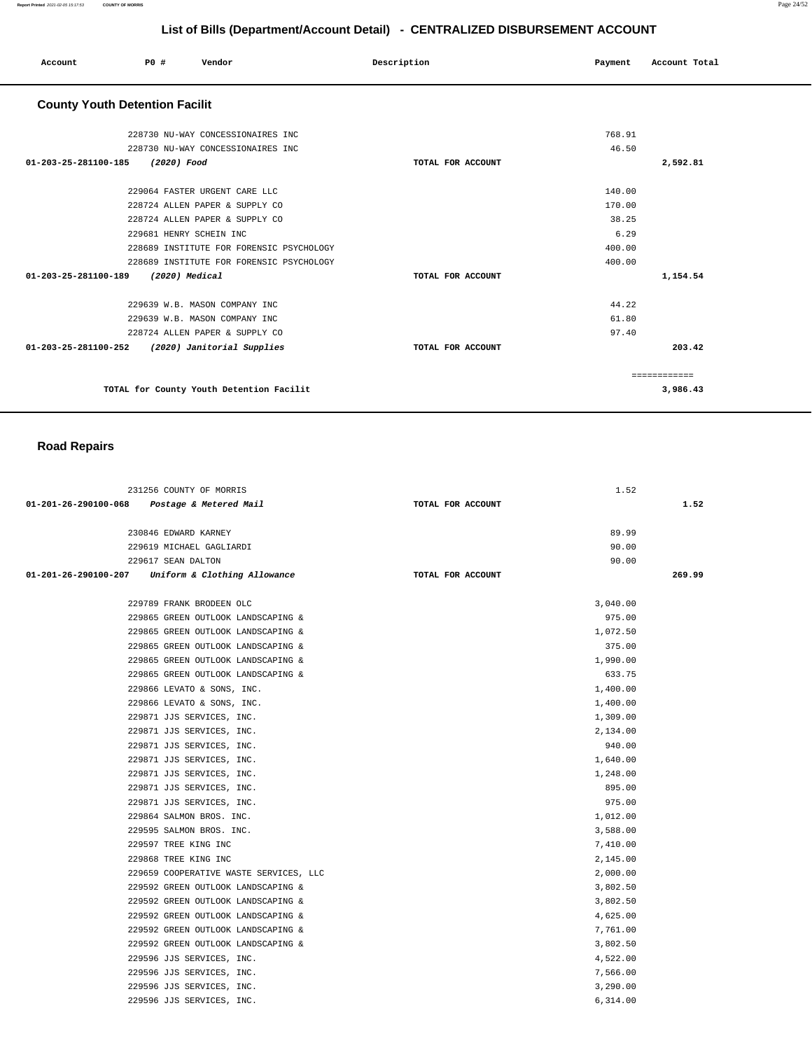| Account<br>. | P0 # | Vendor | Description | Payment<br>$\sim$ $\sim$ | Account Total |
|--------------|------|--------|-------------|--------------------------|---------------|
|              |      |        |             |                          |               |

## **County Youth Detention Facilit**

|                   | 768.91        |
|-------------------|---------------|
|                   | 46.50         |
| TOTAL FOR ACCOUNT | 2,592.81      |
|                   |               |
|                   | 140.00        |
|                   | 170.00        |
|                   | 38.25         |
|                   | 6.29          |
|                   | 400.00        |
|                   | 400.00        |
| TOTAL FOR ACCOUNT | 1,154.54      |
|                   |               |
|                   | 44.22         |
|                   | 61.80         |
|                   | 97.40         |
| TOTAL FOR ACCOUNT | 203.42        |
|                   | ------------- |
|                   | 3,986.43      |
|                   |               |

## **Road Repairs**

| 231256 COUNTY OF MORRIS                              | 1.52              |        |
|------------------------------------------------------|-------------------|--------|
| 01-201-26-290100-068<br>Postage & Metered Mail       | TOTAL FOR ACCOUNT | 1.52   |
|                                                      |                   |        |
| 230846 EDWARD KARNEY                                 | 89.99             |        |
| 229619 MICHAEL GAGLIARDI                             | 90.00             |        |
| 229617 SEAN DALTON                                   | 90.00             |        |
| 01-201-26-290100-207<br>Uniform & Clothing Allowance | TOTAL FOR ACCOUNT | 269.99 |
|                                                      |                   |        |
| 229789 FRANK BRODEEN OLC                             | 3,040.00          |        |
| 229865 GREEN OUTLOOK LANDSCAPING &                   | 975.00            |        |
| 229865 GREEN OUTLOOK LANDSCAPING &                   | 1,072.50          |        |
| 229865 GREEN OUTLOOK LANDSCAPING &                   | 375.00            |        |
| 229865 GREEN OUTLOOK LANDSCAPING &                   | 1,990.00          |        |
| 229865 GREEN OUTLOOK LANDSCAPING &                   | 633.75            |        |
| 229866 LEVATO & SONS, INC.                           | 1,400.00          |        |
| 229866 LEVATO & SONS, INC.                           | 1,400.00          |        |
| 229871 JJS SERVICES, INC.                            | 1,309.00          |        |
| 229871 JJS SERVICES, INC.                            | 2,134.00          |        |
| 229871 JJS SERVICES, INC.                            | 940.00            |        |
| 229871 JJS SERVICES, INC.                            | 1,640.00          |        |
| 229871 JJS SERVICES, INC.                            | 1,248.00          |        |
| 229871 JJS SERVICES, INC.                            | 895.00            |        |
| 229871 JJS SERVICES, INC.                            | 975.00            |        |
| 229864 SALMON BROS. INC.                             | 1,012.00          |        |
| 229595 SALMON BROS. INC.                             | 3,588.00          |        |
| 229597 TREE KING INC                                 | 7,410.00          |        |
| 229868 TREE KING INC                                 | 2,145.00          |        |
| 229659 COOPERATIVE WASTE SERVICES, LLC               | 2,000.00          |        |
| 229592 GREEN OUTLOOK LANDSCAPING &                   | 3,802.50          |        |
| 229592 GREEN OUTLOOK LANDSCAPING &                   | 3,802.50          |        |
| 229592 GREEN OUTLOOK LANDSCAPING &                   | 4,625.00          |        |
| 229592 GREEN OUTLOOK LANDSCAPING &                   | 7,761.00          |        |
| 229592 GREEN OUTLOOK LANDSCAPING &                   | 3,802.50          |        |
| 229596 JJS SERVICES, INC.                            | 4,522.00          |        |
| 229596 JJS SERVICES, INC.                            | 7,566.00          |        |
| 229596 JJS SERVICES, INC.                            | 3,290.00          |        |
| 229596 JJS SERVICES, INC.                            | 6,314.00          |        |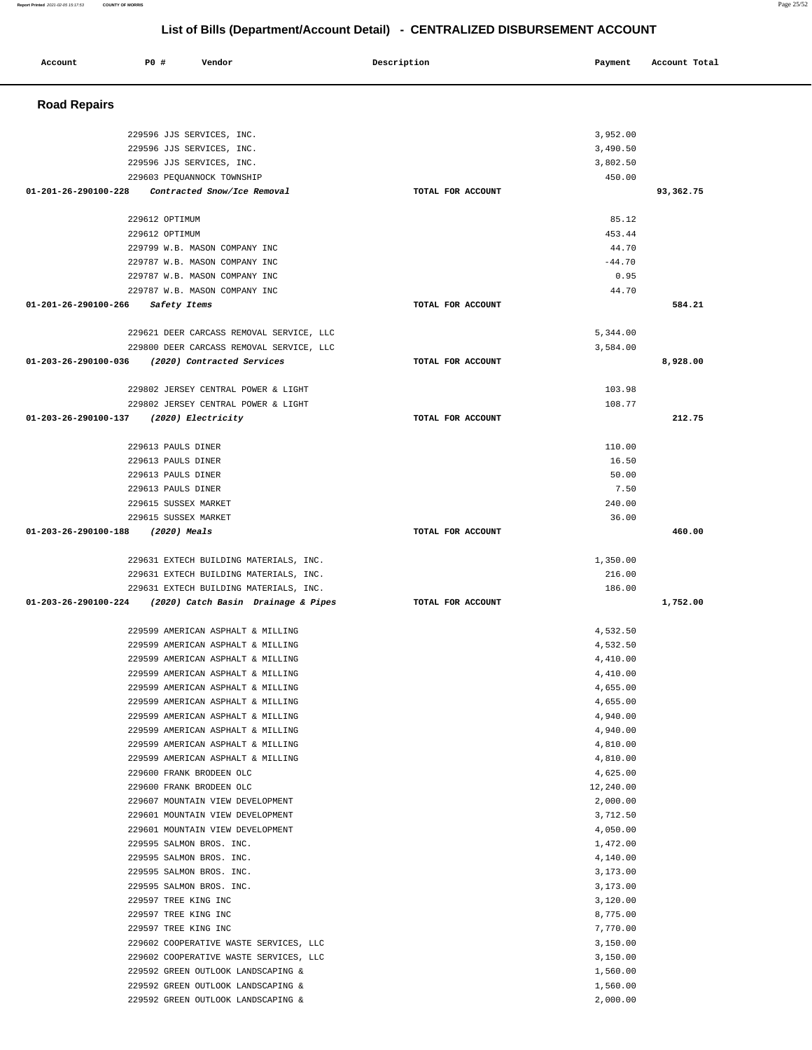| <b>Road Repairs</b>                                                    |                   |                      |           |
|------------------------------------------------------------------------|-------------------|----------------------|-----------|
| 229596 JJS SERVICES, INC.                                              |                   | 3,952.00             |           |
| 229596 JJS SERVICES, INC.                                              |                   | 3,490.50             |           |
| 229596 JJS SERVICES, INC.                                              |                   | 3,802.50             |           |
| 229603 PEQUANNOCK TOWNSHIP                                             |                   | 450.00               |           |
| 01-201-26-290100-228<br>Contracted Snow/Ice Removal                    | TOTAL FOR ACCOUNT |                      | 93,362.75 |
| 229612 OPTIMUM                                                         |                   | 85.12                |           |
| 229612 OPTIMUM                                                         |                   | 453.44               |           |
| 229799 W.B. MASON COMPANY INC                                          |                   | 44.70                |           |
| 229787 W.B. MASON COMPANY INC                                          |                   | $-44.70$             |           |
| 229787 W.B. MASON COMPANY INC                                          |                   | 0.95                 |           |
| 229787 W.B. MASON COMPANY INC                                          |                   | 44.70                |           |
| 01-201-26-290100-266<br>Safety Items                                   | TOTAL FOR ACCOUNT |                      | 584.21    |
| 229621 DEER CARCASS REMOVAL SERVICE, LLC                               |                   | 5,344.00             |           |
| 229800 DEER CARCASS REMOVAL SERVICE, LLC                               |                   | 3,584.00             |           |
| 01-203-26-290100-036 (2020) Contracted Services                        | TOTAL FOR ACCOUNT |                      | 8,928.00  |
| 229802 JERSEY CENTRAL POWER & LIGHT                                    |                   | 103.98               |           |
| 229802 JERSEY CENTRAL POWER & LIGHT                                    |                   | 108.77               |           |
| 01-203-26-290100-137<br>(2020) Electricity                             | TOTAL FOR ACCOUNT |                      | 212.75    |
| 229613 PAULS DINER                                                     |                   | 110.00               |           |
| 229613 PAULS DINER                                                     |                   | 16.50                |           |
| 229613 PAULS DINER                                                     |                   | 50.00                |           |
| 229613 PAULS DINER                                                     |                   | 7.50                 |           |
| 229615 SUSSEX MARKET                                                   |                   | 240.00               |           |
| 229615 SUSSEX MARKET                                                   |                   | 36.00                |           |
| 01-203-26-290100-188<br>(2020) Meals                                   | TOTAL FOR ACCOUNT |                      | 460.00    |
| 229631 EXTECH BUILDING MATERIALS, INC.                                 |                   | 1,350.00             |           |
| 229631 EXTECH BUILDING MATERIALS, INC.                                 |                   | 216.00               |           |
| 229631 EXTECH BUILDING MATERIALS, INC.                                 |                   | 186.00               |           |
| 01-203-26-290100-224 (2020) Catch Basin Drainage & Pipes               | TOTAL FOR ACCOUNT |                      | 1,752.00  |
| 229599 AMERICAN ASPHALT & MILLING                                      |                   | 4,532.50             |           |
| 229599 AMERICAN ASPHALT & MILLING                                      |                   | 4,532.50             |           |
| 229599 AMERICAN ASPHALT & MILLING                                      |                   | 4,410.00             |           |
| 229599 AMERICAN ASPHALT & MILLING                                      |                   | 4,410.00             |           |
| 229599 AMERICAN ASPHALT & MILLING                                      |                   | 4,655.00             |           |
| 229599 AMERICAN ASPHALT & MILLING                                      |                   | 4,655.00             |           |
| 229599 AMERICAN ASPHALT & MILLING                                      |                   | 4,940.00             |           |
| 229599 AMERICAN ASPHALT & MILLING<br>229599 AMERICAN ASPHALT & MILLING |                   | 4,940.00<br>4,810.00 |           |
| 229599 AMERICAN ASPHALT & MILLING                                      |                   | 4,810.00             |           |
| 229600 FRANK BRODEEN OLC                                               |                   | 4,625.00             |           |
| 229600 FRANK BRODEEN OLC                                               |                   | 12,240.00            |           |
| 229607 MOUNTAIN VIEW DEVELOPMENT                                       |                   | 2,000.00             |           |
| 229601 MOUNTAIN VIEW DEVELOPMENT                                       |                   | 3,712.50             |           |
| 229601 MOUNTAIN VIEW DEVELOPMENT                                       |                   | 4,050.00             |           |
| 229595 SALMON BROS. INC.                                               |                   | 1,472.00             |           |
| 229595 SALMON BROS. INC.                                               |                   | 4,140.00             |           |
| 229595 SALMON BROS. INC.                                               |                   | 3,173.00             |           |
| 229595 SALMON BROS. INC.                                               |                   | 3,173.00             |           |
| 229597 TREE KING INC<br>229597 TREE KING INC                           |                   | 3,120.00<br>8,775.00 |           |
| 229597 TREE KING INC                                                   |                   | 7,770.00             |           |
| 229602 COOPERATIVE WASTE SERVICES, LLC                                 |                   | 3,150.00             |           |
| 229602 COOPERATIVE WASTE SERVICES, LLC                                 |                   | 3,150.00             |           |
| 229592 GREEN OUTLOOK LANDSCAPING &                                     |                   | 1,560.00             |           |
| 229592 GREEN OUTLOOK LANDSCAPING &                                     |                   | 1,560.00             |           |
| 229592 GREEN OUTLOOK LANDSCAPING &                                     |                   | 2,000.00             |           |

 **Account P0 # Vendor Description Payment Account Total**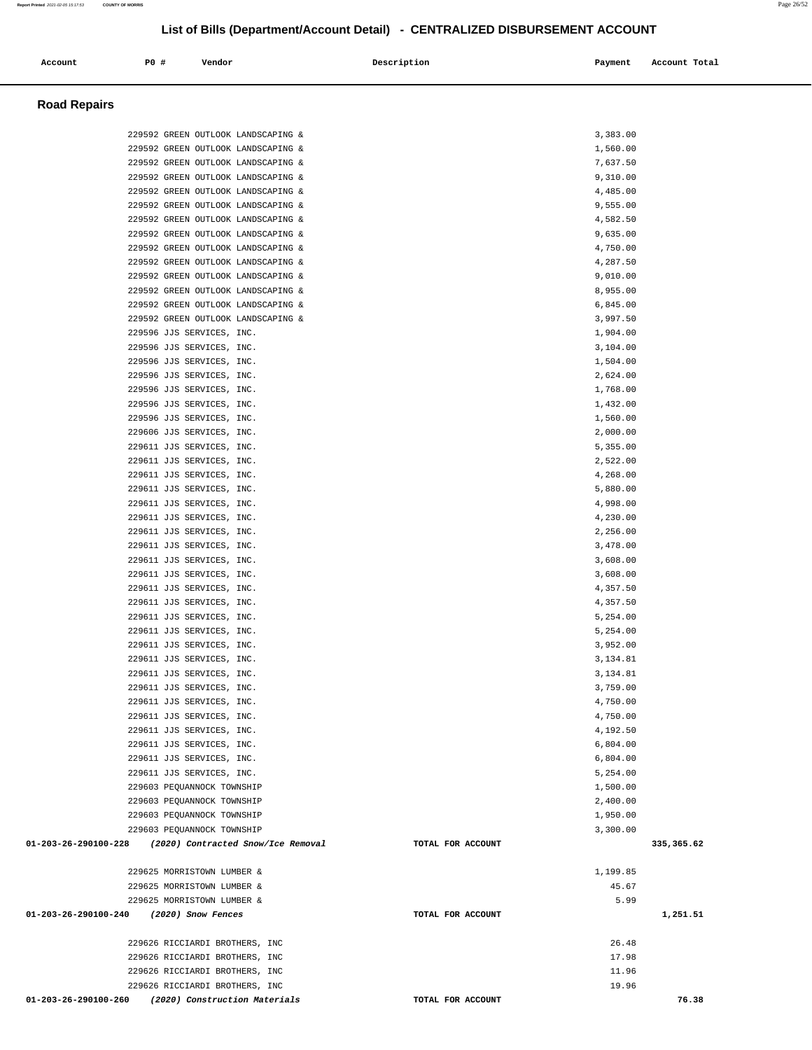#### 229592 GREEN OUTLOOK LANDSCAPING & 1,560.00 229592 GREEN OUTLOOK LANDSCAPING & 7,637.50 229592 GREEN OUTLOOK LANDSCAPING & 9,310.00 229592 GREEN OUTLOOK LANDSCAPING & 4,485.00 229592 GREEN OUTLOOK LANDSCAPING & 9,555.00 229592 GREEN OUTLOOK LANDSCAPING & 4,582.50 229592 GREEN OUTLOOK LANDSCAPING & 9,635.00 229592 GREEN OUTLOOK LANDSCAPING & 4,750.00 229592 GREEN OUTLOOK LANDSCAPING & 4,287.50 229592 GREEN OUTLOOK LANDSCAPING & 9,010.00 229592 GREEN OUTLOOK LANDSCAPING & 8,955.00 229592 GREEN OUTLOOK LANDSCAPING & 6,845.00 229592 GREEN OUTLOOK LANDSCAPING & 3,997.50 229596 JJS SERVICES, INC. 1,904.00 229596 JJS SERVICES, INC. 3,104.00 229596 JJS SERVICES, INC. 1,504.00 229596 JJS SERVICES, INC. 2,624.00 229596 JJS SERVICES, INC. 1,768.00 229596 JJS SERVICES, INC. 1,432.00 229596 JJS SERVICES, INC. 1,560.00 229606 JJS SERVICES, INC. 2,000.00 229611 JJS SERVICES, INC. 5,355.00 229611 JJS SERVICES, INC. 2,522.00 229611 JJS SERVICES, INC. 4,268.00 229611 JJS SERVICES, INC. 5,880.00 229611 JJS SERVICES, INC. 4,998.00 229611 JJS SERVICES, INC. 4,230.00 229611 JJS SERVICES, INC. 2,256.00 229611 JJS SERVICES, INC. 3,478.00 229611 JJS SERVICES, INC. 3,608.00 229611 JJS SERVICES, INC. 3,608.00 229611 JJS SERVICES, INC. 4,357.50 229611 JJS SERVICES, INC. 4,357.50 229611 JJS SERVICES, INC. 5,254.00 229611 JJS SERVICES, INC. 5,254.00 229611 JJS SERVICES, INC. 3,952.00 229611 JJS SERVICES, INC. 3,134.81 229611 JJS SERVICES, INC. 3,134.81 229611 JJS SERVICES, INC. 3,759.00 229611 JJS SERVICES, INC. 4,750.00 229611 JJS SERVICES, INC. 4,750.00 229611 JJS SERVICES, INC. 4,192.50 229611 JJS SERVICES, INC. 6,804.00 229611 JJS SERVICES, INC. 6,804.00 229611 JJS SERVICES, INC. 5,254.00 229603 PEQUANNOCK TOWNSHIP 1,500.00 229603 PEQUANNOCK TOWNSHIP 2,400.00 229603 PEQUANNOCK TOWNSHIP 1,950.00 229603 PEQUANNOCK TOWNSHIP 3,300.00  **01-203-26-290100-228 (2020) Contracted Snow/Ice Removal TOTAL FOR ACCOUNT 335,365.62** 229625 MORRISTOWN LUMBER & 1,199.85 229625 MORRISTOWN LUMBER & 45.67 229625 MORRISTOWN LUMBER & 5.99  **01-203-26-290100-240 (2020) Snow Fences TOTAL FOR ACCOUNT 1,251.51** 229626 RICCIARDI BROTHERS, INC 26.48 229626 RICCIARDI BROTHERS, INC 17.98 229626 RICCIARDI BROTHERS, INC 11.96 229626 RICCIARDI BROTHERS, INC 19.96  **01-203-26-290100-260 (2020) Construction Materials TOTAL FOR ACCOUNT 76.38**

 **Account P0 # Vendor Description Payment Account Total**

229592 GREEN OUTLOOK LANDSCAPING & 3,383.00

 **Road Repairs**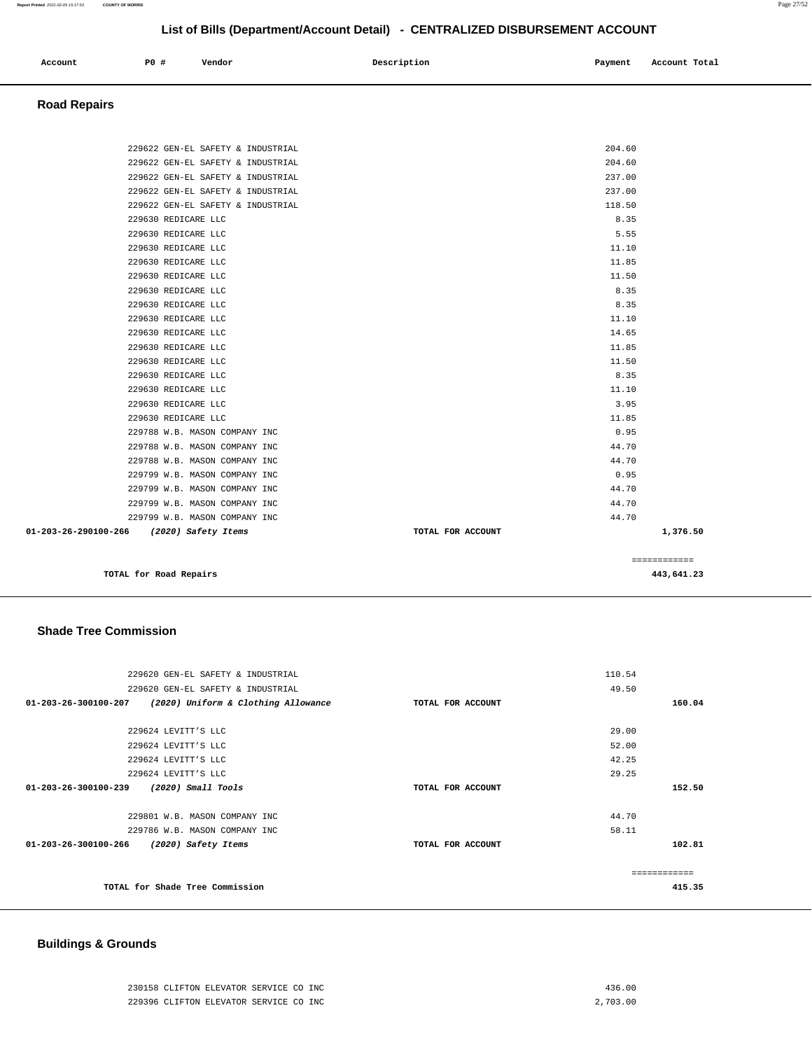| Account | P0 # | Vendor | Description | Payment<br>. | Account Total |
|---------|------|--------|-------------|--------------|---------------|
|         |      |        |             |              |               |

#### **Road Repairs**

|                                          |                                            |                                   |  |                   |                | ============ |
|------------------------------------------|--------------------------------------------|-----------------------------------|--|-------------------|----------------|--------------|
|                                          |                                            |                                   |  |                   |                |              |
| 01-203-26-290100-266 (2020) Safety Items |                                            | 229799 W.B. MASON COMPANY INC     |  | TOTAL FOR ACCOUNT | 44.70          | 1,376.50     |
|                                          |                                            | 229799 W.B. MASON COMPANY INC     |  |                   | 44.70          |              |
|                                          |                                            | 229799 W.B. MASON COMPANY INC     |  |                   | 44.70          |              |
|                                          |                                            | 229799 W.B. MASON COMPANY INC     |  |                   | 0.95           |              |
|                                          |                                            | 229788 W.B. MASON COMPANY INC     |  |                   | 44.70          |              |
|                                          |                                            | 229788 W.B. MASON COMPANY INC     |  |                   | 44.70          |              |
|                                          |                                            | 229788 W.B. MASON COMPANY INC     |  |                   | 0.95           |              |
|                                          | 229630 REDICARE LLC                        |                                   |  |                   | 11.85          |              |
|                                          | 229630 REDICARE LLC                        |                                   |  |                   | 3.95           |              |
|                                          | 229630 REDICARE LLC                        |                                   |  |                   | 11.10          |              |
|                                          | 229630 REDICARE LLC                        |                                   |  |                   | 8.35           |              |
|                                          | 229630 REDICARE LLC                        |                                   |  |                   | 11.50          |              |
|                                          | 229630 REDICARE LLC                        |                                   |  |                   | 11.85          |              |
|                                          | 229630 REDICARE LLC                        |                                   |  |                   | 14.65          |              |
|                                          | 229630 REDICARE LLC                        |                                   |  |                   | 11.10          |              |
|                                          | 229630 REDICARE LLC                        |                                   |  |                   | 8.35           |              |
|                                          | 229630 REDICARE LLC                        |                                   |  |                   | 8.35           |              |
|                                          | 229630 REDICARE LLC                        |                                   |  |                   | 11.50          |              |
|                                          | 229630 REDICARE LLC                        |                                   |  |                   | 11.85          |              |
|                                          | 229630 REDICARE LLC                        |                                   |  |                   | 11.10          |              |
|                                          | 229630 REDICARE LLC<br>229630 REDICARE LLC |                                   |  |                   | 5.55           |              |
|                                          |                                            | 229622 GEN-EL SAFETY & INDUSTRIAL |  |                   | 118.50<br>8.35 |              |
|                                          |                                            | 229622 GEN-EL SAFETY & INDUSTRIAL |  |                   | 237.00         |              |
|                                          |                                            | 229622 GEN-EL SAFETY & INDUSTRIAL |  |                   | 237.00         |              |
|                                          |                                            | 229622 GEN-EL SAFETY & INDUSTRIAL |  |                   | 204.60         |              |
|                                          |                                            | 229622 GEN-EL SAFETY & INDUSTRIAL |  |                   | 204.60         |              |

#### **Shade Tree Commission**

| 229620 GEN-EL SAFETY & INDUSTRIAL                           |                   | 110.54        |  |
|-------------------------------------------------------------|-------------------|---------------|--|
| 229620 GEN-EL SAFETY & INDUSTRIAL                           |                   | 49.50         |  |
| 01-203-26-300100-207<br>(2020) Uniform & Clothing Allowance | TOTAL FOR ACCOUNT | 160.04        |  |
|                                                             |                   |               |  |
| 229624 LEVITT'S LLC                                         |                   | 29.00         |  |
| 229624 LEVITT'S LLC                                         |                   | 52.00         |  |
| 229624 LEVITT'S LLC                                         |                   | 42.25         |  |
| 229624 LEVITT'S LLC                                         |                   | 29.25         |  |
| 01-203-26-300100-239<br>(2020) Small Tools                  | TOTAL FOR ACCOUNT | 152.50        |  |
|                                                             |                   |               |  |
| 229801 W.B. MASON COMPANY INC                               |                   | 44.70         |  |
| 229786 W.B. MASON COMPANY INC                               |                   | 58.11         |  |
| 01-203-26-300100-266<br>(2020) Safety Items                 | TOTAL FOR ACCOUNT | 102.81        |  |
|                                                             |                   |               |  |
|                                                             |                   | ------------- |  |
| TOTAL for Shade Tree Commission                             |                   | 415.35        |  |
|                                                             |                   |               |  |

### **Buildings & Grounds**

| 230158 CLIFTON ELEVATOR SERVICE CO INC | 436.00   |
|----------------------------------------|----------|
| 229396 CLIFTON ELEVATOR SERVICE CO INC | 2,703,00 |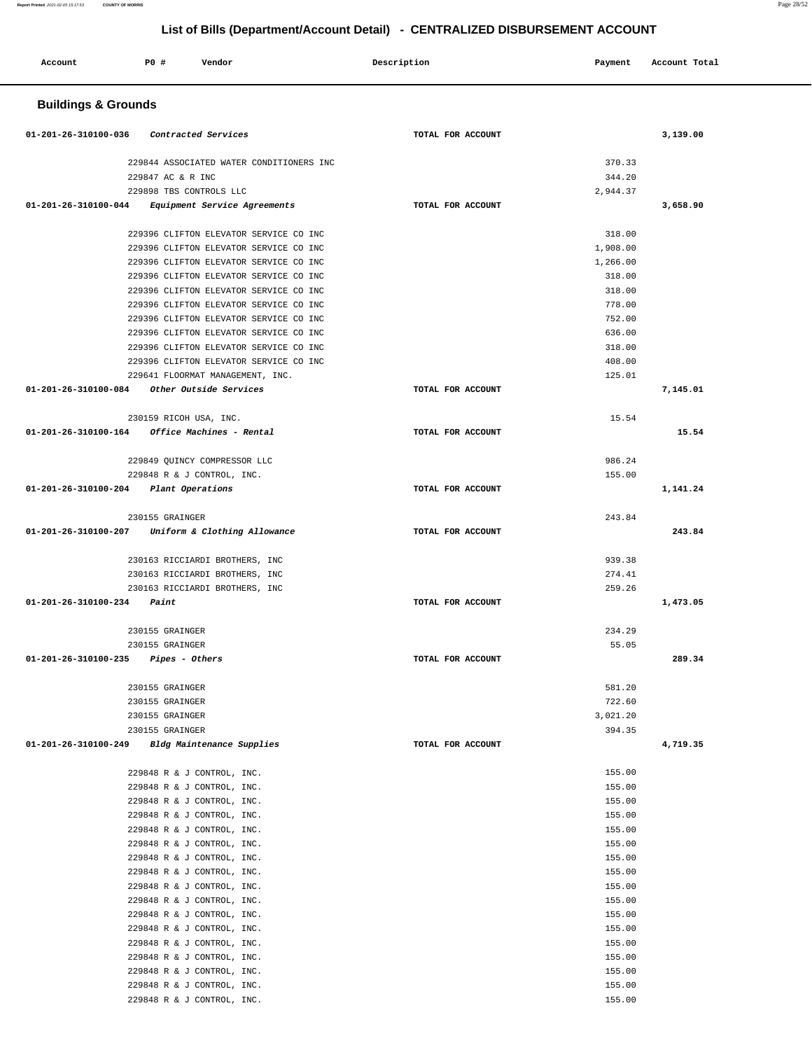| Account | P0 # | Vendor | Description | Payment | Account Total |
|---------|------|--------|-------------|---------|---------------|
|         |      |        |             |         |               |

# **Buildings & Grounds**

| 01-201-26-310100-036 Contracted Services |                                                         | TOTAL FOR ACCOUNT |          | 3,139.00 |
|------------------------------------------|---------------------------------------------------------|-------------------|----------|----------|
|                                          |                                                         |                   |          |          |
|                                          | 229844 ASSOCIATED WATER CONDITIONERS INC                |                   | 370.33   |          |
|                                          | 229847 AC & R INC                                       |                   | 344.20   |          |
|                                          | 229898 TBS CONTROLS LLC                                 |                   | 2,944.37 |          |
|                                          | 01-201-26-310100-044 Equipment Service Agreements       | TOTAL FOR ACCOUNT |          | 3,658.90 |
|                                          | 229396 CLIFTON ELEVATOR SERVICE CO INC                  |                   | 318.00   |          |
|                                          | 229396 CLIFTON ELEVATOR SERVICE CO INC                  |                   | 1,908.00 |          |
|                                          | 229396 CLIFTON ELEVATOR SERVICE CO INC                  |                   | 1,266.00 |          |
|                                          | 229396 CLIFTON ELEVATOR SERVICE CO INC                  |                   | 318.00   |          |
|                                          | 229396 CLIFTON ELEVATOR SERVICE CO INC                  |                   | 318.00   |          |
|                                          | 229396 CLIFTON ELEVATOR SERVICE CO INC                  |                   | 778.00   |          |
|                                          | 229396 CLIFTON ELEVATOR SERVICE CO INC                  |                   | 752.00   |          |
|                                          | 229396 CLIFTON ELEVATOR SERVICE CO INC                  |                   | 636.00   |          |
|                                          | 229396 CLIFTON ELEVATOR SERVICE CO INC                  |                   | 318.00   |          |
|                                          | 229396 CLIFTON ELEVATOR SERVICE CO INC                  |                   | 408.00   |          |
|                                          | 229641 FLOORMAT MANAGEMENT, INC.                        |                   | 125.01   |          |
|                                          | 01-201-26-310100-084 Other Outside Services             | TOTAL FOR ACCOUNT |          | 7,145.01 |
|                                          | 230159 RICOH USA, INC.                                  |                   | 15.54    |          |
|                                          | $01 - 201 - 26 - 310100 - 164$ Office Machines - Rental | TOTAL FOR ACCOUNT |          | 15.54    |
|                                          |                                                         |                   |          |          |
|                                          | 229849 OUINCY COMPRESSOR LLC                            |                   | 986.24   |          |
|                                          | 229848 R & J CONTROL, INC.                              |                   | 155.00   |          |
| 01-201-26-310100-204 Plant Operations    |                                                         | TOTAL FOR ACCOUNT |          | 1,141.24 |
|                                          |                                                         |                   |          |          |
|                                          | 230155 GRAINGER                                         |                   | 243.84   |          |
|                                          | $01-201-26-310100-207$ Uniform & Clothing Allowance     | TOTAL FOR ACCOUNT |          | 243.84   |
|                                          |                                                         |                   |          |          |
|                                          | 230163 RICCIARDI BROTHERS, INC                          |                   | 939.38   |          |
|                                          | 230163 RICCIARDI BROTHERS, INC                          |                   | 274.41   |          |
|                                          | 230163 RICCIARDI BROTHERS, INC                          |                   | 259.26   |          |
| $01 - 201 - 26 - 310100 - 234$ Paint     |                                                         | TOTAL FOR ACCOUNT |          | 1,473.05 |
|                                          | 230155 GRAINGER                                         |                   | 234.29   |          |
|                                          | 230155 GRAINGER                                         |                   | 55.05    |          |
| $01-201-26-310100-235$ Pipes - Others    |                                                         | TOTAL FOR ACCOUNT |          | 289.34   |
|                                          |                                                         |                   |          |          |
|                                          | 230155 GRAINGER                                         |                   | 581.20   |          |
|                                          | 230155 GRAINGER                                         |                   | 722.60   |          |
|                                          | 230155 GRAINGER                                         |                   | 3.021.20 |          |
|                                          | 230155 GRAINGER                                         |                   | 394.35   |          |
| 01-201-26-310100-249                     | Bldg Maintenance Supplies                               | TOTAL FOR ACCOUNT |          | 4,719.35 |
|                                          | 229848 R & J CONTROL, INC.                              |                   | 155.00   |          |
|                                          | 229848 R & J CONTROL, INC.                              |                   | 155.00   |          |
|                                          | 229848 R & J CONTROL, INC.                              |                   | 155.00   |          |
|                                          | 229848 R & J CONTROL, INC.                              |                   | 155.00   |          |
|                                          | 229848 R & J CONTROL, INC.                              |                   | 155.00   |          |
|                                          | 229848 R & J CONTROL, INC.                              |                   | 155.00   |          |
|                                          | 229848 R & J CONTROL, INC.                              |                   | 155.00   |          |
|                                          | 229848 R & J CONTROL, INC.                              |                   | 155.00   |          |
|                                          | 229848 R & J CONTROL, INC.                              |                   | 155.00   |          |
|                                          | 229848 R & J CONTROL, INC.                              |                   | 155.00   |          |
|                                          | 229848 R & J CONTROL, INC.                              |                   | 155.00   |          |
|                                          | 229848 R & J CONTROL, INC.                              |                   | 155.00   |          |
|                                          | 229848 R & J CONTROL, INC.                              |                   | 155.00   |          |
|                                          | 229848 R & J CONTROL, INC.                              |                   | 155.00   |          |
|                                          | 229848 R & J CONTROL, INC.                              |                   | 155.00   |          |
|                                          | 229848 R & J CONTROL, INC.                              |                   | 155.00   |          |
|                                          | 229848 R & J CONTROL, INC.                              |                   | 155.00   |          |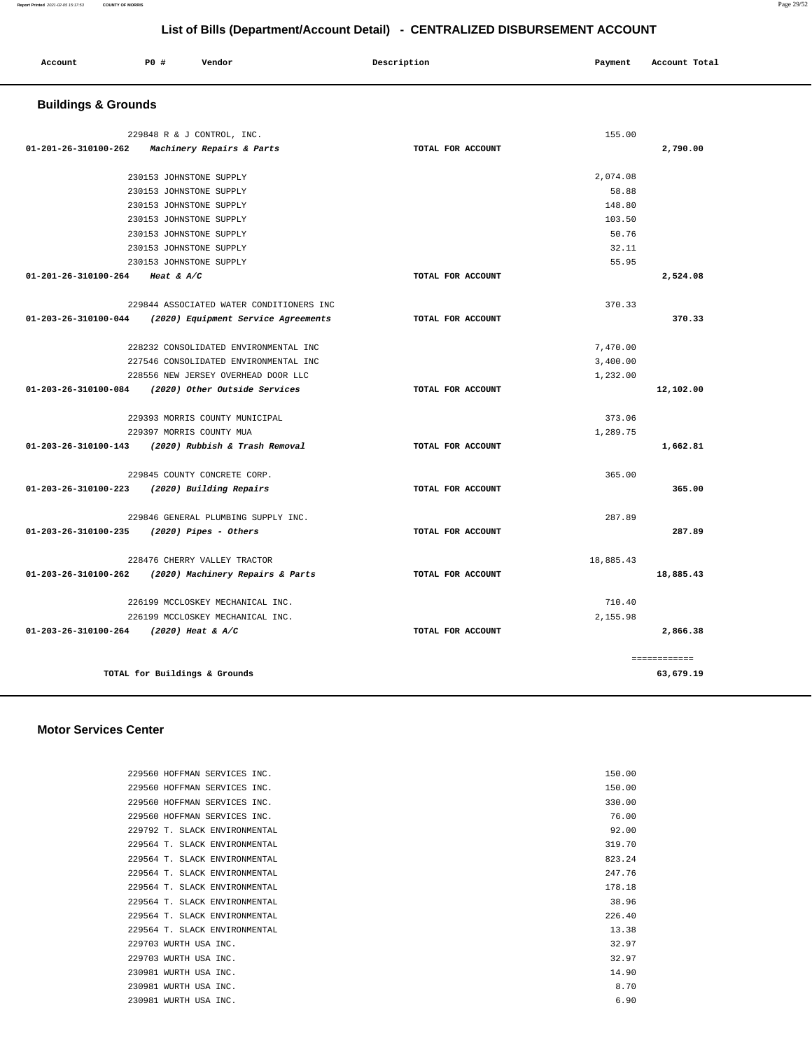| Account | PO# | Vendor | Description | Payment | Account Total |
|---------|-----|--------|-------------|---------|---------------|
| .       |     |        |             | . .     | .             |
|         |     |        |             |         |               |

## **Buildings & Grounds**

|                                        | 229848 R & J CONTROL, INC.                               |                   | 155.00    |              |
|----------------------------------------|----------------------------------------------------------|-------------------|-----------|--------------|
| $01 - 201 - 26 - 310100 - 262$         | <i>Machinery Repairs &amp; Parts</i>                     | TOTAL FOR ACCOUNT |           | 2,790.00     |
|                                        | 230153 JOHNSTONE SUPPLY                                  |                   | 2.074.08  |              |
|                                        | 230153 JOHNSTONE SUPPLY                                  |                   | 58.88     |              |
|                                        | 230153 JOHNSTONE SUPPLY                                  |                   | 148.80    |              |
|                                        | 230153 JOHNSTONE SUPPLY                                  |                   | 103.50    |              |
|                                        | 230153 JOHNSTONE SUPPLY                                  |                   | 50.76     |              |
|                                        | 230153 JOHNSTONE SUPPLY                                  |                   | 32.11     |              |
|                                        | 230153 JOHNSTONE SUPPLY                                  |                   | 55.95     |              |
| 01-201-26-310100-264 Heat & A/C        |                                                          | TOTAL FOR ACCOUNT |           | 2,524.08     |
|                                        | 229844 ASSOCIATED WATER CONDITIONERS INC                 |                   | 370.33    |              |
|                                        | 01-203-26-310100-044 (2020) Equipment Service Agreements | TOTAL FOR ACCOUNT |           | 370.33       |
|                                        | 228232 CONSOLIDATED ENVIRONMENTAL INC                    |                   | 7,470.00  |              |
|                                        | 227546 CONSOLIDATED ENVIRONMENTAL INC                    |                   | 3,400.00  |              |
|                                        | 228556 NEW JERSEY OVERHEAD DOOR LLC                      |                   | 1,232.00  |              |
| 01-203-26-310100-084                   | (2020) Other Outside Services                            | TOTAL FOR ACCOUNT |           | 12,102.00    |
|                                        | 229393 MORRIS COUNTY MUNICIPAL                           |                   | 373.06    |              |
|                                        | 229397 MORRIS COUNTY MUA                                 |                   | 1,289.75  |              |
|                                        | 01-203-26-310100-143 (2020) Rubbish & Trash Removal      | TOTAL FOR ACCOUNT |           | 1,662.81     |
|                                        | 229845 COUNTY CONCRETE CORP.                             |                   | 365.00    |              |
|                                        | 01-203-26-310100-223 (2020) Building Repairs             | TOTAL FOR ACCOUNT |           | 365.00       |
|                                        | 229846 GENERAL PLUMBING SUPPLY INC.                      |                   | 287.89    |              |
| 01-203-26-310100-235                   | (2020) Pipes - Others                                    | TOTAL FOR ACCOUNT |           | 287.89       |
|                                        | 228476 CHERRY VALLEY TRACTOR                             |                   | 18,885.43 |              |
|                                        | 01-203-26-310100-262 (2020) Machinery Repairs & Parts    | TOTAL FOR ACCOUNT |           | 18,885.43    |
|                                        | 226199 MCCLOSKEY MECHANICAL INC.                         |                   | 710.40    |              |
|                                        | 226199 MCCLOSKEY MECHANICAL INC.                         |                   | 2,155.98  |              |
| 01-203-26-310100-264 (2020) Heat & A/C |                                                          | TOTAL FOR ACCOUNT |           | 2,866.38     |
|                                        |                                                          |                   |           | ============ |
|                                        | TOTAL for Buildings & Grounds                            |                   |           | 63,679.19    |

#### **Motor Services Center**

| 229560 HOFFMAN SERVICES INC.  | 150.00 |
|-------------------------------|--------|
| 229560 HOFFMAN SERVICES INC.  | 150.00 |
| 229560 HOFFMAN SERVICES INC.  | 330.00 |
| 229560 HOFFMAN SERVICES INC.  | 76.00  |
| 229792 T. SLACK ENVIRONMENTAL | 92.00  |
| 229564 T. SLACK ENVIRONMENTAL | 319.70 |
| 229564 T. SLACK ENVIRONMENTAL | 823.24 |
| 229564 T. SLACK ENVIRONMENTAL | 247.76 |
| 229564 T. SLACK ENVIRONMENTAL | 178.18 |
| 229564 T. SLACK ENVIRONMENTAL | 38.96  |
| 229564 T. SLACK ENVIRONMENTAL | 226.40 |
| 229564 T. SLACK ENVIRONMENTAL | 13.38  |
| 229703 WURTH USA INC.         | 32.97  |
| 229703 WURTH USA INC.         | 32.97  |
| 230981 WURTH USA INC.         | 14.90  |
| 230981 WURTH USA INC.         | 8.70   |
| 230981 WURTH USA INC.         | 6.90   |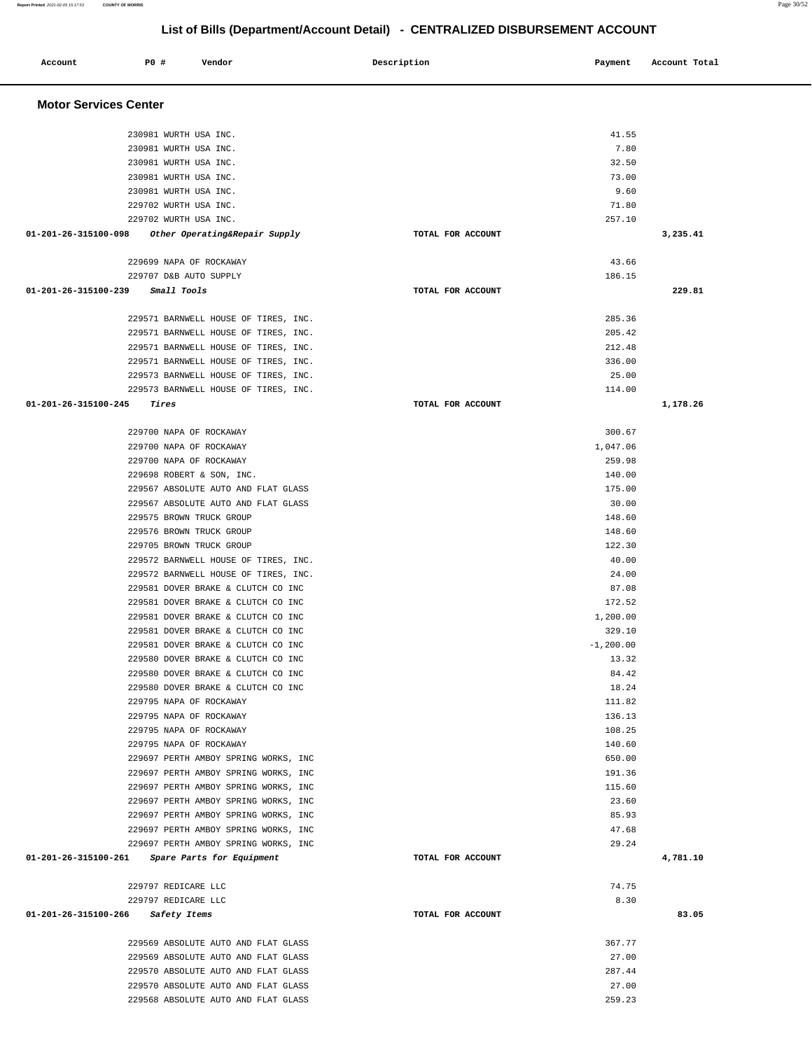| Account                      | P0 # | Vendor                                                                       | Description       | Payment          | Account Total |
|------------------------------|------|------------------------------------------------------------------------------|-------------------|------------------|---------------|
|                              |      |                                                                              |                   |                  |               |
| <b>Motor Services Center</b> |      |                                                                              |                   |                  |               |
|                              |      | 230981 WURTH USA INC.                                                        |                   | 41.55            |               |
|                              |      | 230981 WURTH USA INC.                                                        |                   | 7.80             |               |
|                              |      | 230981 WURTH USA INC.                                                        |                   | 32.50            |               |
|                              |      | 230981 WURTH USA INC.                                                        |                   | 73.00            |               |
|                              |      | 230981 WURTH USA INC.                                                        |                   | 9.60             |               |
|                              |      | 229702 WURTH USA INC.                                                        |                   | 71.80            |               |
|                              |      | 229702 WURTH USA INC.                                                        |                   | 257.10           |               |
| 01-201-26-315100-098         |      | Other Operating&Repair Supply                                                | TOTAL FOR ACCOUNT |                  | 3,235.41      |
|                              |      | 229699 NAPA OF ROCKAWAY                                                      |                   | 43.66            |               |
|                              |      | 229707 D&B AUTO SUPPLY                                                       |                   | 186.15           |               |
| 01-201-26-315100-239         |      | <i>Small Tools</i>                                                           | TOTAL FOR ACCOUNT |                  | 229.81        |
|                              |      | 229571 BARNWELL HOUSE OF TIRES, INC.                                         |                   | 285.36           |               |
|                              |      | 229571 BARNWELL HOUSE OF TIRES, INC.                                         |                   | 205.42           |               |
|                              |      | 229571 BARNWELL HOUSE OF TIRES, INC.                                         |                   | 212.48           |               |
|                              |      | 229571 BARNWELL HOUSE OF TIRES, INC.                                         |                   | 336.00           |               |
|                              |      | 229573 BARNWELL HOUSE OF TIRES, INC.                                         |                   | 25.00            |               |
|                              |      | 229573 BARNWELL HOUSE OF TIRES, INC.                                         |                   | 114.00           |               |
| 01-201-26-315100-245         |      | Tires                                                                        | TOTAL FOR ACCOUNT |                  | 1,178.26      |
|                              |      | 229700 NAPA OF ROCKAWAY                                                      |                   | 300.67           |               |
|                              |      | 229700 NAPA OF ROCKAWAY                                                      |                   | 1,047.06         |               |
|                              |      | 229700 NAPA OF ROCKAWAY                                                      |                   | 259.98           |               |
|                              |      | 229698 ROBERT & SON, INC.                                                    |                   | 140.00           |               |
|                              |      | 229567 ABSOLUTE AUTO AND FLAT GLASS                                          |                   | 175.00           |               |
|                              |      | 229567 ABSOLUTE AUTO AND FLAT GLASS                                          |                   | 30.00            |               |
|                              |      | 229575 BROWN TRUCK GROUP                                                     |                   | 148.60           |               |
|                              |      | 229576 BROWN TRUCK GROUP                                                     |                   | 148.60           |               |
|                              |      | 229705 BROWN TRUCK GROUP<br>229572 BARNWELL HOUSE OF TIRES, INC.             |                   | 122.30<br>40.00  |               |
|                              |      | 229572 BARNWELL HOUSE OF TIRES, INC.                                         |                   | 24.00            |               |
|                              |      | 229581 DOVER BRAKE & CLUTCH CO INC                                           |                   | 87.08            |               |
|                              |      | 229581 DOVER BRAKE & CLUTCH CO INC                                           |                   | 172.52           |               |
|                              |      | 229581 DOVER BRAKE & CLUTCH CO INC                                           |                   | 1,200.00         |               |
|                              |      | 229581 DOVER BRAKE & CLUTCH CO INC                                           |                   | 329.10           |               |
|                              |      | 229581 DOVER BRAKE & CLUTCH CO INC                                           |                   | $-1, 200.00$     |               |
|                              |      | 229580 DOVER BRAKE & CLUTCH CO INC                                           |                   | 13.32            |               |
|                              |      | 229580 DOVER BRAKE & CLUTCH CO INC                                           |                   | 84.42            |               |
|                              |      | 229580 DOVER BRAKE & CLUTCH CO INC                                           |                   | 18.24            |               |
|                              |      | 229795 NAPA OF ROCKAWAY                                                      |                   | 111.82           |               |
|                              |      | 229795 NAPA OF ROCKAWAY                                                      |                   | 136.13           |               |
|                              |      | 229795 NAPA OF ROCKAWAY                                                      |                   | 108.25           |               |
|                              |      | 229795 NAPA OF ROCKAWAY                                                      |                   | 140.60           |               |
|                              |      | 229697 PERTH AMBOY SPRING WORKS, INC<br>229697 PERTH AMBOY SPRING WORKS, INC |                   | 650.00<br>191.36 |               |
|                              |      | 229697 PERTH AMBOY SPRING WORKS, INC                                         |                   | 115.60           |               |
|                              |      | 229697 PERTH AMBOY SPRING WORKS, INC                                         |                   | 23.60            |               |
|                              |      | 229697 PERTH AMBOY SPRING WORKS, INC                                         |                   | 85.93            |               |
|                              |      | 229697 PERTH AMBOY SPRING WORKS, INC                                         |                   | 47.68            |               |
|                              |      | 229697 PERTH AMBOY SPRING WORKS, INC                                         |                   | 29.24            |               |
| 01-201-26-315100-261         |      | <i>Spare Parts for Equipment</i>                                             | TOTAL FOR ACCOUNT |                  | 4,781.10      |
|                              |      | 229797 REDICARE LLC                                                          |                   | 74.75            |               |
|                              |      | 229797 REDICARE LLC                                                          |                   | 8.30             |               |
| 01-201-26-315100-266         |      | <i>Safety Items</i>                                                          | TOTAL FOR ACCOUNT |                  | 83.05         |
|                              |      | 229569 ABSOLUTE AUTO AND FLAT GLASS                                          |                   | 367.77           |               |
|                              |      | 229569 ABSOLUTE AUTO AND FLAT GLASS                                          |                   | 27.00            |               |
|                              |      | 229570 ABSOLUTE AUTO AND FLAT GLASS                                          |                   | 287.44           |               |
|                              |      | 229570 ABSOLUTE AUTO AND FLAT GLASS                                          |                   | 27.00            |               |

229568 ABSOLUTE AUTO AND FLAT GLASS 259.23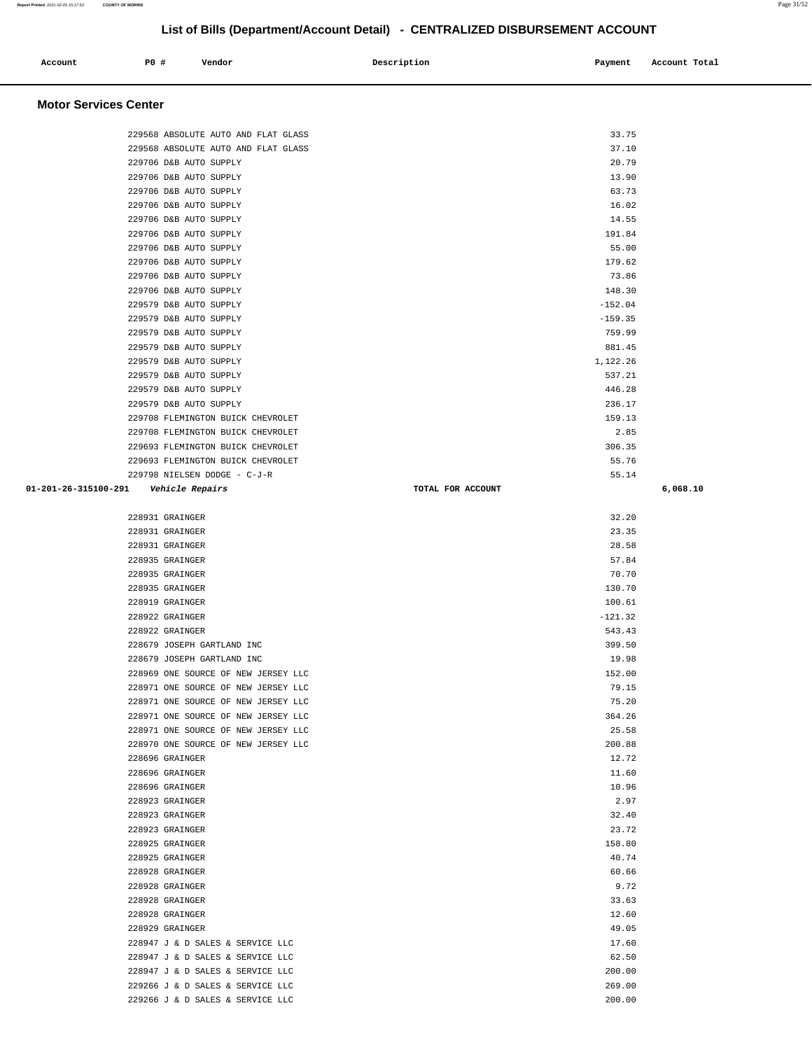| Account | P0 # | Vendor | Description | Payment | Account Total<br>. |
|---------|------|--------|-------------|---------|--------------------|
|         |      |        |             |         |                    |

## **Motor Services Center**

| 229568 ABSOLUTE AUTO AND FLAT GLASS                                        | 33.75             |          |
|----------------------------------------------------------------------------|-------------------|----------|
| 229568 ABSOLUTE AUTO AND FLAT GLASS                                        | 37.10             |          |
| 229706 D&B AUTO SUPPLY                                                     | 20.79             |          |
| 229706 D&B AUTO SUPPLY                                                     | 13.90             |          |
| 229706 D&B AUTO SUPPLY                                                     | 63.73             |          |
| 229706 D&B AUTO SUPPLY                                                     | 16.02             |          |
| 229706 D&B AUTO SUPPLY                                                     | 14.55             |          |
| 229706 D&B AUTO SUPPLY                                                     | 191.84            |          |
| 229706 D&B AUTO SUPPLY                                                     | 55.00             |          |
| 229706 D&B AUTO SUPPLY                                                     | 179.62            |          |
| 229706 D&B AUTO SUPPLY                                                     | 73.86             |          |
| 229706 D&B AUTO SUPPLY                                                     | 148.30            |          |
| 229579 D&B AUTO SUPPLY                                                     | $-152.04$         |          |
| 229579 D&B AUTO SUPPLY                                                     | $-159.35$         |          |
| 229579 D&B AUTO SUPPLY                                                     | 759.99            |          |
| 229579 D&B AUTO SUPPLY                                                     | 881.45            |          |
| 229579 D&B AUTO SUPPLY                                                     | 1,122.26          |          |
| 229579 D&B AUTO SUPPLY                                                     | 537.21            |          |
| 229579 D&B AUTO SUPPLY                                                     | 446.28            |          |
| 229579 D&B AUTO SUPPLY                                                     | 236.17            |          |
| 229708 FLEMINGTON BUICK CHEVROLET                                          | 159.13            |          |
| 229708 FLEMINGTON BUICK CHEVROLET                                          | 2.85              |          |
| 229693 FLEMINGTON BUICK CHEVROLET                                          | 306.35            |          |
| 229693 FLEMINGTON BUICK CHEVROLET                                          | 55.76             |          |
| 229798 NIELSEN DODGE - C-J-R                                               | 55.14             |          |
| 01-201-26-315100-291    Vehicle Repairs                                    | TOTAL FOR ACCOUNT | 6,068.10 |
|                                                                            |                   |          |
| 228931 GRAINGER                                                            | 32.20             |          |
| 228931 GRAINGER                                                            | 23.35             |          |
| 228931 GRAINGER                                                            | 28.58             |          |
| 228935 GRAINGER                                                            | 57.84             |          |
| 228935 GRAINGER                                                            | 70.70             |          |
| 228935 GRAINGER                                                            | 130.70            |          |
| 228919 GRAINGER                                                            | 100.61            |          |
| 228922 GRAINGER                                                            | $-121.32$         |          |
| 228922 GRAINGER                                                            | 543.43            |          |
| 228679 JOSEPH GARTLAND INC                                                 | 399.50            |          |
| 228679 JOSEPH GARTLAND INC                                                 | 19.98             |          |
| 228969 ONE SOURCE OF NEW JERSEY LLC                                        | 152.00            |          |
| 228971 ONE SOURCE OF NEW JERSEY LLC                                        | 79.15             |          |
| 228971 ONE SOURCE OF NEW JERSEY LLC                                        | 75.20             |          |
| 228971 ONE SOURCE OF NEW JERSEY LLC                                        | 364.26            |          |
|                                                                            |                   |          |
| 228971 ONE SOURCE OF NEW JERSEY LLC<br>228970 ONE SOURCE OF NEW JERSEY LLC | 25.58<br>200.88   |          |
|                                                                            |                   |          |
| 228696 GRAINGER                                                            | 12.72<br>11.60    |          |
| 228696 GRAINGER                                                            |                   |          |
| 228696 GRAINGER<br>228923 GRAINGER                                         | 10.96<br>2.97     |          |
|                                                                            |                   |          |
| 228923 GRAINGER<br>228923 GRAINGER                                         | 32.40             |          |
|                                                                            | 23.72             |          |
| 228925 GRAINGER                                                            | 158.80            |          |
| 228925 GRAINGER                                                            | 40.74             |          |
| 228928 GRAINGER<br>228928 GRAINGER                                         | 60.66             |          |
|                                                                            | 9.72              |          |
| 228928 GRAINGER                                                            | 33.63             |          |
| 228928 GRAINGER                                                            | 12.60             |          |
| 228929 GRAINGER                                                            | 49.05             |          |
| 228947 J & D SALES & SERVICE LLC                                           | 17.60             |          |
| 228947 J & D SALES & SERVICE LLC                                           | 62.50             |          |
| 228947 J & D SALES & SERVICE LLC                                           | 200.00            |          |
|                                                                            |                   |          |
| 229266 J & D SALES & SERVICE LLC<br>229266 J & D SALES & SERVICE LLC       | 269.00<br>200.00  |          |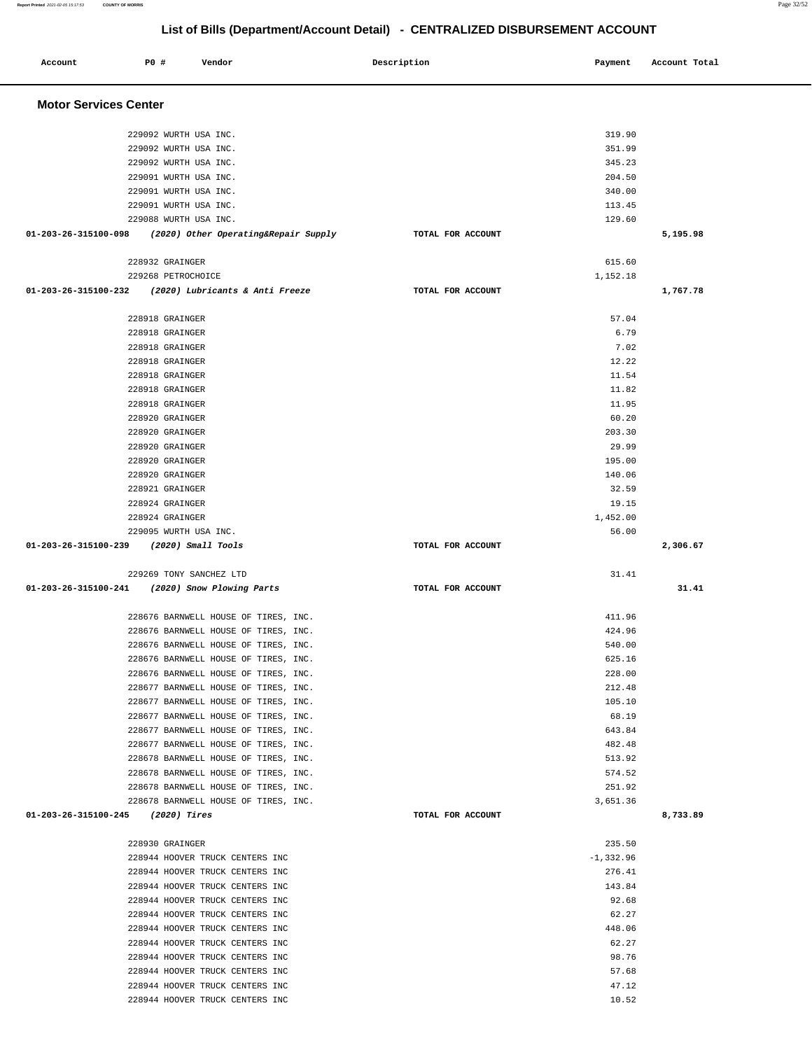| Account                             | P0 # | Vendor                                                                       |  | Description       |  | Payment            | Account Total |
|-------------------------------------|------|------------------------------------------------------------------------------|--|-------------------|--|--------------------|---------------|
| <b>Motor Services Center</b>        |      |                                                                              |  |                   |  |                    |               |
|                                     |      | 229092 WURTH USA INC.                                                        |  |                   |  | 319.90             |               |
|                                     |      | 229092 WURTH USA INC.                                                        |  |                   |  | 351.99             |               |
|                                     |      | 229092 WURTH USA INC.                                                        |  |                   |  | 345.23             |               |
|                                     |      | 229091 WURTH USA INC.                                                        |  |                   |  | 204.50             |               |
|                                     |      | 229091 WURTH USA INC.                                                        |  |                   |  | 340.00             |               |
|                                     |      | 229091 WURTH USA INC.                                                        |  |                   |  | 113.45             |               |
|                                     |      | 229088 WURTH USA INC.                                                        |  |                   |  | 129.60             |               |
| 01-203-26-315100-098                |      | (2020) Other Operating&Repair Supply                                         |  | TOTAL FOR ACCOUNT |  |                    | 5,195.98      |
|                                     |      | 228932 GRAINGER                                                              |  |                   |  | 615.60             |               |
|                                     |      | 229268 PETROCHOICE                                                           |  |                   |  | 1,152.18           |               |
| 01-203-26-315100-232                |      | (2020) Lubricants & Anti Freeze                                              |  | TOTAL FOR ACCOUNT |  |                    | 1,767.78      |
|                                     |      | 228918 GRAINGER                                                              |  |                   |  | 57.04              |               |
|                                     |      | 228918 GRAINGER                                                              |  |                   |  | 6.79               |               |
|                                     |      | 228918 GRAINGER                                                              |  |                   |  | 7.02               |               |
|                                     |      | 228918 GRAINGER                                                              |  |                   |  | 12.22              |               |
|                                     |      | 228918 GRAINGER                                                              |  |                   |  | 11.54              |               |
|                                     |      | 228918 GRAINGER                                                              |  |                   |  | 11.82              |               |
|                                     |      | 228918 GRAINGER                                                              |  |                   |  | 11.95              |               |
|                                     |      | 228920 GRAINGER                                                              |  |                   |  | 60.20              |               |
|                                     |      | 228920 GRAINGER                                                              |  |                   |  | 203.30             |               |
|                                     |      | 228920 GRAINGER                                                              |  |                   |  | 29.99              |               |
|                                     |      | 228920 GRAINGER                                                              |  |                   |  | 195.00             |               |
|                                     |      | 228920 GRAINGER                                                              |  |                   |  | 140.06             |               |
|                                     |      | 228921 GRAINGER                                                              |  |                   |  | 32.59              |               |
|                                     |      | 228924 GRAINGER                                                              |  |                   |  | 19.15              |               |
|                                     |      | 228924 GRAINGER<br>229095 WURTH USA INC.                                     |  |                   |  | 1,452.00<br>56.00  |               |
| 01-203-26-315100-239                |      | (2020) Small Tools                                                           |  | TOTAL FOR ACCOUNT |  |                    | 2,306.67      |
|                                     |      |                                                                              |  |                   |  |                    |               |
|                                     |      | 229269 TONY SANCHEZ LTD                                                      |  |                   |  | 31.41              |               |
| 01-203-26-315100-241                |      | (2020) Snow Plowing Parts                                                    |  | TOTAL FOR ACCOUNT |  |                    | 31.41         |
|                                     |      | 228676 BARNWELL HOUSE OF TIRES, INC.                                         |  |                   |  | 411.96             |               |
|                                     |      | 228676 BARNWELL HOUSE OF TIRES, INC.                                         |  |                   |  | 424.96             |               |
|                                     |      | 228676 BARNWELL HOUSE OF TIRES, INC.                                         |  |                   |  | 540.00             |               |
|                                     |      | 228676 BARNWELL HOUSE OF TIRES, INC.                                         |  |                   |  | 625.16             |               |
|                                     |      | 228676 BARNWELL HOUSE OF TIRES, INC.                                         |  |                   |  | 228.00             |               |
|                                     |      | 228677 BARNWELL HOUSE OF TIRES, INC.                                         |  |                   |  | 212.48             |               |
|                                     |      | 228677 BARNWELL HOUSE OF TIRES, INC.                                         |  |                   |  | 105.10             |               |
|                                     |      | 228677 BARNWELL HOUSE OF TIRES, INC.                                         |  |                   |  | 68.19              |               |
|                                     |      | 228677 BARNWELL HOUSE OF TIRES, INC.                                         |  |                   |  | 643.84             |               |
|                                     |      | 228677 BARNWELL HOUSE OF TIRES, INC.                                         |  |                   |  | 482.48             |               |
|                                     |      | 228678 BARNWELL HOUSE OF TIRES, INC.                                         |  |                   |  | 513.92             |               |
|                                     |      | 228678 BARNWELL HOUSE OF TIRES, INC.                                         |  |                   |  | 574.52             |               |
|                                     |      | 228678 BARNWELL HOUSE OF TIRES, INC.<br>228678 BARNWELL HOUSE OF TIRES, INC. |  |                   |  | 251.92<br>3,651.36 |               |
| $01-203-26-315100-245$ (2020) Tires |      |                                                                              |  | TOTAL FOR ACCOUNT |  |                    | 8,733.89      |
|                                     |      |                                                                              |  |                   |  |                    |               |
|                                     |      | 228930 GRAINGER                                                              |  |                   |  | 235.50             |               |
|                                     |      | 228944 HOOVER TRUCK CENTERS INC                                              |  |                   |  | $-1,332.96$        |               |
|                                     |      | 228944 HOOVER TRUCK CENTERS INC                                              |  |                   |  | 276.41             |               |
|                                     |      | 228944 HOOVER TRUCK CENTERS INC                                              |  |                   |  | 143.84             |               |
|                                     |      | 228944 HOOVER TRUCK CENTERS INC                                              |  |                   |  | 92.68              |               |
|                                     |      | 228944 HOOVER TRUCK CENTERS INC                                              |  |                   |  | 62.27              |               |
|                                     |      | 228944 HOOVER TRUCK CENTERS INC                                              |  |                   |  | 448.06             |               |
|                                     |      | 228944 HOOVER TRUCK CENTERS INC<br>228944 HOOVER TRUCK CENTERS INC           |  |                   |  | 62.27<br>98.76     |               |
|                                     |      | 228944 HOOVER TRUCK CENTERS INC                                              |  |                   |  | 57.68              |               |
|                                     |      | 228944 HOOVER TRUCK CENTERS INC                                              |  |                   |  | 47.12              |               |
|                                     |      | 228944 HOOVER TRUCK CENTERS INC                                              |  |                   |  | 10.52              |               |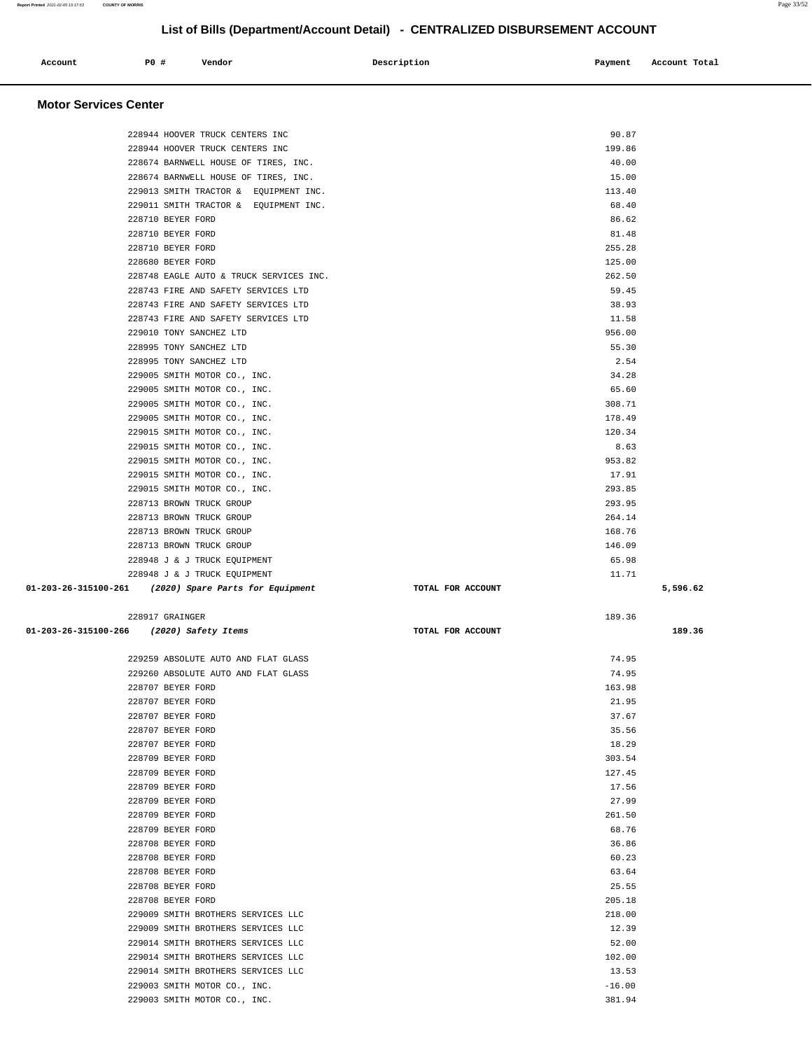| Account | P0 # | Vendor | Description | Payment | Account Total |
|---------|------|--------|-------------|---------|---------------|
| .       |      |        |             |         |               |
|         |      |        |             |         |               |

#### **Motor Services Center**

| 228944 HOOVER TRUCK CENTERS INC                              | 90.87              |          |
|--------------------------------------------------------------|--------------------|----------|
| 228944 HOOVER TRUCK CENTERS INC                              | 199.86             |          |
| 228674 BARNWELL HOUSE OF TIRES, INC.                         | 40.00              |          |
| 228674 BARNWELL HOUSE OF TIRES, INC.                         | 15.00              |          |
| 229013 SMITH TRACTOR & EQUIPMENT INC.                        | 113.40             |          |
|                                                              |                    |          |
| 229011 SMITH TRACTOR & EQUIPMENT INC.                        | 68.40              |          |
| 228710 BEYER FORD                                            | 86.62              |          |
| 228710 BEYER FORD                                            | 81.48              |          |
| 228710 BEYER FORD                                            | 255.28             |          |
| 228680 BEYER FORD                                            | 125.00             |          |
| 228748 EAGLE AUTO & TRUCK SERVICES INC.                      | 262.50             |          |
| 228743 FIRE AND SAFETY SERVICES LTD                          | 59.45              |          |
| 228743 FIRE AND SAFETY SERVICES LTD                          | 38.93              |          |
| 228743 FIRE AND SAFETY SERVICES LTD                          | 11.58              |          |
| 229010 TONY SANCHEZ LTD                                      | 956.00             |          |
| 228995 TONY SANCHEZ LTD                                      | 55.30              |          |
| 228995 TONY SANCHEZ LTD                                      | 2.54               |          |
| 229005 SMITH MOTOR CO., INC.                                 | 34.28              |          |
|                                                              |                    |          |
| 229005 SMITH MOTOR CO., INC.                                 | 65.60              |          |
| 229005 SMITH MOTOR CO., INC.                                 | 308.71             |          |
| 229005 SMITH MOTOR CO., INC.                                 | 178.49             |          |
| 229015 SMITH MOTOR CO., INC.                                 | 120.34             |          |
| 229015 SMITH MOTOR CO., INC.                                 | 8.63               |          |
| 229015 SMITH MOTOR CO., INC.                                 | 953.82             |          |
| 229015 SMITH MOTOR CO., INC.                                 | 17.91              |          |
| 229015 SMITH MOTOR CO., INC.                                 | 293.85             |          |
| 228713 BROWN TRUCK GROUP                                     | 293.95             |          |
| 228713 BROWN TRUCK GROUP                                     | 264.14             |          |
| 228713 BROWN TRUCK GROUP                                     | 168.76             |          |
| 228713 BROWN TRUCK GROUP                                     | 146.09             |          |
|                                                              | 65.98              |          |
| 228948 J & J TRUCK EQUIPMENT                                 |                    |          |
|                                                              |                    |          |
| 228948 J & J TRUCK EQUIPMENT                                 | 11.71              |          |
| 01-203-26-315100-261 (2020) Spare Parts for Equipment        | TOTAL FOR ACCOUNT  | 5,596.62 |
|                                                              |                    |          |
| 228917 GRAINGER                                              | 189.36             |          |
| 01-203-26-315100-266 (2020) Safety Items                     | TOTAL FOR ACCOUNT  | 189.36   |
|                                                              |                    |          |
| 229259 ABSOLUTE AUTO AND FLAT GLASS                          | 74.95              |          |
| 229260 ABSOLUTE AUTO AND FLAT GLASS                          | 74.95              |          |
| 228707 BEYER FORD                                            | 163.98             |          |
| 228707 BEYER FORD                                            | 21.95              |          |
| 228707 BEYER FORD                                            | 37.67              |          |
|                                                              |                    |          |
| 228707 BEYER FORD                                            | 35.56              |          |
| 228707 BEYER FORD                                            | 18.29              |          |
| 228709 BEYER FORD                                            | 303.54             |          |
| 228709 BEYER FORD                                            | 127.45             |          |
| 228709 BEYER FORD                                            | 17.56              |          |
| 228709 BEYER FORD                                            | 27.99              |          |
| 228709 BEYER FORD                                            | 261.50             |          |
| 228709 BEYER FORD                                            | 68.76              |          |
| 228708 BEYER FORD                                            | 36.86              |          |
| 228708 BEYER FORD                                            | 60.23              |          |
| 228708 BEYER FORD                                            | 63.64              |          |
| 228708 BEYER FORD                                            | 25.55              |          |
| 228708 BEYER FORD                                            | 205.18             |          |
| 229009 SMITH BROTHERS SERVICES LLC                           | 218.00             |          |
| 229009 SMITH BROTHERS SERVICES LLC                           | 12.39              |          |
|                                                              |                    |          |
| 229014 SMITH BROTHERS SERVICES LLC                           | 52.00              |          |
| 229014 SMITH BROTHERS SERVICES LLC                           | 102.00             |          |
| 229014 SMITH BROTHERS SERVICES LLC                           | 13.53              |          |
| 229003 SMITH MOTOR CO., INC.<br>229003 SMITH MOTOR CO., INC. | $-16.00$<br>381.94 |          |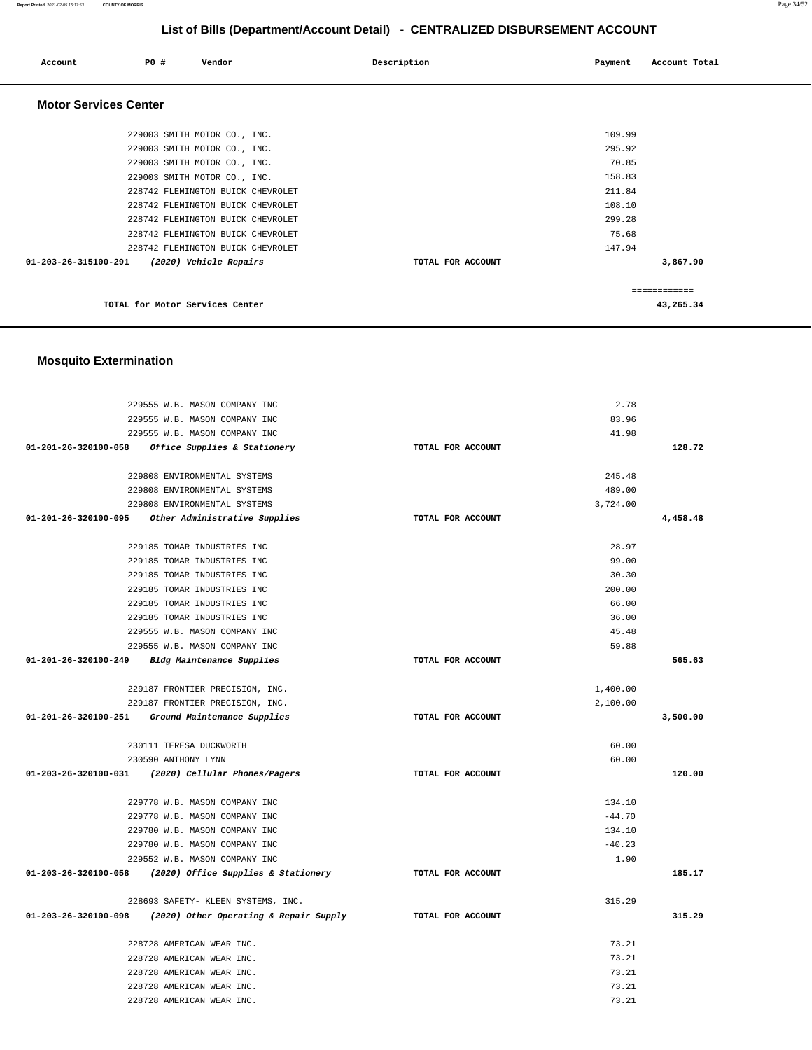| Account                      | PO#                             | Vendor                            | Description       | Payment | Account Total |
|------------------------------|---------------------------------|-----------------------------------|-------------------|---------|---------------|
| <b>Motor Services Center</b> |                                 |                                   |                   |         |               |
|                              |                                 | 229003 SMITH MOTOR CO., INC.      |                   | 109.99  |               |
|                              |                                 | 229003 SMITH MOTOR CO., INC.      |                   | 295.92  |               |
|                              |                                 | 229003 SMITH MOTOR CO., INC.      |                   | 70.85   |               |
|                              |                                 | 229003 SMITH MOTOR CO., INC.      |                   | 158.83  |               |
|                              |                                 | 228742 FLEMINGTON BUICK CHEVROLET |                   | 211.84  |               |
|                              |                                 | 228742 FLEMINGTON BUICK CHEVROLET |                   | 108.10  |               |
|                              |                                 | 228742 FLEMINGTON BUICK CHEVROLET |                   | 299.28  |               |
|                              |                                 | 228742 FLEMINGTON BUICK CHEVROLET |                   | 75.68   |               |
|                              |                                 | 228742 FLEMINGTON BUICK CHEVROLET |                   | 147.94  |               |
| 01-203-26-315100-291         |                                 | (2020) Vehicle Repairs            | TOTAL FOR ACCOUNT |         | 3,867.90      |
|                              |                                 |                                   |                   |         | ============  |
|                              | TOTAL for Motor Services Center |                                   |                   |         | 43,265.34     |

### **Mosquito Extermination**

| 229555 W.B. MASON COMPANY INC                                 |                   | 2.78     |          |
|---------------------------------------------------------------|-------------------|----------|----------|
| 229555 W.B. MASON COMPANY INC                                 |                   | 83.96    |          |
| 229555 W.B. MASON COMPANY INC                                 |                   | 41.98    |          |
| 01-201-26-320100-058 Office Supplies & Stationery             | TOTAL FOR ACCOUNT |          | 128.72   |
| 229808 ENVIRONMENTAL SYSTEMS                                  |                   | 245.48   |          |
| 229808 ENVIRONMENTAL SYSTEMS                                  |                   | 489.00   |          |
| 229808 ENVIRONMENTAL SYSTEMS                                  |                   | 3,724.00 |          |
| 01-201-26-320100-095 Other Administrative Supplies            | TOTAL FOR ACCOUNT |          | 4,458.48 |
| 229185 TOMAR INDUSTRIES INC                                   |                   | 28.97    |          |
| 229185 TOMAR INDUSTRIES INC                                   |                   | 99.00    |          |
| 229185 TOMAR INDUSTRIES INC                                   |                   | 30.30    |          |
| 229185 TOMAR INDUSTRIES INC                                   |                   | 200.00   |          |
| 229185 TOMAR INDUSTRIES INC                                   |                   | 66.00    |          |
| 229185 TOMAR INDUSTRIES INC                                   |                   | 36.00    |          |
| 229555 W.B. MASON COMPANY INC                                 |                   | 45.48    |          |
| 229555 W.B. MASON COMPANY INC                                 |                   | 59.88    |          |
| 01-201-26-320100-249 Bldg Maintenance Supplies                | TOTAL FOR ACCOUNT |          | 565.63   |
| 229187 FRONTIER PRECISION, INC.                               |                   | 1,400.00 |          |
| 229187 FRONTIER PRECISION, INC.                               |                   | 2,100.00 |          |
| 01-201-26-320100-251 Ground Maintenance Supplies              | TOTAL FOR ACCOUNT |          | 3,500.00 |
| 230111 TERESA DUCKWORTH                                       |                   | 60.00    |          |
| 230590 ANTHONY LYNN                                           |                   | 60.00    |          |
| 01-203-26-320100-031 (2020) Cellular Phones/Pagers            | TOTAL FOR ACCOUNT |          | 120.00   |
| 229778 W.B. MASON COMPANY INC                                 |                   | 134.10   |          |
| 229778 W.B. MASON COMPANY INC                                 |                   | $-44.70$ |          |
| 229780 W.B. MASON COMPANY INC                                 |                   | 134.10   |          |
| 229780 W.B. MASON COMPANY INC                                 |                   | $-40.23$ |          |
| 229552 W.B. MASON COMPANY INC                                 |                   | 1.90     |          |
| 01-203-26-320100-058 (2020) Office Supplies & Stationery      | TOTAL FOR ACCOUNT |          | 185.17   |
| 228693 SAFETY- KLEEN SYSTEMS, INC.                            |                   | 315.29   |          |
| $01-203-26-320100-098$ (2020) Other Operating & Repair Supply | TOTAL FOR ACCOUNT |          | 315.29   |
| 228728 AMERICAN WEAR INC.                                     |                   | 73.21    |          |
| 228728 AMERICAN WEAR INC.                                     |                   | 73.21    |          |
| 228728 AMERICAN WEAR INC.                                     |                   | 73.21    |          |
| 228728 AMERICAN WEAR INC.                                     |                   | 73.21    |          |
| 228728 AMERICAN WEAR INC.                                     |                   | 73.21    |          |

**Report Printed** 2021-02-05 15:17:53 **COUNTY OF MORRIS** Page 34/52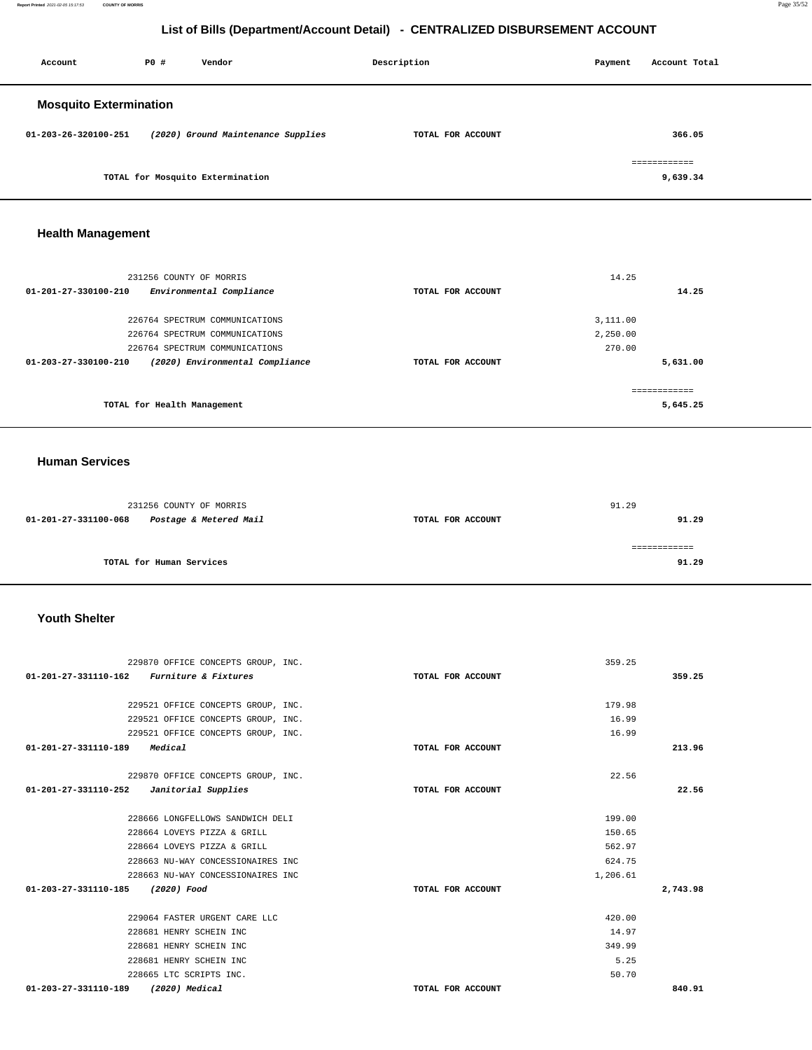**Report Printed** 2021-02-05 15:17:53 **COUNTY OF MORRIS** Page 35/52

## **List of Bills (Department/Account Detail) - CENTRALIZED DISBURSEMENT ACCOUNT**

| Account                       | P0 # | Vendor                             | Description       | Payment | Account Total            |
|-------------------------------|------|------------------------------------|-------------------|---------|--------------------------|
| <b>Mosquito Extermination</b> |      |                                    |                   |         |                          |
| 01-203-26-320100-251          |      | (2020) Ground Maintenance Supplies | TOTAL FOR ACCOUNT |         | 366.05                   |
|                               |      | TOTAL for Mosquito Extermination   |                   |         | ============<br>9,639.34 |

## **Health Management**

| 231256 COUNTY OF MORRIS                                           |                   | 14.25         |
|-------------------------------------------------------------------|-------------------|---------------|
| Environmental Compliance<br>$01 - 201 - 27 - 330100 - 210$        | TOTAL FOR ACCOUNT | 14.25         |
| 226764 SPECTRUM COMMUNICATIONS                                    |                   | 3,111,00      |
| 226764 SPECTRUM COMMUNICATIONS                                    |                   | 2,250.00      |
| 226764 SPECTRUM COMMUNICATIONS                                    |                   | 270.00        |
| (2020) Environmental Compliance<br>$01 - 203 - 27 - 330100 - 210$ | TOTAL FOR ACCOUNT | 5,631.00      |
|                                                                   |                   | ------------- |
| TOTAL for Health Management                                       |                   | 5,645.25      |

### **Human Services**

|                      | 231256 COUNTY OF MORRIS  |                   | 91.29 |
|----------------------|--------------------------|-------------------|-------|
| 01-201-27-331100-068 | Postage & Metered Mail   | TOTAL FOR ACCOUNT | 91.29 |
|                      |                          |                   |       |
|                      | TOTAL for Human Services |                   | 91.29 |

### **Youth Shelter**

| 229870 OFFICE CONCEPTS GROUP, INC.         |                   | 359.25   |
|--------------------------------------------|-------------------|----------|
| 01-201-27-331110-162 Furniture & Fixtures  | TOTAL FOR ACCOUNT | 359.25   |
|                                            |                   |          |
| 229521 OFFICE CONCEPTS GROUP, INC.         |                   | 179.98   |
| 229521 OFFICE CONCEPTS GROUP, INC.         |                   | 16.99    |
| 229521 OFFICE CONCEPTS GROUP, INC.         |                   | 16.99    |
| Medical<br>01-201-27-331110-189            | TOTAL FOR ACCOUNT | 213.96   |
| 229870 OFFICE CONCEPTS GROUP, INC.         |                   | 22.56    |
| $01-201-27-331110-252$ Janitorial Supplies | TOTAL FOR ACCOUNT | 22.56    |
| 228666 LONGFELLOWS SANDWICH DELI           |                   | 199.00   |
| 228664 LOVEYS PIZZA & GRILL                |                   | 150.65   |
| 228664 LOVEYS PIZZA & GRILL                |                   | 562.97   |
| 228663 NU-WAY CONCESSIONAIRES INC          |                   | 624.75   |
| 228663 NU-WAY CONCESSIONAIRES INC          | 1,206.61          |          |
| 01-203-27-331110-185<br>(2020) Food        | TOTAL FOR ACCOUNT | 2,743.98 |
| 229064 FASTER URGENT CARE LLC              |                   | 420.00   |
| 228681 HENRY SCHEIN INC                    |                   | 14.97    |
| 228681 HENRY SCHEIN INC                    |                   | 349.99   |
| 228681 HENRY SCHEIN INC                    |                   | 5.25     |
| 228665 LTC SCRIPTS INC.                    |                   | 50.70    |
| 01-203-27-331110-189<br>(2020) Medical     | TOTAL FOR ACCOUNT | 840.91   |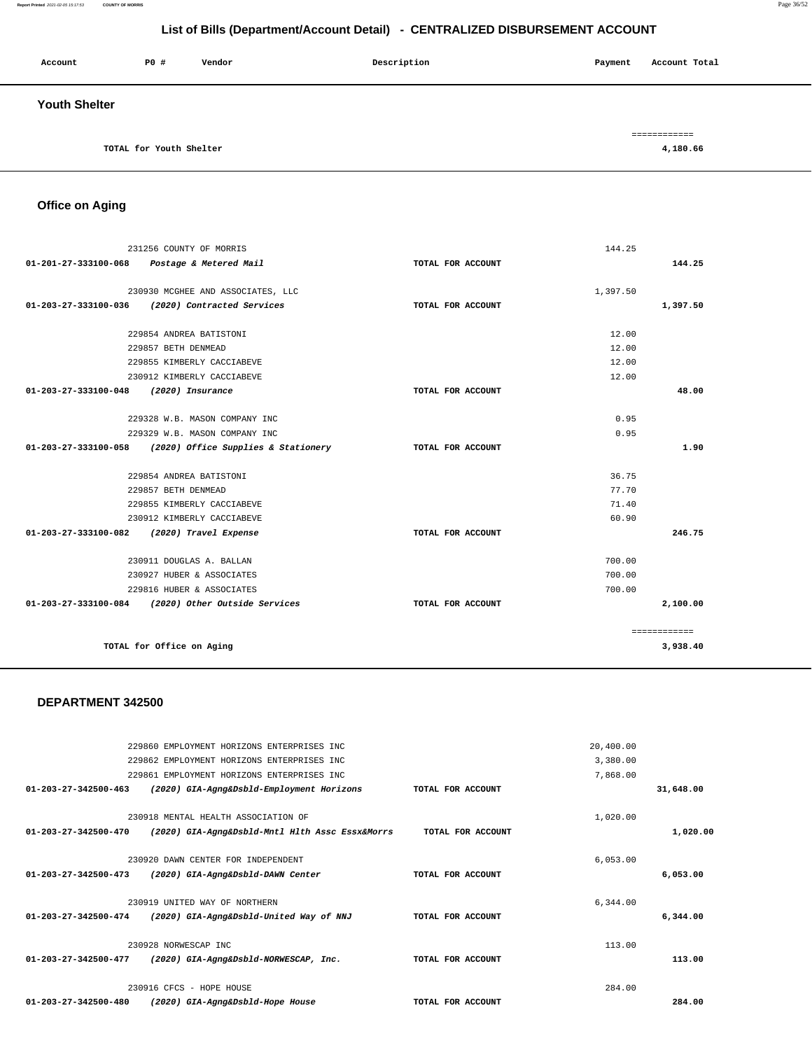|                                | 229862 EMPLOYMENT HORIZONS ENTERPRISES INC      |                   | 3,380.00 |           |
|--------------------------------|-------------------------------------------------|-------------------|----------|-----------|
|                                | 229861 EMPLOYMENT HORIZONS ENTERPRISES INC      |                   | 7,868.00 |           |
| $01 - 203 - 27 - 342500 - 463$ | (2020) GIA-Agng&Dsbld-Employment Horizons       | TOTAL FOR ACCOUNT |          | 31,648.00 |
|                                | 230918 MENTAL HEALTH ASSOCIATION OF             |                   | 1,020.00 |           |
| 01-203-27-342500-470           | (2020) GIA-Agng&Dsbld-Mntl Hlth Assc Essx&Morrs | TOTAL FOR ACCOUNT |          | 1,020.00  |
|                                | 230920 DAWN CENTER FOR INDEPENDENT              |                   | 6,053.00 |           |
| $01 - 203 - 27 - 342500 - 473$ | (2020) GIA-Agng&Dsbld-DAWN Center               | TOTAL FOR ACCOUNT |          | 6,053.00  |
|                                | 230919 UNITED WAY OF NORTHERN                   |                   | 6,344.00 |           |
| $01 - 203 - 27 - 342500 - 474$ | (2020) GIA-Agng&Dsbld-United Way of NNJ         | TOTAL FOR ACCOUNT |          | 6,344.00  |
|                                | 230928 NORWESCAP INC                            |                   | 113.00   |           |
| 01-203-27-342500-477           | (2020) GIA-Agng&Dsbld-NORWESCAP, Inc.           | TOTAL FOR ACCOUNT |          | 113.00    |
|                                | 230916 CFCS - HOPE HOUSE                        |                   | 284.00   |           |
| 01-203-27-342500-480           | (2020) GIA-Agng&Dsbld-Hope House                | TOTAL FOR ACCOUNT |          | 284.00    |

20,400.00

#### **DEPARTMENT 342500**

229860 EMPLOYMENT HORIZONS ENTERPRISES INC

|                                            | 231256 COUNTY OF MORRIS                                  |                   | 144.25   |                          |
|--------------------------------------------|----------------------------------------------------------|-------------------|----------|--------------------------|
|                                            | 01-201-27-333100-068 Postage & Metered Mail              | TOTAL FOR ACCOUNT |          | 144.25                   |
|                                            |                                                          |                   |          |                          |
|                                            | 230930 MCGHEE AND ASSOCIATES, LLC                        |                   | 1,397.50 |                          |
|                                            | 01-203-27-333100-036 (2020) Contracted Services          | TOTAL FOR ACCOUNT |          | 1,397.50                 |
|                                            | 229854 ANDREA BATISTONI                                  |                   | 12.00    |                          |
|                                            | 229857 BETH DENMEAD                                      |                   | 12.00    |                          |
|                                            | 229855 KIMBERLY CACCIABEVE                               |                   | 12.00    |                          |
|                                            | 230912 KIMBERLY CACCIABEVE                               |                   | 12.00    |                          |
| 01-203-27-333100-048                       | (2020) Insurance                                         | TOTAL FOR ACCOUNT |          | 48.00                    |
|                                            |                                                          |                   |          |                          |
|                                            | 229328 W.B. MASON COMPANY INC                            |                   | 0.95     |                          |
|                                            | 229329 W.B. MASON COMPANY INC                            |                   | 0.95     |                          |
|                                            | 01-203-27-333100-058 (2020) Office Supplies & Stationery | TOTAL FOR ACCOUNT |          | 1.90                     |
|                                            |                                                          |                   |          |                          |
|                                            | 229854 ANDREA BATISTONI                                  |                   | 36.75    |                          |
|                                            | 229857 BETH DENMEAD                                      |                   | 77.70    |                          |
|                                            | 229855 KIMBERLY CACCIABEVE                               |                   | 71.40    |                          |
|                                            | 230912 KIMBERLY CACCIABEVE                               |                   | 60.90    |                          |
| 01-203-27-333100-082 (2020) Travel Expense |                                                          | TOTAL FOR ACCOUNT |          | 246.75                   |
|                                            | 230911 DOUGLAS A. BALLAN                                 |                   | 700.00   |                          |
|                                            | 230927 HUBER & ASSOCIATES                                |                   | 700.00   |                          |
|                                            | 229816 HUBER & ASSOCIATES                                |                   | 700.00   |                          |
|                                            | 01-203-27-333100-084 (2020) Other Outside Services       | TOTAL FOR ACCOUNT |          | 2,100.00                 |
|                                            |                                                          |                   |          |                          |
|                                            | TOTAL for Office on Aging                                |                   |          | ============<br>3,938.40 |
|                                            |                                                          |                   |          |                          |

## **Office on Aging**

| Account              | P0 #                    | Vendor | Description | Account Total<br>Payment |
|----------------------|-------------------------|--------|-------------|--------------------------|
| <b>Youth Shelter</b> |                         |        |             |                          |
|                      |                         |        |             | ============             |
|                      | TOTAL for Youth Shelter |        |             | 4,180.66                 |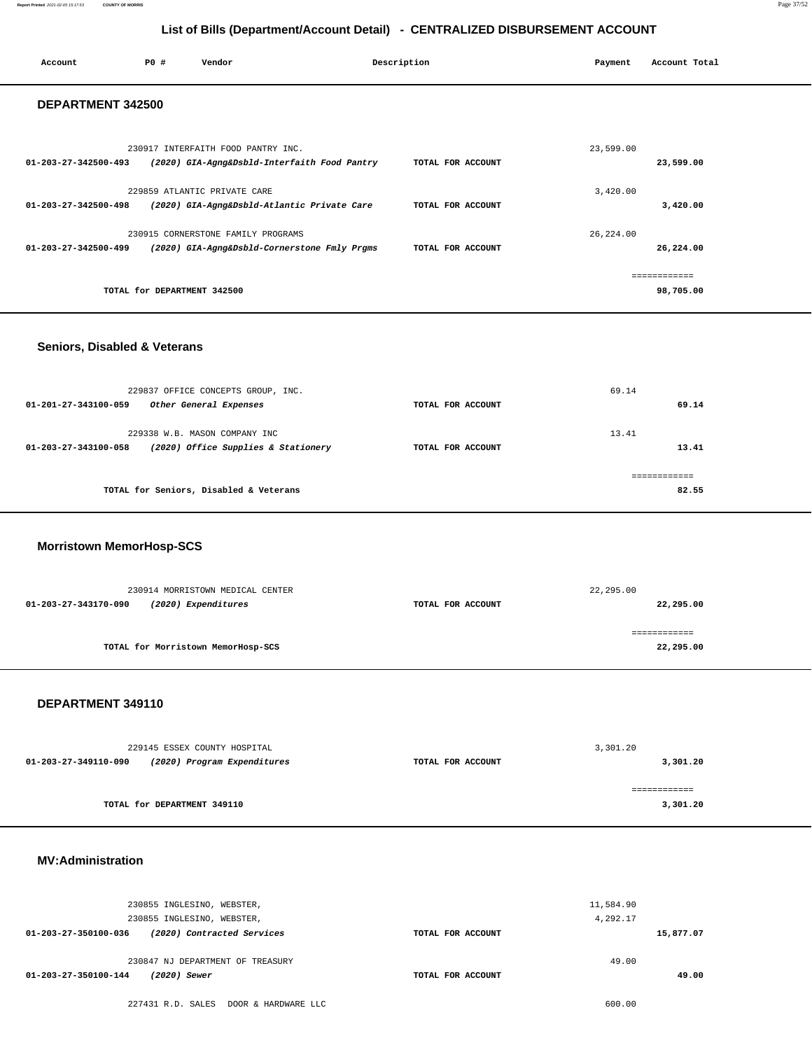#### **Report Printed** 2021-02-05 15:17:53 **COUNTY OF MORRIS** Page 37/52

## **List of Bills (Department/Account Detail) - CENTRALIZED DISBURSEMENT ACCOUNT**

| Account                        | PO#                         | Vendor                                       | Description       | Payment    | Account Total |  |  |
|--------------------------------|-----------------------------|----------------------------------------------|-------------------|------------|---------------|--|--|
|                                | DEPARTMENT 342500           |                                              |                   |            |               |  |  |
|                                |                             | 230917 INTERFAITH FOOD PANTRY INC.           |                   | 23,599.00  |               |  |  |
| 01-203-27-342500-493           |                             | (2020) GIA-Agng&Dsbld-Interfaith Food Pantry | TOTAL FOR ACCOUNT |            | 23,599.00     |  |  |
|                                |                             | 229859 ATLANTIC PRIVATE CARE                 |                   | 3,420.00   |               |  |  |
| $01 - 203 - 27 - 342500 - 498$ |                             | (2020) GIA-Agng&Dsbld-Atlantic Private Care  | TOTAL FOR ACCOUNT |            | 3,420.00      |  |  |
|                                |                             | 230915 CORNERSTONE FAMILY PROGRAMS           |                   | 26, 224.00 |               |  |  |
| 01-203-27-342500-499           |                             | (2020) GIA-Agng&Dsbld-Cornerstone Fmly Prgms | TOTAL FOR ACCOUNT |            | 26,224.00     |  |  |
|                                |                             |                                              |                   |            | .             |  |  |
|                                | TOTAL for DEPARTMENT 342500 |                                              |                   |            | 98,705.00     |  |  |

#### **Seniors, Disabled & Veterans**

| 229837 OFFICE CONCEPTS GROUP, INC.<br>01-201-27-343100-059<br>Other General Expenses         | TOTAL FOR ACCOUNT | 69.14<br>69.14        |
|----------------------------------------------------------------------------------------------|-------------------|-----------------------|
| 229338 W.B. MASON COMPANY INC<br>(2020) Office Supplies & Stationery<br>01-203-27-343100-058 | TOTAL FOR ACCOUNT | 13.41<br>13.41        |
| TOTAL for Seniors, Disabled & Veterans                                                       |                   | ------------<br>82.55 |

### **Morristown MemorHosp-SCS**

| 230914 MORRISTOWN MEDICAL CENTER            |                   | 22,295.00 |
|---------------------------------------------|-------------------|-----------|
| (2020) Expenditures<br>01-203-27-343170-090 | TOTAL FOR ACCOUNT | 22,295.00 |
|                                             |                   |           |
|                                             |                   |           |
| TOTAL for Morristown MemorHosp-SCS          |                   | 22,295.00 |

#### **DEPARTMENT 349110**

| 229145 ESSEX COUNTY HOSPITAL |                             |                   | 3,301.20 |
|------------------------------|-----------------------------|-------------------|----------|
| 01-203-27-349110-090         | (2020) Program Expenditures | TOTAL FOR ACCOUNT | 3,301.20 |
|                              |                             |                   |          |
|                              |                             |                   |          |
|                              | TOTAL for DEPARTMENT 349110 |                   | 3,301.20 |

#### **MV:Administration**

| 230855 INGLESINO, WEBSTER,<br>230855 INGLESINO, WEBSTER, |                   | 11,584.90<br>4,292.17 |
|----------------------------------------------------------|-------------------|-----------------------|
| 01-203-27-350100-036<br>(2020) Contracted Services       | TOTAL FOR ACCOUNT | 15,877.07             |
| 230847 NJ DEPARTMENT OF TREASURY                         |                   | 49.00                 |
| 01-203-27-350100-144<br>(2020) Sewer                     | TOTAL FOR ACCOUNT | 49.00                 |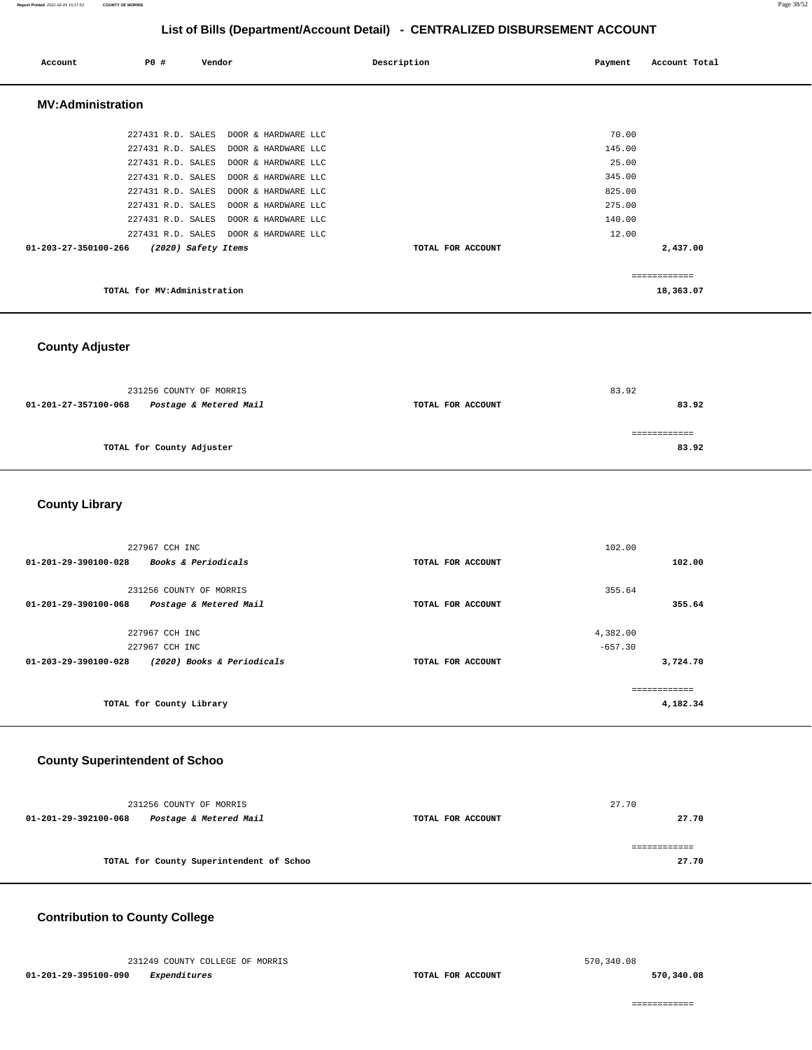#### **Report Printed** 2021-02-05 15:17:53 **COUNTY OF MORRIS** Page 38/52

## **List of Bills (Department/Account Detail) - CENTRALIZED DISBURSEMENT ACCOUNT**

| Account                  | PO#               | Vendor                      | Description       | Payment | Account Total |
|--------------------------|-------------------|-----------------------------|-------------------|---------|---------------|
| <b>MV:Administration</b> |                   |                             |                   |         |               |
|                          | 227431 R.D. SALES | DOOR & HARDWARE LLC         |                   | 70.00   |               |
|                          | 227431 R.D. SALES | DOOR & HARDWARE LLC         |                   | 145.00  |               |
|                          | 227431 R.D. SALES | DOOR & HARDWARE LLC         |                   | 25.00   |               |
|                          | 227431 R.D. SALES | DOOR & HARDWARE LLC         |                   | 345.00  |               |
|                          | 227431 R.D. SALES | DOOR & HARDWARE LLC         |                   | 825.00  |               |
|                          | 227431 R.D. SALES | DOOR & HARDWARE LLC         |                   | 275.00  |               |
|                          | 227431 R.D. SALES | DOOR & HARDWARE LLC         |                   | 140.00  |               |
|                          | 227431 R.D. SALES | DOOR & HARDWARE LLC         |                   | 12.00   |               |
| 01-203-27-350100-266     |                   | (2020) Safety Items         | TOTAL FOR ACCOUNT |         | 2,437.00      |
|                          |                   |                             |                   |         | ------------  |
|                          |                   | TOTAL for MV:Administration |                   |         | 18,363.07     |

## **County Adjuster**

|                      | 231256 COUNTY OF MORRIS   |                   | 83.92 |  |
|----------------------|---------------------------|-------------------|-------|--|
| 01-201-27-357100-068 | Postage & Metered Mail    | TOTAL FOR ACCOUNT | 83.92 |  |
|                      |                           |                   |       |  |
|                      | TOTAL for County Adjuster |                   | 83.92 |  |
|                      |                           |                   |       |  |

### **County Library**

| 227967 CCH INC                                         |                   | 102.00    |
|--------------------------------------------------------|-------------------|-----------|
| <b>Books &amp; Periodicals</b><br>01-201-29-390100-028 | TOTAL FOR ACCOUNT | 102.00    |
| 231256 COUNTY OF MORRIS                                |                   | 355.64    |
| Postage & Metered Mail<br>01-201-29-390100-068         | TOTAL FOR ACCOUNT | 355.64    |
| 227967 CCH INC                                         |                   | 4,382.00  |
| 227967 CCH INC                                         |                   | $-657.30$ |
| (2020) Books & Periodicals<br>01-203-29-390100-028     | TOTAL FOR ACCOUNT | 3,724.70  |
|                                                        |                   |           |
| TOTAL for County Library                               |                   | 4,182.34  |

### **County Superintendent of Schoo**

|                      | 231256 COUNTY OF MORRIS                  |                   | 27.70 |
|----------------------|------------------------------------------|-------------------|-------|
| 01-201-29-392100-068 | Postage & Metered Mail                   | TOTAL FOR ACCOUNT | 27.70 |
|                      | TOTAL for County Superintendent of Schoo |                   | 27.70 |

### **Contribution to County College**

 231249 COUNTY COLLEGE OF MORRIS **01-201-29-395100-090 Expenditures TOTAL FOR ACCOUNT**  570,340.08

**570,340.08**

============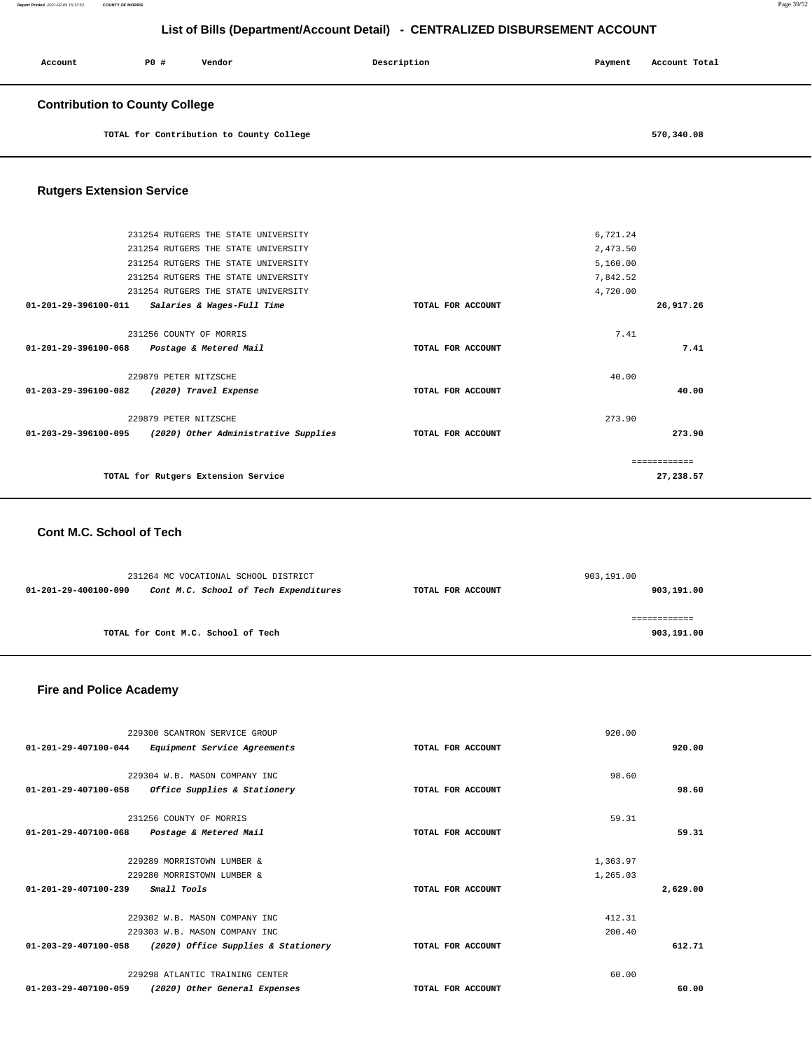| Account                               | P0 # | Vendor | Description | Payment | Account Total |
|---------------------------------------|------|--------|-------------|---------|---------------|
| <b>Contribution to County College</b> |      |        |             |         |               |

**TOTAL for Contribution to County College [570,340.08](https://570,340.08)** 

### **Rutgers Extension Service**

|                                | 231254 RUTGERS THE STATE UNIVERSITY                         |                   | 6,721.24      |           |
|--------------------------------|-------------------------------------------------------------|-------------------|---------------|-----------|
|                                | 231254 RUTGERS THE STATE UNIVERSITY                         |                   | 2,473.50      |           |
|                                | 231254 RUTGERS THE STATE UNIVERSITY                         |                   | 5,160.00      |           |
|                                | 231254 RUTGERS THE STATE UNIVERSITY                         |                   | 7,842.52      |           |
|                                | 231254 RUTGERS THE STATE UNIVERSITY                         |                   | 4,720.00      |           |
| $01 - 201 - 29 - 396100 - 011$ | Salaries & Wages-Full Time                                  | TOTAL FOR ACCOUNT |               | 26,917.26 |
|                                | 231256 COUNTY OF MORRIS                                     |                   | 7.41          |           |
| 01-201-29-396100-068           | Postage & Metered Mail                                      | TOTAL FOR ACCOUNT |               | 7.41      |
|                                | 229879 PETER NITZSCHE                                       |                   | 40.00         |           |
| 01-203-29-396100-082           | (2020) Travel Expense                                       | TOTAL FOR ACCOUNT |               | 40.00     |
|                                | 229879 PETER NITZSCHE                                       |                   | 273.90        |           |
|                                | $01-203-29-396100-095$ (2020) Other Administrative Supplies | TOTAL FOR ACCOUNT |               | 273.90    |
|                                |                                                             |                   | ------------- |           |
|                                | TOTAL for Rutgers Extension Service                         |                   |               | 27,238.57 |
|                                |                                                             |                   |               |           |

### **Cont M.C. School of Tech**

|                                                               | 231264 MC VOCATIONAL SCHOOL DISTRICT |                   | 903,191.00 |  |  |
|---------------------------------------------------------------|--------------------------------------|-------------------|------------|--|--|
| Cont M.C. School of Tech Expenditures<br>01-201-29-400100-090 |                                      | TOTAL FOR ACCOUNT | 903,191.00 |  |  |
|                                                               |                                      |                   |            |  |  |
|                                                               |                                      |                   |            |  |  |
|                                                               | TOTAL for Cont M.C. School of Tech   |                   | 903,191.00 |  |  |

### **Fire and Police Academy**

|                                     | 229300 SCANTRON SERVICE GROUP       |                   | 920.00   |          |
|-------------------------------------|-------------------------------------|-------------------|----------|----------|
| 01-201-29-407100-044                | Equipment Service Agreements        | TOTAL FOR ACCOUNT |          | 920.00   |
|                                     |                                     |                   |          |          |
|                                     | 229304 W.B. MASON COMPANY INC       |                   | 98.60    |          |
| 01-201-29-407100-058                | Office Supplies & Stationery        | TOTAL FOR ACCOUNT |          | 98.60    |
| 231256 COUNTY OF MORRIS             |                                     |                   | 59.31    |          |
| $01 - 201 - 29 - 407100 - 068$      | Postage & Metered Mail              | TOTAL FOR ACCOUNT |          | 59.31    |
|                                     | 229289 MORRISTOWN LUMBER &          |                   | 1,363.97 |          |
|                                     | 229280 MORRISTOWN LUMBER &          |                   | 1,265.03 |          |
| Small Tools<br>01-201-29-407100-239 |                                     | TOTAL FOR ACCOUNT |          | 2,629.00 |
|                                     | 229302 W.B. MASON COMPANY INC       |                   | 412.31   |          |
|                                     | 229303 W.B. MASON COMPANY INC       |                   | 200.40   |          |
| 01-203-29-407100-058                | (2020) Office Supplies & Stationery | TOTAL FOR ACCOUNT |          | 612.71   |
|                                     | 229298 ATLANTIC TRAINING CENTER     |                   | 60.00    |          |
| 01-203-29-407100-059                | (2020) Other General Expenses       | TOTAL FOR ACCOUNT |          | 60.00    |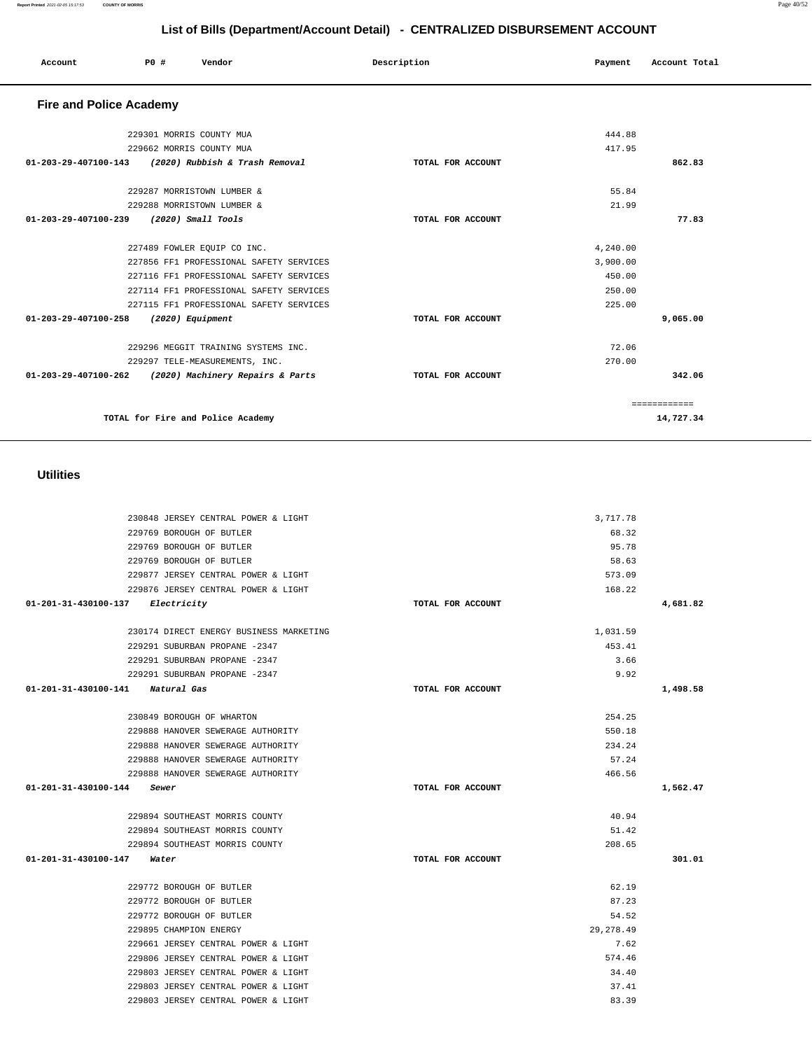| 229769 BOROUGH OF BUTLER                   |                   | 68.32            |          |
|--------------------------------------------|-------------------|------------------|----------|
| 229769 BOROUGH OF BUTLER                   |                   | 95.78            |          |
| 229769 BOROUGH OF BUTLER                   |                   | 58.63            |          |
| 229877 JERSEY CENTRAL POWER & LIGHT        |                   | 573.09           |          |
| 229876 JERSEY CENTRAL POWER & LIGHT        |                   | 168.22           |          |
| $01 - 201 - 31 - 430100 - 137$ Electricity | TOTAL FOR ACCOUNT |                  | 4,681.82 |
|                                            |                   |                  |          |
| 230174 DIRECT ENERGY BUSINESS MARKETING    |                   | 1,031.59         |          |
| 229291 SUBURBAN PROPANE -2347              |                   | 453.41           |          |
| 229291 SUBURBAN PROPANE -2347              |                   | 3.66             |          |
| 229291 SUBURBAN PROPANE -2347              |                   | 9.92             |          |
| 01-201-31-430100-141 Natural Gas           | TOTAL FOR ACCOUNT |                  | 1,498.58 |
| 230849 BOROUGH OF WHARTON                  |                   | 254.25           |          |
|                                            |                   |                  |          |
| 229888 HANOVER SEWERAGE AUTHORITY          |                   | 550.18<br>234.24 |          |
| 229888 HANOVER SEWERAGE AUTHORITY          |                   |                  |          |
| 229888 HANOVER SEWERAGE AUTHORITY          |                   | 57.24<br>466.56  |          |
| 229888 HANOVER SEWERAGE AUTHORITY          |                   |                  |          |
| 01-201-31-430100-144 Sewer                 | TOTAL FOR ACCOUNT |                  | 1,562.47 |
| 229894 SOUTHEAST MORRIS COUNTY             |                   | 40.94            |          |
| 229894 SOUTHEAST MORRIS COUNTY             |                   | 51.42            |          |
| 229894 SOUTHEAST MORRIS COUNTY             |                   | 208.65           |          |
| 01-201-31-430100-147<br>Water              | TOTAL FOR ACCOUNT |                  | 301.01   |
|                                            |                   |                  |          |
| 229772 BOROUGH OF BUTLER                   |                   | 62.19            |          |
| 229772 BOROUGH OF BUTLER                   |                   | 87.23            |          |
| 229772 BOROUGH OF BUTLER                   |                   | 54.52            |          |
| 229895 CHAMPION ENERGY                     |                   | 29, 278, 49      |          |
| 229661 JERSEY CENTRAL POWER & LIGHT        |                   | 7.62             |          |
| 229806 JERSEY CENTRAL POWER & LIGHT        |                   | 574.46           |          |
| 229803 JERSEY CENTRAL POWER & LIGHT        |                   | 34.40            |          |
| 229803 JERSEY CENTRAL POWER & LIGHT        |                   | 37.41            |          |
| 229803 JERSEY CENTRAL POWER & LIGHT        |                   | 83.39            |          |

### **Utilities**

230848 JERSEY CENTRAL POWER & LIGHT

| <b>Fire and Police Academy</b> |                                         |                   |          |              |
|--------------------------------|-----------------------------------------|-------------------|----------|--------------|
|                                | 229301 MORRIS COUNTY MUA                |                   | 444.88   |              |
|                                | 229662 MORRIS COUNTY MUA                |                   | 417.95   |              |
| 01-203-29-407100-143           | (2020) Rubbish & Trash Removal          | TOTAL FOR ACCOUNT |          | 862.83       |
|                                | 229287 MORRISTOWN LUMBER &              |                   | 55.84    |              |
|                                | 229288 MORRISTOWN LUMBER &              |                   | 21.99    |              |
| $01 - 203 - 29 - 407100 - 239$ | (2020) Small Tools                      | TOTAL FOR ACCOUNT |          | 77.83        |
|                                | 227489 FOWLER EQUIP CO INC.             |                   | 4,240.00 |              |
|                                | 227856 FF1 PROFESSIONAL SAFETY SERVICES |                   | 3,900.00 |              |
|                                | 227116 FF1 PROFESSIONAL SAFETY SERVICES |                   | 450.00   |              |
|                                | 227114 FF1 PROFESSIONAL SAFETY SERVICES |                   | 250.00   |              |
|                                | 227115 FF1 PROFESSIONAL SAFETY SERVICES |                   | 225.00   |              |
| 01-203-29-407100-258           | (2020) Equipment                        | TOTAL FOR ACCOUNT |          | 9,065.00     |
|                                | 229296 MEGGIT TRAINING SYSTEMS INC.     |                   | 72.06    |              |
|                                | 229297 TELE-MEASUREMENTS, INC.          |                   | 270.00   |              |
| $01 - 203 - 29 - 407100 - 262$ | (2020) Machinery Repairs & Parts        | TOTAL FOR ACCOUNT |          | 342.06       |
|                                |                                         |                   |          | ============ |
|                                | TOTAL for Fire and Police Academy       |                   |          | 14,727.34    |
|                                |                                         |                   |          |              |

**List of Bills (Department/Account Detail) - CENTRALIZED DISBURSEMENT ACCOUNT**

Account 20 **P** Pomdor Payment Recount Potal

3,717.78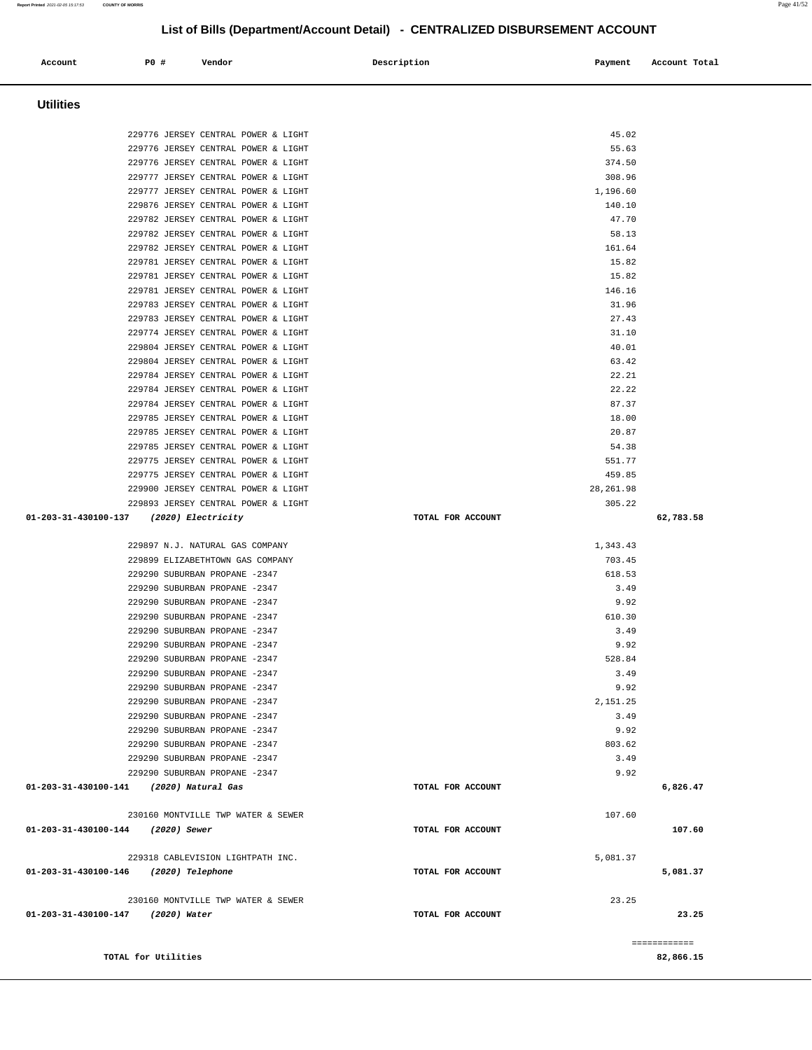## **Account P0 # Vendor Description Payment Account Total Utilities**  229776 JERSEY CENTRAL POWER & LIGHT 45.02 229776 JERSEY CENTRAL POWER & LIGHT 55.63 229776 JERSEY CENTRAL POWER & LIGHT 374.50 229777 JERSEY CENTRAL POWER & LIGHT 308.96 229777 JERSEY CENTRAL POWER & LIGHT 1,196.60 229876 JERSEY CENTRAL POWER & LIGHT 229782 JERSEY CENTRAL POWER & LIGHT 47.70 229782 JERSEY CENTRAL POWER & LIGHT 58.13 229782 JERSEY CENTRAL POWER & LIGHT 161.64 229781 JERSEY CENTRAL POWER & LIGHT 15.82 229781 JERSEY CENTRAL POWER & LIGHT 15.82 229781 JERSEY CENTRAL POWER & LIGHT 146.16 229783 JERSEY CENTRAL POWER & LIGHT 31.96 229783 JERSEY CENTRAL POWER & LIGHT 27.43 229774 JERSEY CENTRAL POWER & LIGHT 31.10 229804 JERSEY CENTRAL POWER & LIGHT 40.01 229804 JERSEY CENTRAL POWER & LIGHT 63.42 229784 JERSEY CENTRAL POWER & LIGHT 22.21 229784 JERSEY CENTRAL POWER & LIGHT 22.22 229784 JERSEY CENTRAL POWER & LIGHT 87.37 229785 JERSEY CENTRAL POWER & LIGHT 18.00 229785 JERSEY CENTRAL POWER & LIGHT 20.87 229785 JERSEY CENTRAL POWER & LIGHT 54.38 229775 JERSEY CENTRAL POWER & LIGHT 551.77 229775 JERSEY CENTRAL POWER & LIGHT 459.85 229900 JERSEY CENTRAL POWER & LIGHT 28,261.98 229893 JERSEY CENTRAL POWER & LIGHT 305.22  **01-203-31-430100-137 (2020) Electricity TOTAL FOR ACCOUNT 62,783.58** 229897 N.J. NATURAL GAS COMPANY 1,343.43 229899 ELIZABETHTOWN GAS COMPANY 703.45 229290 SUBURBAN PROPANE -2347 618.53 229290 SUBURBAN PROPANE -2347 3.49 229290 SUBURBAN PROPANE -2347 9.92 229290 SUBURBAN PROPANE -2347 610.30 229290 SUBURBAN PROPANE -2347 3.49 229290 SUBURBAN PROPANE -2347 9.92 229290 SUBURBAN PROPANE -2347 528.84 229290 SUBURBAN PROPANE -2347 3.49 229290 SUBURBAN PROPANE -2347 9.92 229290 SUBURBAN PROPANE -2347 2,151.25 229290 SUBURBAN PROPANE -2347 3.49 229290 SUBURBAN PROPANE -2347 9.92 229290 SUBURBAN PROPANE -2347 803.62 229290 SUBURBAN PROPANE -2347 3.49 229290 SUBURBAN PROPANE -2347 9.92  **01-203-31-430100-141 (2020) Natural Gas TOTAL FOR ACCOUNT 6,826.47** 230160 MONTVILLE TWP WATER & SEWER 107.60  **01-203-31-430100-144 (2020) Sewer TOTAL FOR ACCOUNT 107.60** 229318 CABLEVISION LIGHTPATH INC. 5,081.37  **01-203-31-430100-146 (2020) Telephone TOTAL FOR ACCOUNT 5,081.37** 230160 MONTVILLE TWP WATER & SEWER 23.25  **01-203-31-430100-147 (2020) Water TOTAL FOR ACCOUNT 23.25** ============ **TOTAL for Utilities 82,866.15**

**Report Printed** 2021-02-05 15:17:53 **COUNTY OF MORRIS** Page 41/52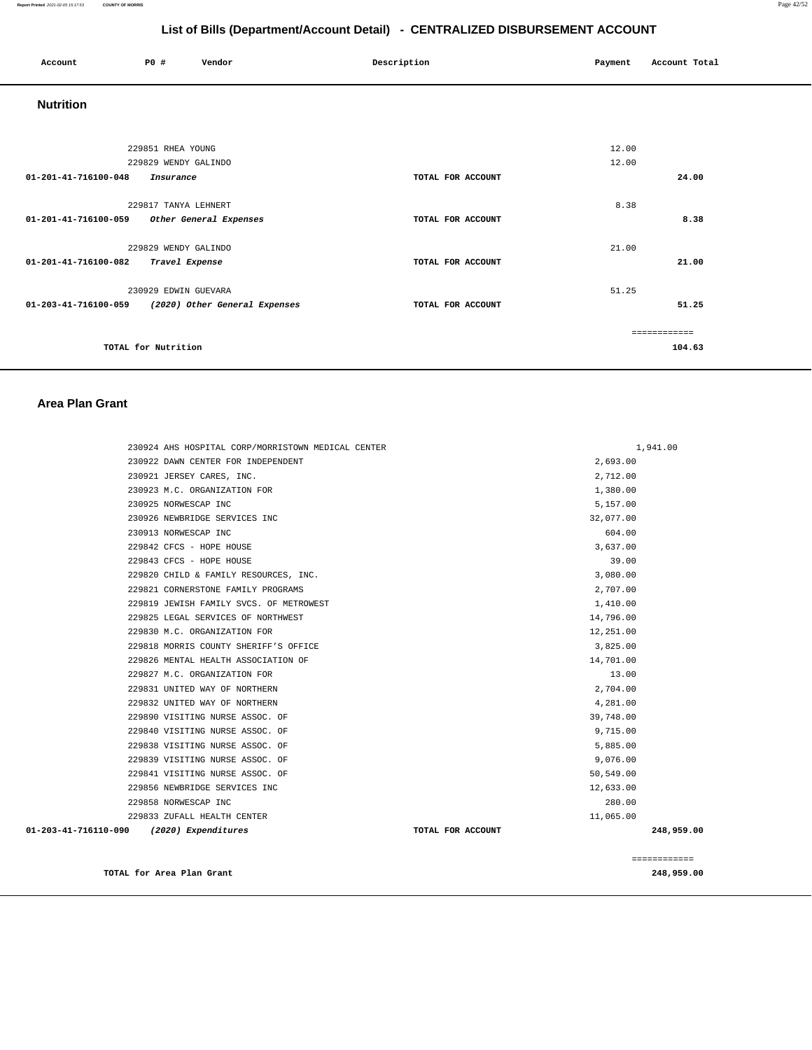#### **Report Printed** 2021-02-05 15:17:53 **COUNTY OF MORRIS** Page 42/52

## **List of Bills (Department/Account Detail) - CENTRALIZED DISBURSEMENT ACCOUNT**

| Account                                     | P0 # |                      | Vendor                                             | Description |                   | Payment | Account Total |
|---------------------------------------------|------|----------------------|----------------------------------------------------|-------------|-------------------|---------|---------------|
| <b>Nutrition</b>                            |      |                      |                                                    |             |                   |         |               |
|                                             |      |                      |                                                    |             |                   |         |               |
|                                             |      | 229851 RHEA YOUNG    |                                                    |             |                   | 12.00   |               |
|                                             |      | 229829 WENDY GALINDO |                                                    |             |                   | 12.00   |               |
| 01-201-41-716100-048                        |      | Insurance            |                                                    |             | TOTAL FOR ACCOUNT |         | 24.00         |
|                                             |      | 229817 TANYA LEHNERT |                                                    |             |                   | 8.38    |               |
| 01-201-41-716100-059 Other General Expenses |      |                      |                                                    |             | TOTAL FOR ACCOUNT |         | 8.38          |
|                                             |      | 229829 WENDY GALINDO |                                                    |             |                   | 21.00   |               |
| 01-201-41-716100-082                        |      | Travel Expense       |                                                    |             | TOTAL FOR ACCOUNT |         | 21.00         |
|                                             |      | 230929 EDWIN GUEVARA |                                                    |             |                   | 51.25   |               |
|                                             |      |                      | 01-203-41-716100-059 (2020) Other General Expenses |             | TOTAL FOR ACCOUNT |         | 51.25         |
|                                             |      |                      |                                                    |             |                   |         | ============  |
|                                             |      | TOTAL for Nutrition  |                                                    |             |                   |         | 104.63        |
|                                             |      |                      |                                                    |             |                   |         |               |

#### **Area Plan Grant**

| 230924 AHS HOSPITAL CORP/MORRISTOWN MEDICAL CENTER |                   |           | 1,941.00     |
|----------------------------------------------------|-------------------|-----------|--------------|
| 230922 DAWN CENTER FOR INDEPENDENT                 |                   | 2,693.00  |              |
| 230921 JERSEY CARES, INC.                          |                   | 2,712.00  |              |
| 230923 M.C. ORGANIZATION FOR                       |                   | 1,380.00  |              |
| 230925 NORWESCAP INC                               |                   | 5,157.00  |              |
| 230926 NEWBRIDGE SERVICES INC                      |                   | 32,077.00 |              |
| 230913 NORWESCAP INC                               |                   | 604.00    |              |
| 229842 CFCS - HOPE HOUSE                           |                   | 3,637.00  |              |
| 229843 CFCS - HOPE HOUSE                           |                   | 39.00     |              |
| 229820 CHILD & FAMILY RESOURCES, INC.              | 3,080.00          |           |              |
| 229821 CORNERSTONE FAMILY PROGRAMS                 |                   | 2,707.00  |              |
| 229819 JEWISH FAMILY SVCS. OF METROWEST            |                   | 1,410.00  |              |
| 229825 LEGAL SERVICES OF NORTHWEST                 |                   | 14,796.00 |              |
| 229830 M.C. ORGANIZATION FOR                       |                   | 12,251.00 |              |
| 229818 MORRIS COUNTY SHERIFF'S OFFICE              |                   | 3,825.00  |              |
| 229826 MENTAL HEALTH ASSOCIATION OF                |                   | 14,701.00 |              |
| 229827 M.C. ORGANIZATION FOR                       |                   | 13.00     |              |
| 229831 UNITED WAY OF NORTHERN                      |                   | 2,704.00  |              |
| 229832 UNITED WAY OF NORTHERN                      |                   | 4,281.00  |              |
| 229890 VISITING NURSE ASSOC. OF                    |                   | 39,748.00 |              |
| 229840 VISITING NURSE ASSOC. OF                    |                   | 9,715.00  |              |
| 229838 VISITING NURSE ASSOC. OF                    |                   | 5,885.00  |              |
| 229839 VISITING NURSE ASSOC. OF                    |                   | 9,076.00  |              |
| 229841 VISITING NURSE ASSOC. OF                    |                   | 50,549.00 |              |
| 229856 NEWBRIDGE SERVICES INC                      |                   | 12,633.00 |              |
| 229858 NORWESCAP INC                               |                   | 280.00    |              |
| 229833 ZUFALL HEALTH CENTER                        |                   | 11,065.00 |              |
| 01-203-41-716110-090<br>(2020) Expenditures        | TOTAL FOR ACCOUNT |           | 248,959.00   |
|                                                    |                   |           | ============ |
| TOTAL for Area Plan Grant                          |                   |           | 248,959.00   |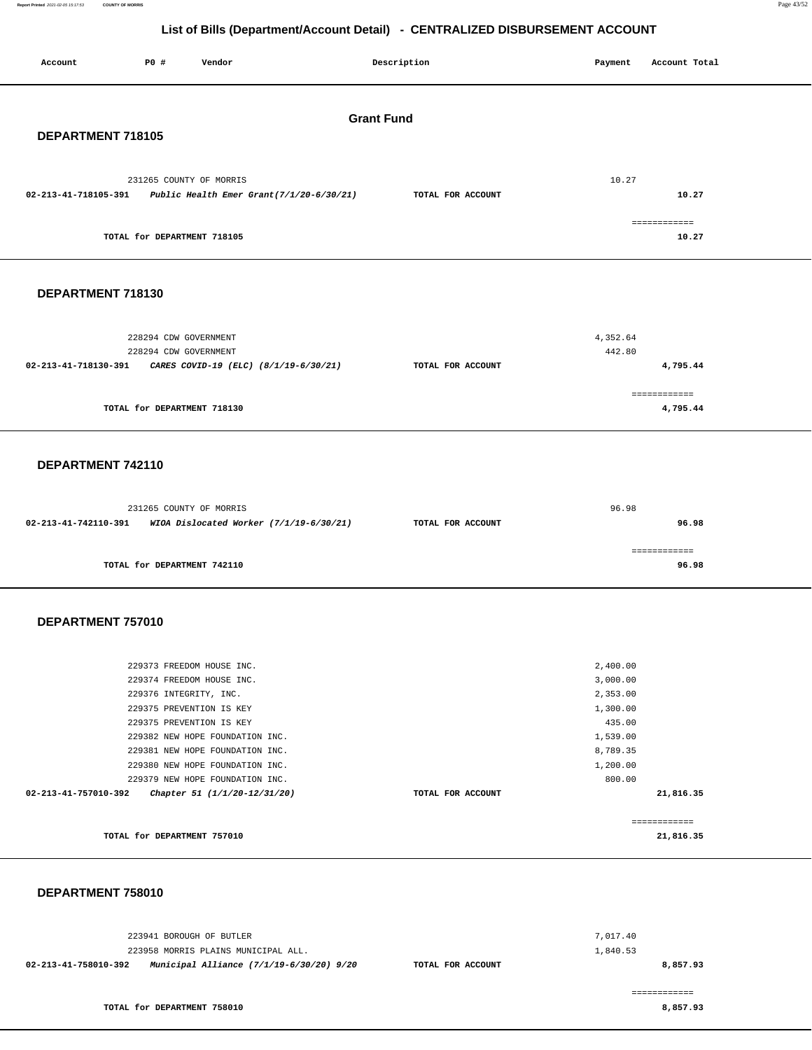**Report Printed** 2021-02-05 15:17:53 **COUNTY OF MORRIS** Page 43/52

## **List of Bills (Department/Account Detail) - CENTRALIZED DISBURSEMENT ACCOUNT**

| Account              | P0 #                        | Vendor                                                             |  | Description       |  | Payment            | Account Total             |
|----------------------|-----------------------------|--------------------------------------------------------------------|--|-------------------|--|--------------------|---------------------------|
| <b>Grant Fund</b>    |                             |                                                                    |  |                   |  |                    |                           |
| DEPARTMENT 718105    |                             |                                                                    |  |                   |  |                    |                           |
| 02-213-41-718105-391 | 231265 COUNTY OF MORRIS     | Public Health Emer Grant(7/1/20-6/30/21)                           |  | TOTAL FOR ACCOUNT |  | 10.27              | 10.27                     |
|                      | TOTAL for DEPARTMENT 718105 |                                                                    |  |                   |  |                    | ============<br>10.27     |
| DEPARTMENT 718130    |                             |                                                                    |  |                   |  |                    |                           |
|                      |                             |                                                                    |  |                   |  |                    |                           |
|                      | 228294 CDW GOVERNMENT       |                                                                    |  |                   |  | 4,352.64           |                           |
| 02-213-41-718130-391 | 228294 CDW GOVERNMENT       | CARES COVID-19 (ELC) (8/1/19-6/30/21)                              |  | TOTAL FOR ACCOUNT |  | 442.80             | 4,795.44                  |
|                      |                             |                                                                    |  |                   |  |                    |                           |
|                      | TOTAL for DEPARTMENT 718130 |                                                                    |  |                   |  |                    | ============<br>4,795.44  |
| DEPARTMENT 742110    |                             |                                                                    |  |                   |  |                    |                           |
|                      |                             |                                                                    |  |                   |  |                    |                           |
|                      | 231265 COUNTY OF MORRIS     |                                                                    |  |                   |  | 96.98              |                           |
| 02-213-41-742110-391 |                             | WIOA Dislocated Worker (7/1/19-6/30/21)                            |  | TOTAL FOR ACCOUNT |  |                    | 96.98                     |
|                      | TOTAL for DEPARTMENT 742110 |                                                                    |  |                   |  |                    | ============<br>96.98     |
| DEPARTMENT 757010    |                             |                                                                    |  |                   |  |                    |                           |
|                      |                             |                                                                    |  |                   |  |                    |                           |
|                      |                             | 229373 FREEDOM HOUSE INC.                                          |  |                   |  | 2,400.00           |                           |
|                      |                             | 229374 FREEDOM HOUSE INC.                                          |  |                   |  | 3,000.00           |                           |
|                      | 229376 INTEGRITY, INC.      |                                                                    |  |                   |  | 2,353.00           |                           |
|                      |                             | 229375 PREVENTION IS KEY                                           |  |                   |  | 1,300.00           |                           |
|                      |                             | 229375 PREVENTION IS KEY                                           |  |                   |  | 435.00             |                           |
|                      |                             | 229382 NEW HOPE FOUNDATION INC.                                    |  |                   |  | 1,539.00           |                           |
|                      |                             | 229381 NEW HOPE FOUNDATION INC.                                    |  |                   |  | 8,789.35           |                           |
|                      |                             | 229380 NEW HOPE FOUNDATION INC.<br>229379 NEW HOPE FOUNDATION INC. |  |                   |  | 1,200.00<br>800.00 |                           |
| 02-213-41-757010-392 |                             | Chapter 51 (1/1/20-12/31/20)                                       |  | TOTAL FOR ACCOUNT |  |                    | 21,816.35                 |
|                      |                             |                                                                    |  |                   |  |                    |                           |
|                      | TOTAL for DEPARTMENT 757010 |                                                                    |  |                   |  |                    | ------------<br>21,816.35 |
|                      |                             |                                                                    |  |                   |  |                    |                           |
| DEDADTMENT 750040    |                             |                                                                    |  |                   |  |                    |                           |

 **DEPARTMENT 758010** 

| 223941 BOROUGH OF BUTLER                                         | 7.017.40          |          |
|------------------------------------------------------------------|-------------------|----------|
| 223958 MORRIS PLAINS MUNICIPAL ALL.                              | 1,840.53          |          |
| Municipal Alliance (7/1/19-6/30/20) 9/20<br>02-213-41-758010-392 | TOTAL FOR ACCOUNT | 8,857.93 |

**TOTAL for DEPARTMENT 758010** 

============ **8,857.93**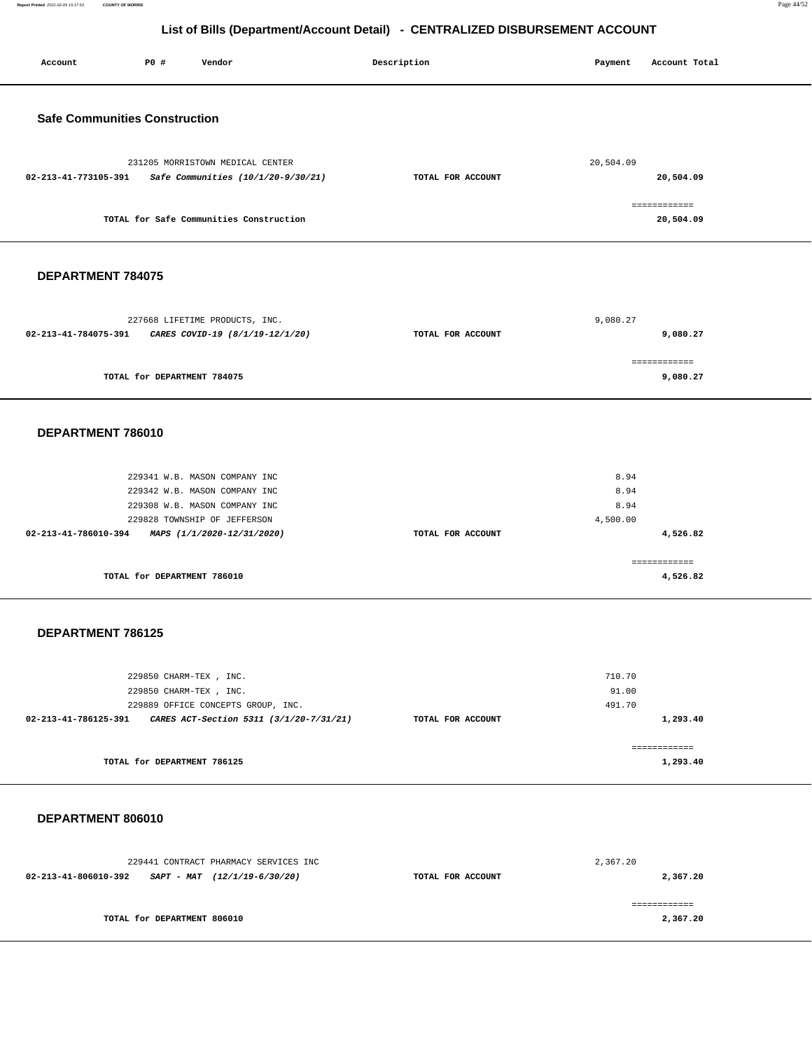**Report Printed** 2021-02-05 15:17:53 **COUNTY OF MORRIS** Page 44/52

| Account                              | P0 #                        | Vendor                                                                                                                                                        |  | Description       | Payment                          | Account Total                        |
|--------------------------------------|-----------------------------|---------------------------------------------------------------------------------------------------------------------------------------------------------------|--|-------------------|----------------------------------|--------------------------------------|
| <b>Safe Communities Construction</b> |                             |                                                                                                                                                               |  |                   |                                  |                                      |
| 02-213-41-773105-391                 |                             | 231205 MORRISTOWN MEDICAL CENTER<br>Safe Communities (10/1/20-9/30/21)                                                                                        |  | TOTAL FOR ACCOUNT | 20,504.09                        | 20,504.09                            |
|                                      |                             | TOTAL for Safe Communities Construction                                                                                                                       |  |                   |                                  | ============<br>20,504.09            |
| DEPARTMENT 784075                    |                             |                                                                                                                                                               |  |                   |                                  |                                      |
| 02-213-41-784075-391                 |                             | 227668 LIFETIME PRODUCTS, INC.<br>CARES COVID-19 (8/1/19-12/1/20)                                                                                             |  | TOTAL FOR ACCOUNT | 9,080.27                         | 9,080.27                             |
|                                      | TOTAL for DEPARTMENT 784075 |                                                                                                                                                               |  |                   |                                  | ============<br>9,080.27             |
| DEPARTMENT 786010                    |                             |                                                                                                                                                               |  |                   |                                  |                                      |
| 02-213-41-786010-394                 | TOTAL for DEPARTMENT 786010 | 229341 W.B. MASON COMPANY INC<br>229342 W.B. MASON COMPANY INC<br>229308 W.B. MASON COMPANY INC<br>229828 TOWNSHIP OF JEFFERSON<br>MAPS (1/1/2020-12/31/2020) |  | TOTAL FOR ACCOUNT | 8.94<br>8.94<br>8.94<br>4,500.00 | 4,526.82<br>============<br>4,526.82 |
| <b>DEPARTMENT 786125</b>             |                             |                                                                                                                                                               |  |                   |                                  |                                      |
|                                      | TOTAL for DEPARTMENT 786125 | 229850 CHARM-TEX, INC.<br>229850 CHARM-TEX, INC.<br>229889 OFFICE CONCEPTS GROUP, INC.<br>02-213-41-786125-391 CARES ACT-Section 5311 (3/1/20-7/31/21)        |  | TOTAL FOR ACCOUNT | 710.70<br>91.00<br>491.70        | 1,293.40<br>============<br>1,293.40 |
| DEPARTMENT 806010                    |                             |                                                                                                                                                               |  |                   |                                  |                                      |
|                                      |                             | 229441 CONTRACT PHARMACY SERVICES INC<br>$02-213-41-806010-392$ SAPT - MAT $(12/1/19-6/30/20)$                                                                |  | TOTAL FOR ACCOUNT | 2,367.20                         | 2,367.20                             |
|                                      | TOTAL for DEPARTMENT 806010 |                                                                                                                                                               |  |                   |                                  | ============<br>2,367.20             |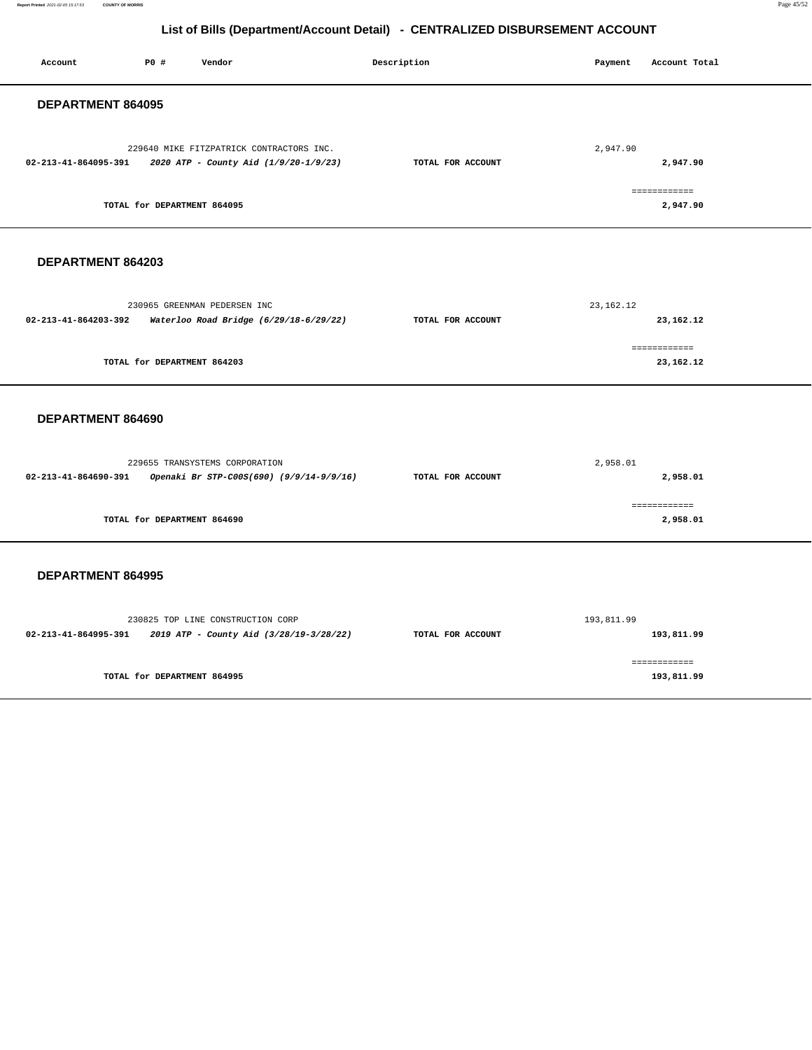**Report Printed** 2021-02-05 15:17:53 **COUNTY OF MORRIS** Page 45/52

| Account                                                         | P0 #                        | Vendor                                                                            |  | Description       | Payment     | Account Total              |
|-----------------------------------------------------------------|-----------------------------|-----------------------------------------------------------------------------------|--|-------------------|-------------|----------------------------|
| DEPARTMENT 864095                                               |                             |                                                                                   |  |                   |             |                            |
| 02-213-41-864095-391                                            |                             | 229640 MIKE FITZPATRICK CONTRACTORS INC.<br>2020 ATP - County Aid (1/9/20-1/9/23) |  | TOTAL FOR ACCOUNT | 2,947.90    | 2,947.90<br>============   |
|                                                                 | TOTAL for DEPARTMENT 864095 |                                                                                   |  |                   |             | 2,947.90                   |
| DEPARTMENT 864203                                               |                             |                                                                                   |  |                   |             |                            |
| 02-213-41-864203-392                                            |                             | 230965 GREENMAN PEDERSEN INC<br>Waterloo Road Bridge (6/29/18-6/29/22)            |  | TOTAL FOR ACCOUNT | 23, 162. 12 | 23,162.12                  |
|                                                                 | TOTAL for DEPARTMENT 864203 |                                                                                   |  |                   |             | ------------<br>23,162.12  |
| DEPARTMENT 864690                                               |                             |                                                                                   |  |                   |             |                            |
| 02-213-41-864690-391                                            |                             | 229655 TRANSYSTEMS CORPORATION<br>Openaki Br STP-C00S(690) (9/9/14-9/9/16)        |  | TOTAL FOR ACCOUNT | 2,958.01    | 2,958.01                   |
|                                                                 | TOTAL for DEPARTMENT 864690 |                                                                                   |  |                   |             | ============<br>2,958.01   |
| DEPARTMENT 864995                                               |                             |                                                                                   |  |                   |             |                            |
| 02-213-41-864995-391    2019 ATP - County Aid (3/28/19-3/28/22) |                             | 230825 TOP LINE CONSTRUCTION CORP                                                 |  | TOTAL FOR ACCOUNT | 193,811.99  | 193,811.99                 |
|                                                                 | TOTAL for DEPARTMENT 864995 |                                                                                   |  |                   |             | ------------<br>193,811.99 |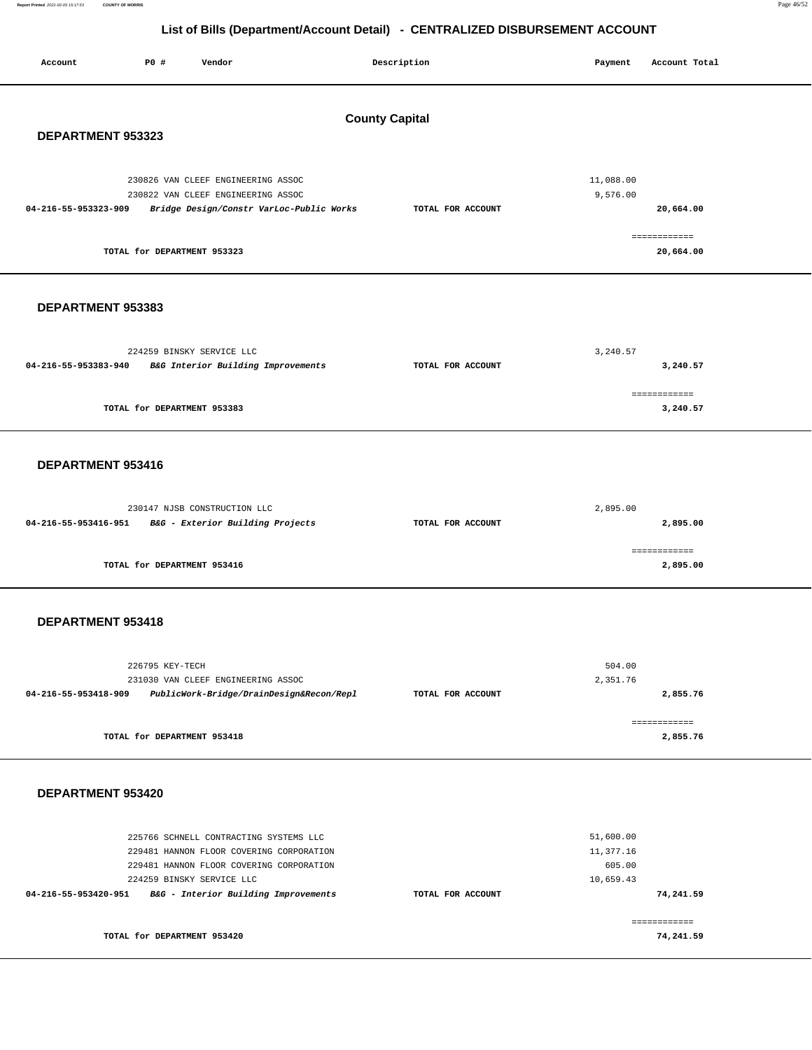**Report Printed** 2021-02-05 15:17:53 **COUNTY OF MORRIS** Page 46/52

| Account                                    | P0 #                        | Vendor                                                                                                                                                                                              |                                          | Description       | Payment                                       | Account Total                          |
|--------------------------------------------|-----------------------------|-----------------------------------------------------------------------------------------------------------------------------------------------------------------------------------------------------|------------------------------------------|-------------------|-----------------------------------------------|----------------------------------------|
| <b>County Capital</b><br>DEPARTMENT 953323 |                             |                                                                                                                                                                                                     |                                          |                   |                                               |                                        |
| 04-216-55-953323-909                       | TOTAL for DEPARTMENT 953323 | 230826 VAN CLEEF ENGINEERING ASSOC<br>230822 VAN CLEEF ENGINEERING ASSOC                                                                                                                            | Bridge Design/Constr VarLoc-Public Works | TOTAL FOR ACCOUNT | 11,088.00<br>9,576.00                         | 20,664.00<br>============<br>20,664.00 |
| DEPARTMENT 953383                          |                             |                                                                                                                                                                                                     |                                          |                   |                                               |                                        |
| 04-216-55-953383-940                       |                             | 224259 BINSKY SERVICE LLC<br>B&G Interior Building Improvements                                                                                                                                     |                                          | TOTAL FOR ACCOUNT | 3,240.57                                      | 3,240.57                               |
|                                            | TOTAL for DEPARTMENT 953383 |                                                                                                                                                                                                     |                                          |                   |                                               | ============<br>3,240.57               |
| DEPARTMENT 953416                          |                             |                                                                                                                                                                                                     |                                          |                   |                                               |                                        |
| 04-216-55-953416-951                       |                             | 230147 NJSB CONSTRUCTION LLC<br>B&G - Exterior Building Projects                                                                                                                                    |                                          | TOTAL FOR ACCOUNT | 2,895.00                                      | 2,895.00                               |
|                                            | TOTAL for DEPARTMENT 953416 |                                                                                                                                                                                                     |                                          |                   |                                               | ============<br>2,895.00               |
| DEPARTMENT 953418                          |                             |                                                                                                                                                                                                     |                                          |                   |                                               |                                        |
| 04-216-55-953418-909                       | 226795 KEY-TECH             | 231030 VAN CLEEF ENGINEERING ASSOC                                                                                                                                                                  | PublicWork-Bridge/DrainDesign&Recon/Repl | TOTAL FOR ACCOUNT | 504.00<br>2,351.76                            | 2,855.76                               |
|                                            | TOTAL for DEPARTMENT 953418 |                                                                                                                                                                                                     |                                          |                   |                                               | ============<br>2,855.76               |
| DEPARTMENT 953420                          |                             |                                                                                                                                                                                                     |                                          |                   |                                               |                                        |
| 04-216-55-953420-951                       |                             | 225766 SCHNELL CONTRACTING SYSTEMS LLC<br>229481 HANNON FLOOR COVERING CORPORATION<br>229481 HANNON FLOOR COVERING CORPORATION<br>224259 BINSKY SERVICE LLC<br>B&G - Interior Building Improvements |                                          | TOTAL FOR ACCOUNT | 51,600.00<br>11,377.16<br>605.00<br>10,659.43 | 74,241.59                              |
|                                            | TOTAL for DEPARTMENT 953420 |                                                                                                                                                                                                     |                                          |                   |                                               | ------------<br>74,241.59              |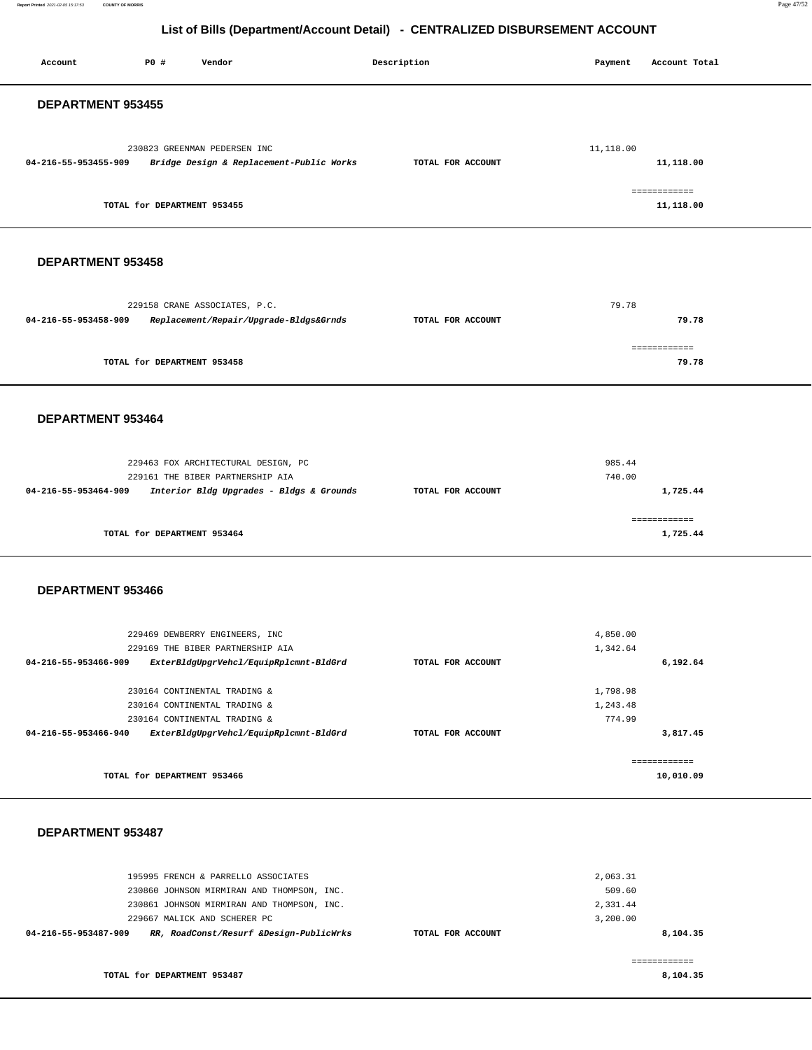**Report Printed** 2021-02-05 15:17:53 **COUNTY OF MORRIS** Page 47/52

## **List of Bills (Department/Account Detail) - CENTRALIZED DISBURSEMENT ACCOUNT**

| Account              | P0 #                        | Vendor                                                                                                                                                          |  | Description       |  | Payment                                    | Account Total             |  |
|----------------------|-----------------------------|-----------------------------------------------------------------------------------------------------------------------------------------------------------------|--|-------------------|--|--------------------------------------------|---------------------------|--|
|                      | DEPARTMENT 953455           |                                                                                                                                                                 |  |                   |  |                                            |                           |  |
| 04-216-55-953455-909 |                             | 230823 GREENMAN PEDERSEN INC<br>Bridge Design & Replacement-Public Works                                                                                        |  | TOTAL FOR ACCOUNT |  | 11,118.00                                  | 11,118.00                 |  |
|                      | TOTAL for DEPARTMENT 953455 |                                                                                                                                                                 |  |                   |  |                                            | ============<br>11,118.00 |  |
| DEPARTMENT 953458    |                             |                                                                                                                                                                 |  |                   |  |                                            |                           |  |
| 04-216-55-953458-909 |                             | 229158 CRANE ASSOCIATES, P.C.<br>Replacement/Repair/Upgrade-Bldgs&Grnds                                                                                         |  | TOTAL FOR ACCOUNT |  | 79.78                                      | 79.78                     |  |
|                      | TOTAL for DEPARTMENT 953458 |                                                                                                                                                                 |  |                   |  |                                            | ============<br>79.78     |  |
| DEPARTMENT 953464    |                             |                                                                                                                                                                 |  |                   |  |                                            |                           |  |
| 04-216-55-953464-909 |                             | 229463 FOX ARCHITECTURAL DESIGN, PC<br>229161 THE BIBER PARTNERSHIP AIA<br>Interior Bldg Upgrades - Bldgs & Grounds                                             |  | TOTAL FOR ACCOUNT |  | 985.44<br>740.00                           | 1,725.44                  |  |
|                      | TOTAL for DEPARTMENT 953464 |                                                                                                                                                                 |  |                   |  |                                            | ============<br>1,725.44  |  |
| DEPARTMENT 953466    |                             |                                                                                                                                                                 |  |                   |  |                                            |                           |  |
| 04-216-55-953466-909 |                             | 229469 DEWBERRY ENGINEERS, INC<br>229169 THE BIBER PARTNERSHIP AIA<br>ExterBldgUpgrVehcl/EquipRplcmnt-BldGrd                                                    |  | TOTAL FOR ACCOUNT |  | 4,850.00<br>1,342.64                       | 6,192.64                  |  |
|                      |                             | 230164 CONTINENTAL TRADING &<br>230164 CONTINENTAL TRADING &<br>230164 CONTINENTAL TRADING &                                                                    |  |                   |  | 1,798.98<br>1,243.48<br>774.99             |                           |  |
| 04-216-55-953466-940 |                             | ExterBldgUpgrVehcl/EquipRplcmnt-BldGrd                                                                                                                          |  | TOTAL FOR ACCOUNT |  |                                            | 3,817.45<br>============  |  |
|                      | TOTAL for DEPARTMENT 953466 |                                                                                                                                                                 |  |                   |  |                                            | 10,010.09                 |  |
| DEPARTMENT 953487    |                             |                                                                                                                                                                 |  |                   |  |                                            |                           |  |
|                      |                             | 195995 FRENCH & PARRELLO ASSOCIATES<br>230860 JOHNSON MIRMIRAN AND THOMPSON, INC.<br>230861 JOHNSON MIRMIRAN AND THOMPSON, INC.<br>229667 MALICK AND SCHERER PC |  |                   |  | 2,063.31<br>509.60<br>2,331.44<br>3,200.00 |                           |  |

229667 MALICK AND SCHERER PC **04-216-55-953487-909 RR, RoadConst/Resurf &Design-PublicWrks TOTAL FOR ACCOUNT 8,104.35 TOTAL for DEPARTMENT 953487**  ============ **8,104.35**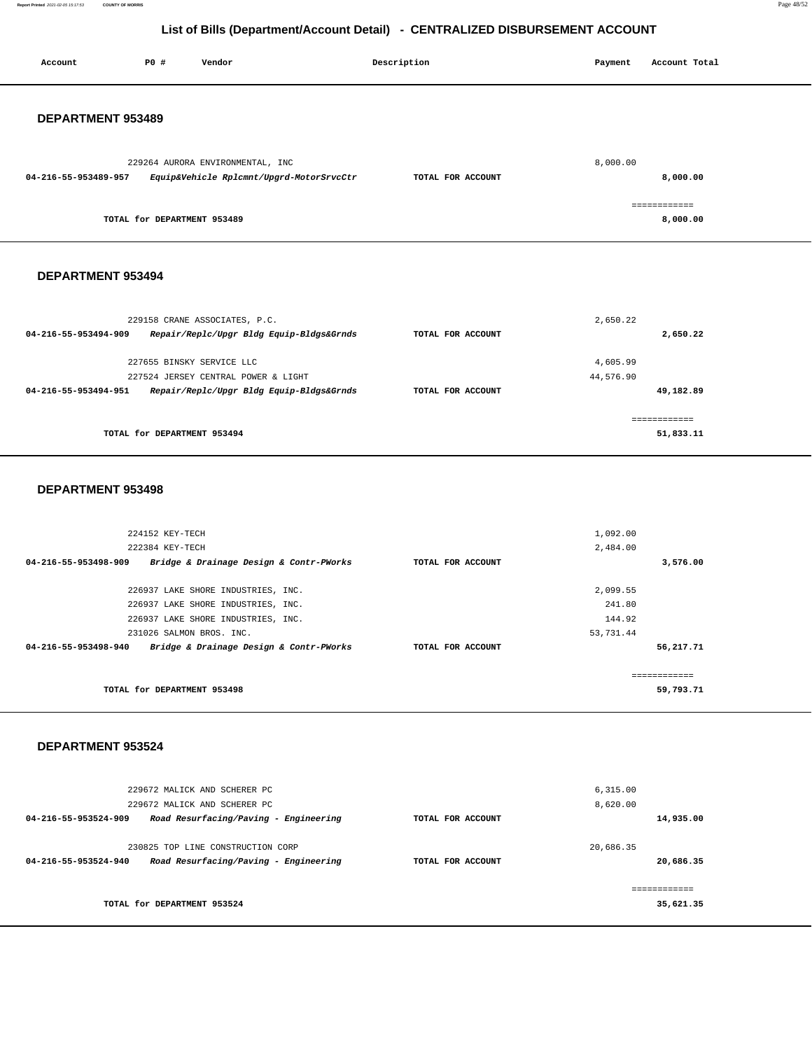**Report Printed** 2021-02-05 15:17:53 **COUNTY OF MORRIS** Page 48/52

**56,217.71**

## **List of Bills (Department/Account Detail) - CENTRALIZED DISBURSEMENT ACCOUNT**

| <b>PO #</b><br>Account<br>Vendor                                                                        | Description       | Payment             | Account Total             |
|---------------------------------------------------------------------------------------------------------|-------------------|---------------------|---------------------------|
| DEPARTMENT 953489                                                                                       |                   |                     |                           |
| 229264 AURORA ENVIRONMENTAL, INC<br>Equip&Vehicle Rplcmnt/Upgrd-MotorSrvcCtr<br>04-216-55-953489-957    | TOTAL FOR ACCOUNT | 8,000.00            | 8,000.00                  |
| TOTAL for DEPARTMENT 953489                                                                             |                   |                     | ============<br>8,000.00  |
| <b>DEPARTMENT 953494</b>                                                                                |                   |                     |                           |
| 229158 CRANE ASSOCIATES, P.C.<br>04-216-55-953494-909<br>Repair/Replc/Upgr Bldg Equip-Bldgs&Grnds       | TOTAL FOR ACCOUNT | 2,650.22            | 2,650.22                  |
| 227655 BINSKY SERVICE LLC                                                                               |                   | 4,605.99            |                           |
| 227524 JERSEY CENTRAL POWER & LIGHT<br>04-216-55-953494-951<br>Repair/Replc/Upgr Bldg Equip-Bldgs&Grnds | TOTAL FOR ACCOUNT | 44,576.90           | 49,182.89                 |
| TOTAL for DEPARTMENT 953494                                                                             |                   |                     | ------------<br>51,833.11 |
| <b>DEPARTMENT 953498</b>                                                                                |                   |                     |                           |
| 224152 KEY-TECH                                                                                         |                   | 1,092.00            |                           |
| 222384 KEY-TECH<br>04-216-55-953498-909<br>Bridge & Drainage Design & Contr-PWorks                      | TOTAL FOR ACCOUNT | 2,484.00            | 3,576.00                  |
|                                                                                                         |                   |                     |                           |
| 226937 LAKE SHORE INDUSTRIES, INC.                                                                      |                   | 2,099.55            |                           |
| 226937 LAKE SHORE INDUSTRIES, INC.                                                                      |                   | 241.80              |                           |
| 226937 LAKE SHORE INDUSTRIES, INC.<br>231026 SALMON BROS. INC.                                          |                   | 144.92<br>53,731.44 |                           |

**TOTAL for DEPARTMENT 953498**  ============ **59,793.71**

**04-216-55-953498-940 Bridge & Drainage Design & Contr-PWorks TOTAL FOR ACCOUNT** 

#### **DEPARTMENT 953524**

|                      | 229672 MALICK AND SCHERER PC          |                   | 6, 315.00 |
|----------------------|---------------------------------------|-------------------|-----------|
|                      | 229672 MALICK AND SCHERER PC          |                   | 8,620.00  |
| 04-216-55-953524-909 | Road Resurfacing/Paving - Engineering | TOTAL FOR ACCOUNT | 14,935.00 |
|                      |                                       |                   |           |
|                      | 230825 TOP LINE CONSTRUCTION CORP     |                   | 20,686.35 |
| 04-216-55-953524-940 | Road Resurfacing/Paving - Engineering | TOTAL FOR ACCOUNT | 20,686.35 |
|                      |                                       |                   |           |
|                      |                                       |                   |           |
|                      | TOTAL for DEPARTMENT 953524           |                   | 35,621.35 |
|                      |                                       |                   |           |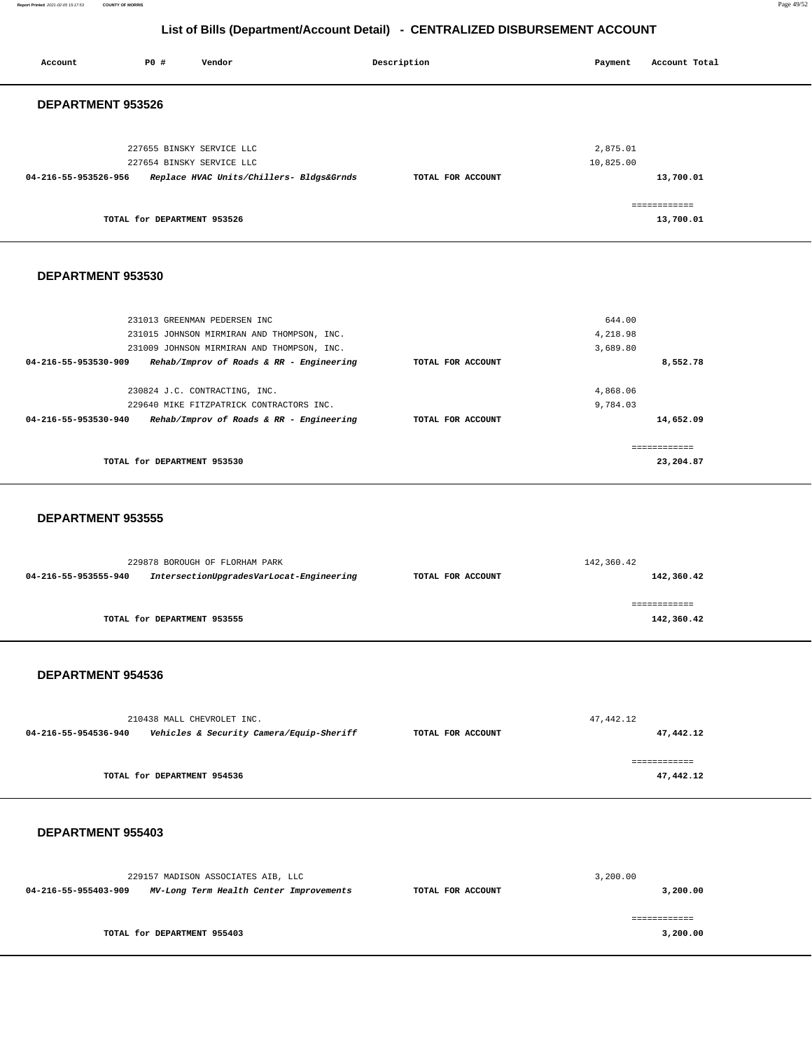**Report Printed** 2021-02-05 15:17:53 **COUNTY OF MORRIS** Page 49/52

## **List of Bills (Department/Account Detail) - CENTRALIZED DISBURSEMENT ACCOUNT**

| Account              | PO#                         | Vendor                                                 | Description       | Payment               | Account Total             |
|----------------------|-----------------------------|--------------------------------------------------------|-------------------|-----------------------|---------------------------|
| DEPARTMENT 953526    |                             |                                                        |                   |                       |                           |
|                      |                             | 227655 BINSKY SERVICE LLC<br>227654 BINSKY SERVICE LLC |                   | 2,875.01<br>10,825.00 |                           |
| 04-216-55-953526-956 |                             | Replace HVAC Units/Chillers- Bldgs&Grnds               | TOTAL FOR ACCOUNT |                       | 13,700.01                 |
|                      | TOTAL for DEPARTMENT 953526 |                                                        |                   |                       | ============<br>13,700.01 |
| DEPARTMENT 953530    |                             |                                                        |                   |                       |                           |
|                      |                             | 231013 GREENMAN PEDERSEN INC                           |                   | 644.00                |                           |
|                      |                             | 231015 JOHNSON MIRMIRAN AND THOMPSON, INC.             |                   | 4,218.98              |                           |
|                      |                             | 231009 JOHNSON MIRMIRAN AND THOMPSON, INC.             |                   | 3,689.80              |                           |
| 04-216-55-953530-909 |                             | Rehab/Improv of Roads & RR - Engineering               | TOTAL FOR ACCOUNT |                       | 8,552.78                  |

| 04-216-55-953530-909<br>Rehab/Improv of Roads & RR - Engineering | TOTAL FOR ACCOUNT | 8,552.78  |
|------------------------------------------------------------------|-------------------|-----------|
| 230824 J.C. CONTRACTING, INC.                                    |                   | 4,868.06  |
| 229640 MIKE FITZPATRICK CONTRACTORS INC.                         |                   | 9,784.03  |
| Rehab/Improv of Roads & RR - Engineering<br>04-216-55-953530-940 | TOTAL FOR ACCOUNT | 14,652.09 |
|                                                                  |                   |           |
|                                                                  |                   |           |
| TOTAL for DEPARTMENT 953530                                      |                   | 23,204.87 |
|                                                                  |                   |           |

#### **DEPARTMENT 953555**

|                      | 229878 BOROUGH OF FLORHAM PARK           | 142,360.42        |            |  |
|----------------------|------------------------------------------|-------------------|------------|--|
| 04-216-55-953555-940 | IntersectionUpgradesVarLocat-Engineering | TOTAL FOR ACCOUNT | 142,360.42 |  |
|                      |                                          |                   |            |  |
|                      |                                          |                   |            |  |
|                      | TOTAL for DEPARTMENT 953555              |                   | 142,360.42 |  |
|                      |                                          |                   |            |  |

### **DEPARTMENT 954536**

|                      | 210438 MALL CHEVROLET INC.               |                   | 47,442.12 |
|----------------------|------------------------------------------|-------------------|-----------|
| 04-216-55-954536-940 | Vehicles & Security Camera/Equip-Sheriff | TOTAL FOR ACCOUNT | 47,442.12 |
|                      |                                          |                   |           |
|                      | TOTAL for DEPARTMENT 954536              |                   | 47,442.12 |

### **DEPARTMENT 955403**

|                      | 229157 MADISON ASSOCIATES AIB, LLC      |                   | 3,200.00 |
|----------------------|-----------------------------------------|-------------------|----------|
| 04-216-55-955403-909 | MV-Long Term Health Center Improvements | TOTAL FOR ACCOUNT | 3,200.00 |
|                      |                                         |                   |          |
|                      | TOTAL for DEPARTMENT 955403             |                   | 3,200.00 |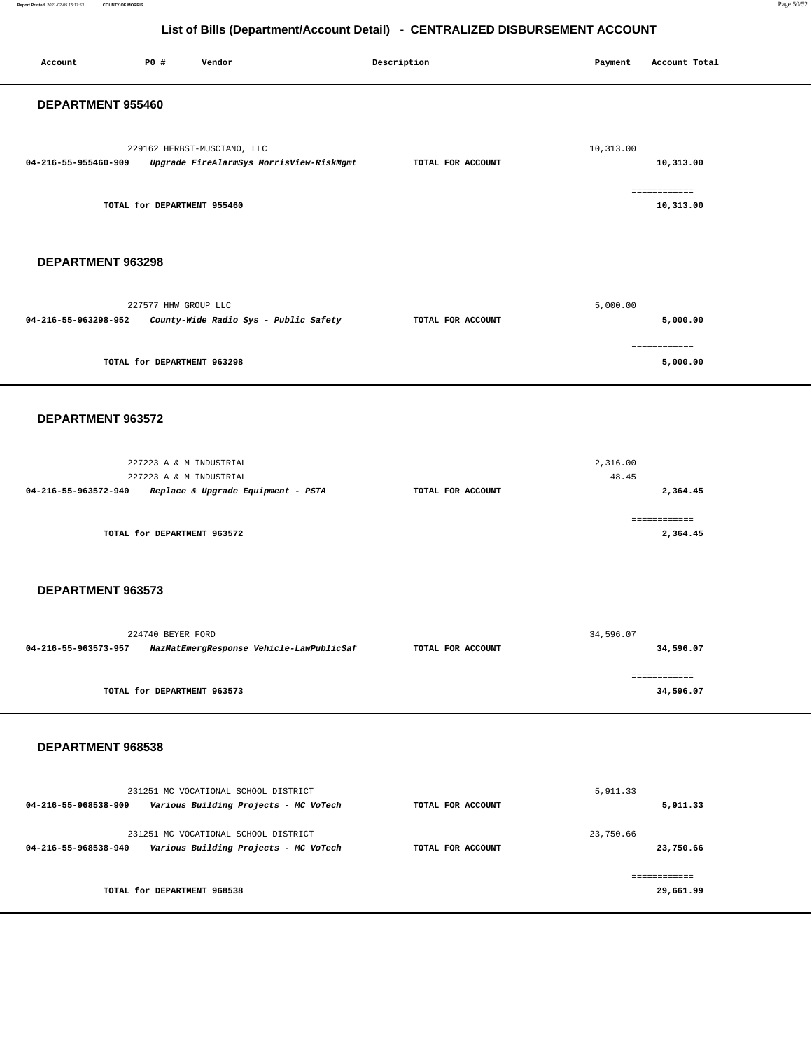**Report Printed** 2021-02-05 15:17:53 **COUNTY OF MORRIS** Page 50/52

| P0 #<br>Vendor<br>Account                                                                                        | Description       | Payment<br>Account Total      |  |  |  |
|------------------------------------------------------------------------------------------------------------------|-------------------|-------------------------------|--|--|--|
| DEPARTMENT 955460                                                                                                |                   |                               |  |  |  |
| 229162 HERBST-MUSCIANO, LLC<br>04-216-55-955460-909<br>Upgrade FireAlarmSys MorrisView-RiskMgmt                  | TOTAL FOR ACCOUNT | 10,313.00<br>10,313.00        |  |  |  |
| TOTAL for DEPARTMENT 955460                                                                                      |                   | ============<br>10,313.00     |  |  |  |
| DEPARTMENT 963298                                                                                                |                   |                               |  |  |  |
| 227577 HHW GROUP LLC<br>04-216-55-963298-952<br>County-Wide Radio Sys - Public Safety                            | TOTAL FOR ACCOUNT | 5,000.00<br>5,000.00          |  |  |  |
| TOTAL for DEPARTMENT 963298                                                                                      |                   | ============<br>5,000.00      |  |  |  |
| DEPARTMENT 963572                                                                                                |                   |                               |  |  |  |
| 227223 A & M INDUSTRIAL<br>227223 A & M INDUSTRIAL<br>Replace & Upgrade Equipment - PSTA<br>04-216-55-963572-940 | TOTAL FOR ACCOUNT | 2,316.00<br>48.45<br>2,364.45 |  |  |  |
| TOTAL for DEPARTMENT 963572                                                                                      |                   | ============<br>2,364.45      |  |  |  |
| DEPARTMENT 963573                                                                                                |                   |                               |  |  |  |
| 224740 BEYER FORD<br>04-216-55-963573-957 HazMatEmergResponse Vehicle-LawPublicSaf                               | TOTAL FOR ACCOUNT | 34,596.07<br>34,596.07        |  |  |  |
| TOTAL for DEPARTMENT 963573                                                                                      |                   | ============<br>34,596.07     |  |  |  |
| DEPARTMENT 968538                                                                                                |                   |                               |  |  |  |
| 231251 MC VOCATIONAL SCHOOL DISTRICT<br>Various Building Projects - MC VoTech<br>04-216-55-968538-909            | TOTAL FOR ACCOUNT | 5,911.33<br>5,911.33          |  |  |  |
| 231251 MC VOCATIONAL SCHOOL DISTRICT<br>Various Building Projects - MC VoTech<br>04-216-55-968538-940            | TOTAL FOR ACCOUNT | 23,750.66<br>23,750.66        |  |  |  |
| TOTAL for DEPARTMENT 968538                                                                                      |                   | ============<br>29,661.99     |  |  |  |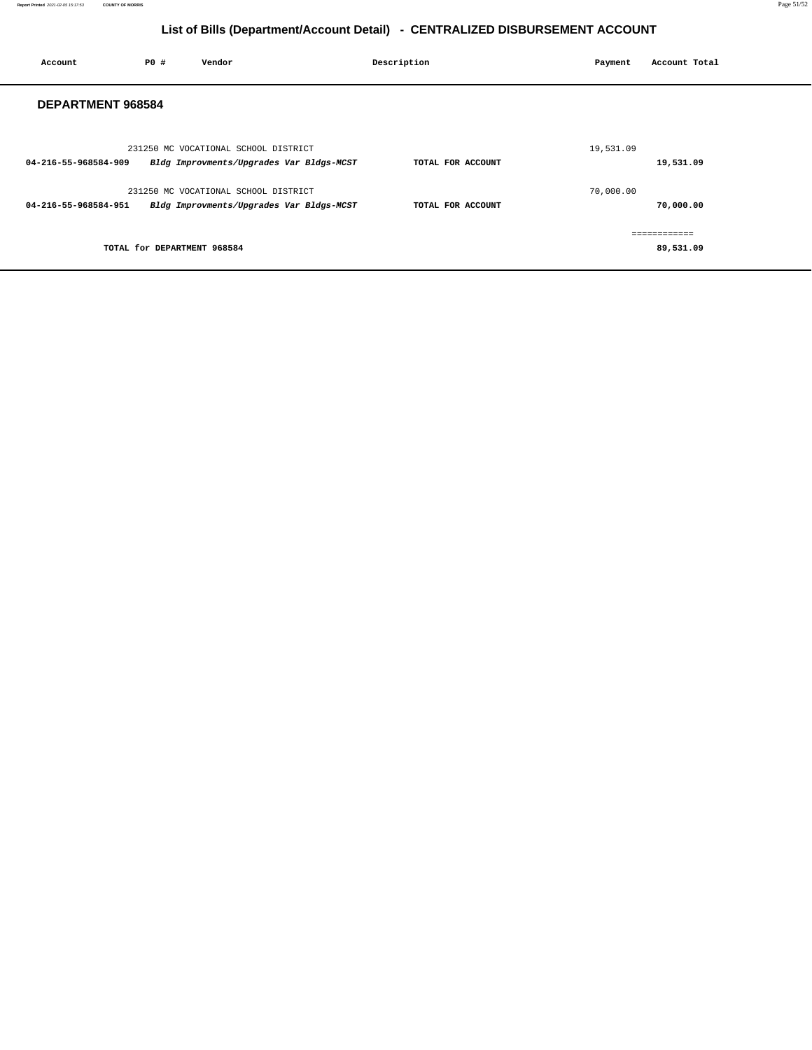| Account                  | PO# | Vendor                                   | Description       | Payment   | Account Total |
|--------------------------|-----|------------------------------------------|-------------------|-----------|---------------|
| <b>DEPARTMENT 968584</b> |     |                                          |                   |           |               |
|                          |     | 231250 MC VOCATIONAL SCHOOL DISTRICT     |                   | 19,531.09 |               |
| 04-216-55-968584-909     |     | Bldg Improvments/Upgrades Var Bldgs-MCST | TOTAL FOR ACCOUNT |           | 19,531.09     |
|                          |     | 231250 MC VOCATIONAL SCHOOL DISTRICT     |                   | 70,000.00 |               |
| 04-216-55-968584-951     |     | Bldg Improvments/Upgrades Var Bldgs-MCST | TOTAL FOR ACCOUNT |           | 70,000.00     |
|                          |     |                                          |                   |           | ============  |
|                          |     | TOTAL for DEPARTMENT 968584              |                   |           | 89,531.09     |